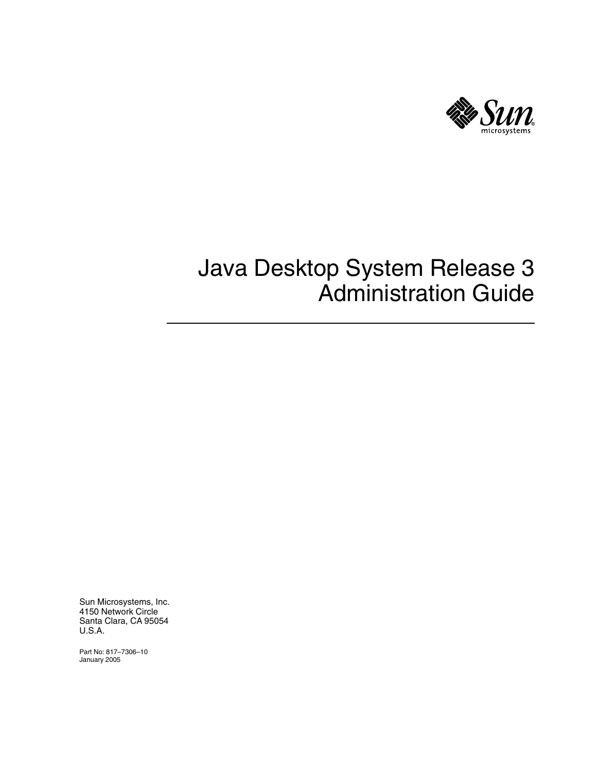

# Java Desktop System Release 3 Administration Guide

Sun Microsystems, Inc. 4150 Network Circle Santa Clara, CA 95054 U.S.A.

Part No: 817–7306–10 January 2005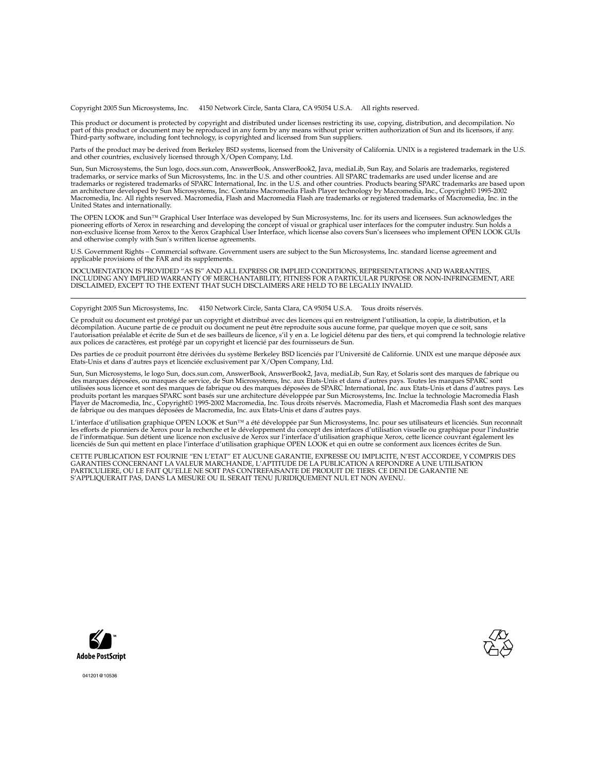Copyright 2005 Sun Microsystems, Inc. 4150 Network Circle, Santa Clara, CA 95054 U.S.A. All rights reserved.

This product or document is protected by copyright and distributed under licenses restricting its use, copying, distribution, and decompilation. No part of this product or document may be reproduced in any form by any means without prior written authorization of Sun and its licensors, if any.<br>Third-party software, including font technology, is copyrighted and licensed

Parts of the product may be derived from Berkeley BSD systems, licensed from the University of California. UNIX is a registered trademark in the U.S. and other countries, exclusively licensed through X/Open Company, Ltd.

Sun, Sun Microsystems, the Sun logo, docs.sun.com, AnswerBook, AnswerBook2, Java, mediaLib, Sun Ray, and Solaris are trademarks, registered<br>trademarks, or service marks of Sun Microsystems, Inc. in the U.S. and other count an architecture developed by Sun Microsystems, Inc. Contains Macromedia Flash Player technology by Macromedia, Inc., Copyright© 1995-2002<br>Macromedia, Inc. All rights reserved. Macromedia, Flash and Macromedia Flash are tra United States and internationally.

The OPEN LOOK and Sun™ Graphical User Interface was developed by Sun Microsystems, Inc. for its users and licensees. Sun acknowledges the pioneering efforts of Xerox in researching and developing the concept of visual or graphical user interfaces for the computer industry. Sun holds a<br>non-exclusive license from Xerox to the Xerox Graphical User Interface, wh and otherwise comply with Sun's written license agreements.

U.S. Government Rights – Commercial software. Government users are subject to the Sun Microsystems, Inc. standard license agreement and applicable provisions of the FAR and its supplements.

DOCUMENTATION IS PROVIDED "AS IS" AND ALL EXPRESS OR IMPLIED CONDITIONS, REPRESENTATIONS AND WARRANTIES, INCLUDING ANY IMPLIED WARRANTY OF MERCHANTABILITY, FITNESS FOR A PARTICULAR PURPOSE OR NON-INFRINGEMENT, ARE DISCLAIMED, EXCEPT TO THE EXTENT THAT SUCH DISCLAIMERS ARE HELD TO BE LEGALLY INVALID.

Copyright 2005 Sun Microsystems, Inc. 4150 Network Circle, Santa Clara, CA 95054 U.S.A. Tous droits réservés.

Ce produit ou document est protégé par un copyright et distribué avec des licences qui en restreignent l'utilisation, la copie, la distribution, et la<br>décompilation. Aucune partie de ce produit ou document ne peut être rep aux polices de caractères, est protégé par un copyright et licencié par des fournisseurs de Sun.

Des parties de ce produit pourront être dérivées du système Berkeley BSD licenciés par l'Université de Californie. UNIX est une marque déposée aux Etats-Unis et dans d'autres pays et licenciée exclusivement par X/Open Company, Ltd.

Sun, Sun Microsystems, le logo Sun, docs.sun.com, AnswerBook, AnswerBook2, Java, mediaLib, Sun Ray, et Solaris sont des marques de fabrique ou des marques déposées, ou marques de service, de Sun Microsystems, Inc. aux Etats-Unis et dans d'autres pays. Toutes les marques SPARC sont utilisées sous licence et sont des marques de fabrique ou des marques déposées de SPARC International, Inc. aux Etats-Unis et dans d'autres pays. Les produits portant les marques SPARC sont basés sur une architecture développée par Sun Microsystems, Inc. Inclue la technologie Macromedia Flash<br>Player de Macromedia, Inc., Copyright© 1995-2002 Macromedia, Inc. Tous droits

L'interface d'utilisation graphique OPEN LOOK et Sun™a été développée par Sun Microsystems, Inc. pour ses utilisateurs et licenciés. Sun reconnaît<br>les efforts de pionniers de Xerox pour la recherche et le développement du de l'informatique. Sun détient une licence non exclusive de Xerox sur l'interface d'utilisation graphique Xerox, cette licence couvrant également les licenciés de Sun qui mettent en place l'interface d'utilisation graphique OPEN LOOK et qui en outre se conforment aux licences écrites de Sun.

CETTE PUBLICATION EST FOURNIE "EN L'ETAT" ET AUCUNE GARANTIE, EXPRESSE OU IMPLICITE, N'EST ACCORDEE, Y COMPRIS DES GARANTIES CONCERNANT LA VALEUR MARCHANDE, L'APTITUDE DE LA PUBLICATION A REPONDRE A UNE UTILISATION PARTICULIERE, OU LE FAIT QU'ELLE NE SOIT PAS CONTREFAISANTE DE PRODUIT DE TIERS. CE DENI DE GARANTIE NE S'APPLIQUERAIT PAS, DANS LA MESURE OU IL SERAIT TENU JURIDIQUEMENT NUL ET NON AVENU.





041201@10536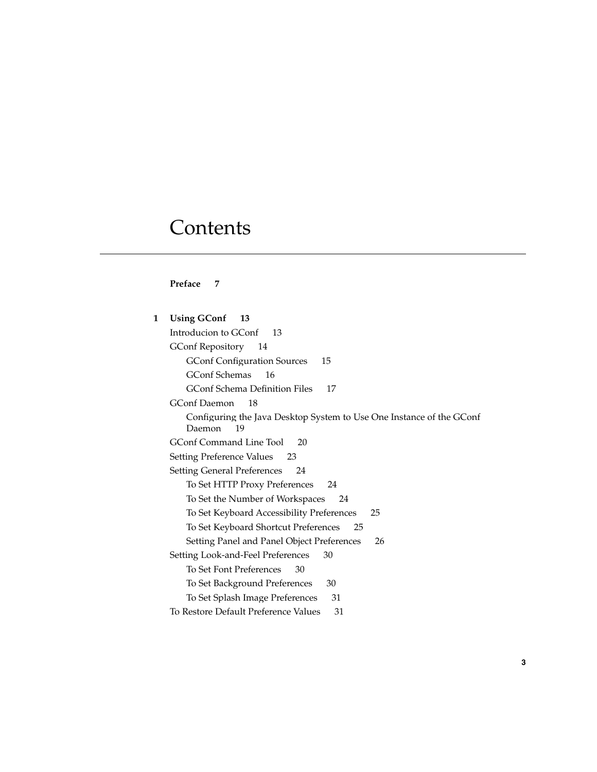## **Contents**

#### **[Preface 7](#page-6-0)**

**[1 Using GConf 13](#page-12-0)** [Introducion to GConf 13](#page-12-0) [GConf Repository 14](#page-13-0) [GConf Configuration Sources 15](#page-14-0) [GConf Schemas 16](#page-15-0) [GConf Schema Definition Files 17](#page-16-0) [GConf Daemon 18](#page-17-0) [Configuring the Java Desktop System to Use One Instance of the GConf](#page-18-0) [Daemon 19](#page-18-0) [GConf Command Line Tool 20](#page-19-0) [Setting Preference Values 23](#page-22-0) [Setting General Preferences 24](#page-23-0) [To Set HTTP Proxy Preferences 24](#page-23-0) [To Set the Number of Workspaces 24](#page-23-0) [To Set Keyboard Accessibility Preferences 25](#page-24-0) [To Set Keyboard Shortcut Preferences 25](#page-24-0) [Setting Panel and Panel Object Preferences 26](#page-25-0) [Setting Look-and-Feel Preferences 30](#page-29-0) [To Set Font Preferences 30](#page-29-0) [To Set Background Preferences 30](#page-29-0) [To Set Splash Image Preferences 31](#page-30-0) [To Restore Default Preference Values 31](#page-30-0)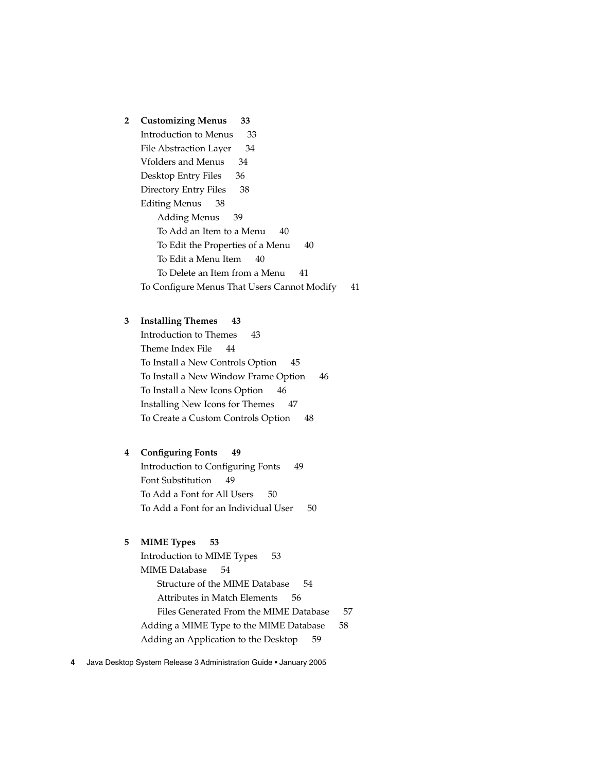**[2 Customizing Menus 33](#page-32-0)**

[Introduction to Menus 33](#page-32-0) [File Abstraction Layer 34](#page-33-0) [Vfolders and Menus 34](#page-33-0) [Desktop Entry Files 36](#page-35-0) [Directory Entry Files 38](#page-37-0) [Editing Menus 38](#page-37-0) [Adding Menus 39](#page-38-0) [To Add an Item to a Menu 40](#page-39-0) [To Edit the Properties of a Menu 40](#page-39-0) [To Edit a Menu Item 40](#page-39-0) [To Delete an Item from a Menu 41](#page-40-0) [To Configure Menus That Users Cannot Modify 41](#page-40-0)

#### **[3 Installing Themes 43](#page-42-0)**

[Introduction to Themes 43](#page-42-0) [Theme Index File 44](#page-43-0) [To Install a New Controls Option 45](#page-44-0) [To Install a New Window Frame Option 46](#page-45-0) [To Install a New Icons Option 46](#page-45-0) [Installing New Icons for Themes 47](#page-46-0) [To Create a Custom Controls Option 48](#page-47-0)

#### **[4 Configuring Fonts 49](#page-48-0)**

[Introduction to Configuring Fonts 49](#page-48-0) [Font Substitution 49](#page-48-0) [To Add a Font for All Users 50](#page-49-0) [To Add a Font for an Individual User 50](#page-49-0)

#### **[5 MIME Types 53](#page-52-0)**

[Introduction to MIME Types 53](#page-52-0) [MIME Database 54](#page-53-0) [Structure of the MIME Database 54](#page-53-0) [Attributes in Match Elements 56](#page-55-0) [Files Generated From the MIME Database 57](#page-56-0) [Adding a MIME Type to the MIME Database 58](#page-57-0) [Adding an Application to the Desktop 59](#page-58-0)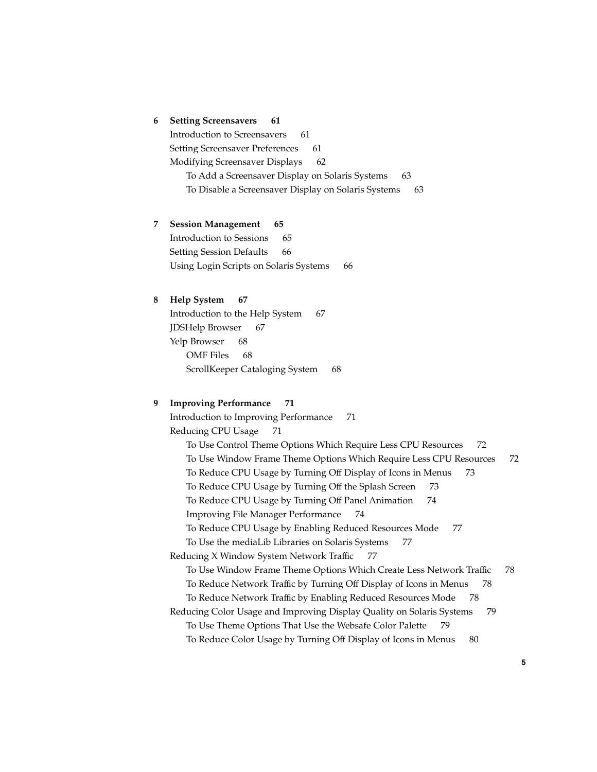#### **[6 Setting Screensavers 61](#page-60-0)**

[Introduction to Screensavers 61](#page-60-0) [Setting Screensaver Preferences 61](#page-60-0) [Modifying Screensaver Displays 62](#page-61-0) [To Add a Screensaver Display on Solaris Systems 63](#page-62-0) [To Disable a Screensaver Display on Solaris Systems 63](#page-62-0)

**[7 Session Management 65](#page-64-0)** [Introduction to Sessions 65](#page-64-0) [Setting Session Defaults 66](#page-65-0) [Using Login Scripts on Solaris Systems 66](#page-65-0)

#### **[8 Help System 67](#page-66-0)**

[Introduction to the Help System 67](#page-66-0) [JDSHelp Browser 67](#page-66-0) [Yelp Browser 68](#page-67-0) [OMF Files 68](#page-67-0) [ScrollKeeper Cataloging System 68](#page-67-0)

#### **[9 Improving Performance 71](#page-70-0)**

[Introduction to Improving Performance 71](#page-70-0) [Reducing CPU Usage 71](#page-70-0) [To Use Control Theme Options Which Require Less CPU Resources 72](#page-71-0) [To Use Window Frame Theme Options Which Require Less CPU Resources 72](#page-71-0) [To Reduce CPU Usage by Turning Off Display of Icons in Menus 73](#page-72-0) [To Reduce CPU Usage by Turning Off the Splash Screen 73](#page-72-0) [To Reduce CPU Usage by Turning Off Panel Animation 74](#page-73-0) [Improving File Manager Performance 74](#page-73-0) [To Reduce CPU Usage by Enabling Reduced Resources Mode 77](#page-76-0) [To Use the mediaLib Libraries on Solaris Systems 77](#page-76-0) [Reducing X Window System Network Traffic 77](#page-76-0) [To Use Window Frame Theme Options Which Create Less Network Traffic 78](#page-77-0) [To Reduce Network Traffic by Turning Off Display of Icons in Menus 78](#page-77-0) [To Reduce Network Traffic by Enabling Reduced Resources Mode 78](#page-77-0) [Reducing Color Usage and Improving Display Quality on Solaris Systems 79](#page-78-0) [To Use Theme Options That Use the Websafe Color Palette 79](#page-78-0) [To Reduce Color Usage by Turning Off Display of Icons in Menus 80](#page-79-0)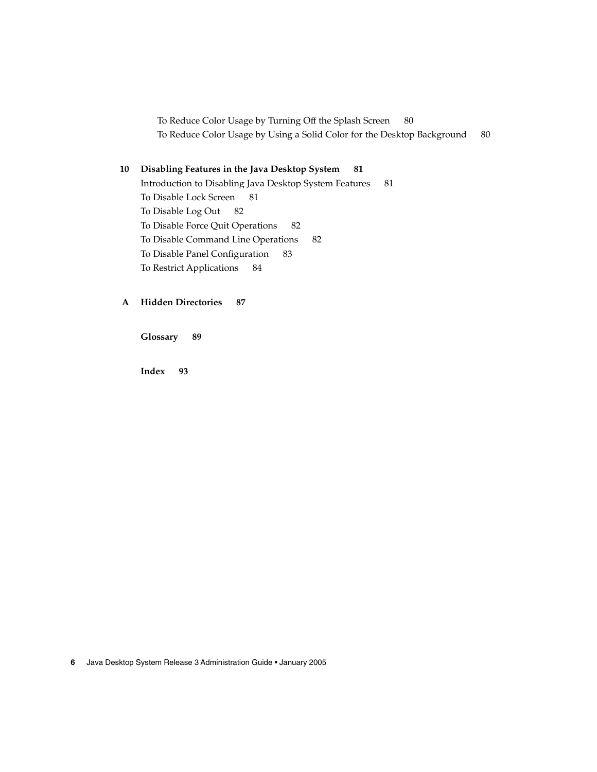[To Reduce Color Usage by Turning Off the Splash Screen 80](#page-79-0) [To Reduce Color Usage by Using a Solid Color for the Desktop Background 80](#page-79-0)

#### **[10 Disabling Features in the Java Desktop System 81](#page-80-0)**

[Introduction to Disabling Java Desktop System Features 81](#page-80-0) [To Disable Lock Screen 81](#page-80-0) [To Disable Log Out 82](#page-81-0) [To Disable Force Quit Operations 82](#page-81-0) [To Disable Command Line Operations 82](#page-81-0) [To Disable Panel Configuration 83](#page-82-0) [To Restrict Applications 84](#page-83-0)

#### **[A Hidden Directories 87](#page-86-0)**

**[Glossary 89](#page-88-0)**

**[Index 93](#page-92-0)**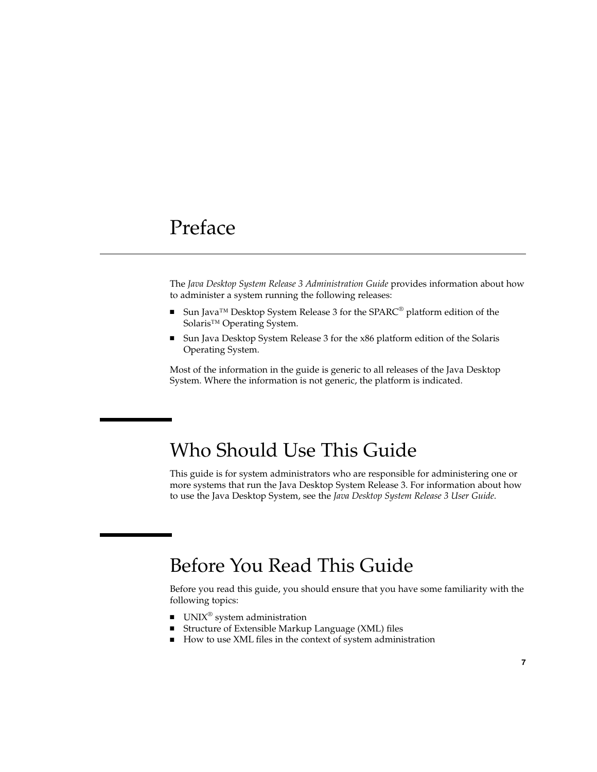## <span id="page-6-0"></span>Preface

The *Java Desktop System Release 3 Administration Guide* provides information about how to administer a system running the following releases:

- Sun Java<sup>™</sup> Desktop System Release 3 for the SPARC<sup>®</sup> platform edition of the Solaris<sup>™</sup> Operating System.
- Sun Java Desktop System Release 3 for the x86 platform edition of the Solaris Operating System.

Most of the information in the guide is generic to all releases of the Java Desktop System. Where the information is not generic, the platform is indicated.

## Who Should Use This Guide

This guide is for system administrators who are responsible for administering one or more systems that run the Java Desktop System Release 3. For information about how to use the Java Desktop System, see the *Java Desktop System Release 3 User Guide*.

## Before You Read This Guide

Before you read this guide, you should ensure that you have some familiarity with the following topics:

- UNIX<sup>®</sup> system administration
- Structure of Extensible Markup Language (XML) files
- How to use XML files in the context of system administration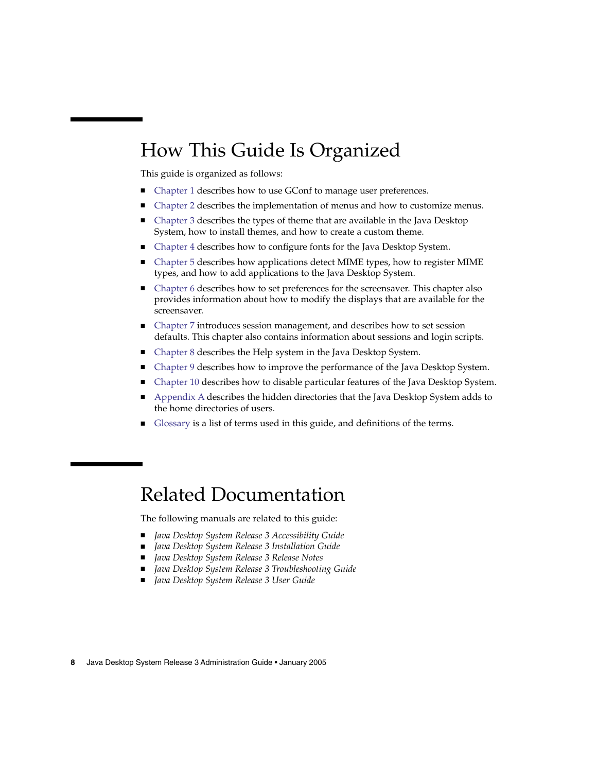## How This Guide Is Organized

This guide is organized as follows:

- [Chapter 1](#page-12-0) describes how to use GConf to manage user preferences.
- [Chapter 2](#page-32-0) describes the implementation of menus and how to customize menus.
- [Chapter 3](#page-42-0) describes the types of theme that are available in the Java Desktop System, how to install themes, and how to create a custom theme.
- [Chapter 4](#page-48-0) describes how to configure fonts for the Java Desktop System.
- [Chapter 5](#page-52-0) describes how applications detect MIME types, how to register MIME types, and how to add applications to the Java Desktop System.
- [Chapter 6](#page-60-0) describes how to set preferences for the screensaver. This chapter also provides information about how to modify the displays that are available for the screensaver.
- [Chapter 7](#page-64-0) introduces session management, and describes how to set session defaults. This chapter also contains information about sessions and login scripts.
- [Chapter 8](#page-66-0) describes the Help system in the Java Desktop System.
- [Chapter 9](#page-70-0) describes how to improve the performance of the Java Desktop System.
- [Chapter 10](#page-80-0) describes how to disable particular features of the Java Desktop System.
- [Appendix A](#page-86-0) describes the hidden directories that the Java Desktop System adds to the home directories of users.
- [Glossary](#page-88-0) is a list of terms used in this guide, and definitions of the terms.

### Related Documentation

The following manuals are related to this guide:

- Java Desktop System Release 3 Accessibility Guide
- Java Desktop System Release 3 Installation Guide
- *Java Desktop System Release 3 Release Notes*
- *Java Desktop System Release 3 Troubleshooting Guide*
- *Java Desktop System Release 3 User Guide*
- **8** Java Desktop System Release 3 Administration Guide January 2005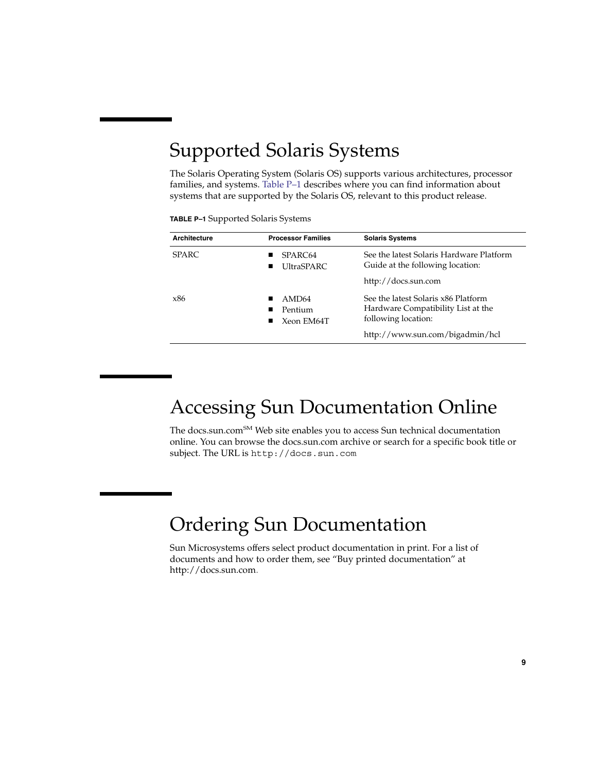# Supported Solaris Systems

The Solaris Operating System (Solaris OS) supports various architectures, processor families, and systems. Table P–1 describes where you can find information about systems that are supported by the Solaris OS, relevant to this product release.

| TABLE P-1 Supported Solaris Systems |  |  |  |
|-------------------------------------|--|--|--|
|-------------------------------------|--|--|--|

| <b>Architecture</b> | <b>Processor Families</b>                  | <b>Solaris Systems</b>                                                                           |
|---------------------|--------------------------------------------|--------------------------------------------------------------------------------------------------|
| <b>SPARC</b>        | SPARC64<br>UltraSPARC                      | See the latest Solaris Hardware Platform<br>Guide at the following location:                     |
|                     |                                            | http://docs.sun.com                                                                              |
| x86                 | AMD <sub>64</sub><br>Pentium<br>Xeon EM64T | See the latest Solaris x86 Platform<br>Hardware Compatibility List at the<br>following location: |
|                     |                                            | http://www.sun.com/bigadmin/hcl                                                                  |

## Accessing Sun Documentation Online

The docs.sun.com<sup>SM</sup> Web site enables you to access Sun technical documentation online. You can browse the docs.sun.com archive or search for a specific book title or subject. The URL is <http://docs.sun.com>.

## Ordering Sun Documentation

Sun Microsystems offers select product documentation in print. For a list of documents and how to order them, see "Buy printed documentation" at [http://docs.sun.com.](http://docs.sun.com)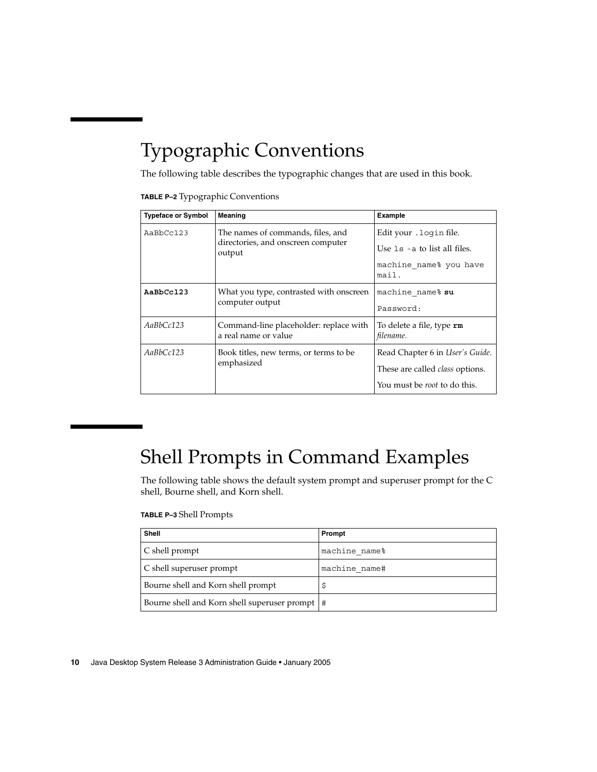# Typographic Conventions

The following table describes the typographic changes that are used in this book.

| <b>TABLE P-2</b> Typographic Conventions |  |  |  |
|------------------------------------------|--|--|--|
|------------------------------------------|--|--|--|

| <b>Typeface or Symbol</b> | Meaning                                                                           | Example                                                                                                                  |
|---------------------------|-----------------------------------------------------------------------------------|--------------------------------------------------------------------------------------------------------------------------|
| AaBbCc123                 | The names of commands, files, and<br>directories, and onscreen computer<br>output | Edit your . login file.<br>Use $1s$ -a to list all files.<br>machine name% you have<br>mail.                             |
| AaBbCc123                 | What you type, contrasted with onscreen<br>computer output                        | machine name% su<br>Password:                                                                                            |
| AaBbCc123                 | Command-line placeholder: replace with<br>a real name or value                    | To delete a file, type <b>rm</b><br>filename.                                                                            |
| AaBbCc123                 | Book titles, new terms, or terms to be<br>emphasized                              | Read Chapter 6 in <i>User's Guide</i> .<br>These are called <i>class</i> options.<br>You must be <i>root</i> to do this. |

# Shell Prompts in Command Examples

The following table shows the default system prompt and superuser prompt for the C shell, Bourne shell, and Korn shell.

#### **TABLE P–3** Shell Prompts

| <b>Shell</b>                                     | Prompt        |
|--------------------------------------------------|---------------|
| C shell prompt                                   | machine name% |
| C shell superuser prompt                         | machine name# |
| Bourne shell and Korn shell prompt               |               |
| Bourne shell and Korn shell superuser prompt   # |               |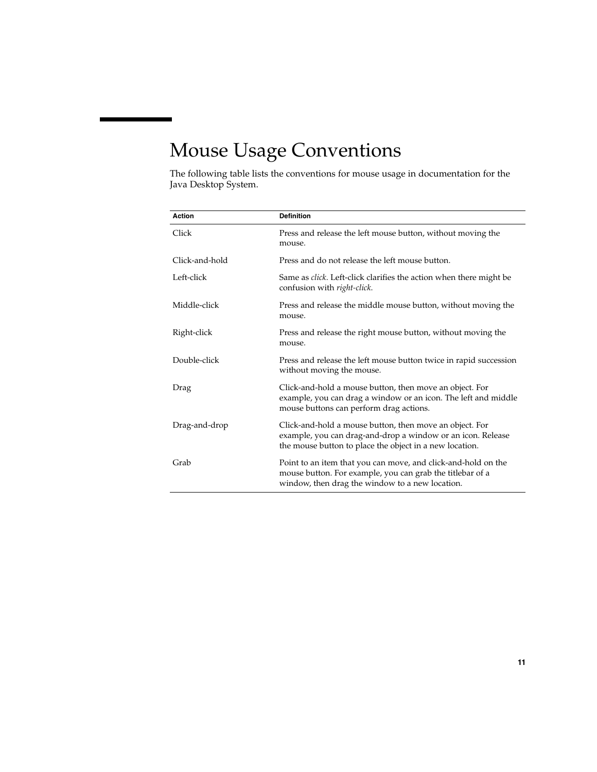# Mouse Usage Conventions

The following table lists the conventions for mouse usage in documentation for the Java Desktop System.

| <b>Action</b>  | <b>Definition</b>                                                                                                                                                                 |
|----------------|-----------------------------------------------------------------------------------------------------------------------------------------------------------------------------------|
| Click          | Press and release the left mouse button, without moving the<br>mouse.                                                                                                             |
| Click-and-hold | Press and do not release the left mouse button.                                                                                                                                   |
| Left-click     | Same as <i>click</i> . Left-click clarifies the action when there might be<br>confusion with right-click.                                                                         |
| Middle-click   | Press and release the middle mouse button, without moving the<br>mouse.                                                                                                           |
| Right-click    | Press and release the right mouse button, without moving the<br>mouse.                                                                                                            |
| Double-click   | Press and release the left mouse button twice in rapid succession<br>without moving the mouse.                                                                                    |
| Drag           | Click-and-hold a mouse button, then move an object. For<br>example, you can drag a window or an icon. The left and middle<br>mouse buttons can perform drag actions.              |
| Drag-and-drop  | Click-and-hold a mouse button, then move an object. For<br>example, you can drag-and-drop a window or an icon. Release<br>the mouse button to place the object in a new location. |
| Grab           | Point to an item that you can move, and click-and-hold on the<br>mouse button. For example, you can grab the titlebar of a<br>window, then drag the window to a new location.     |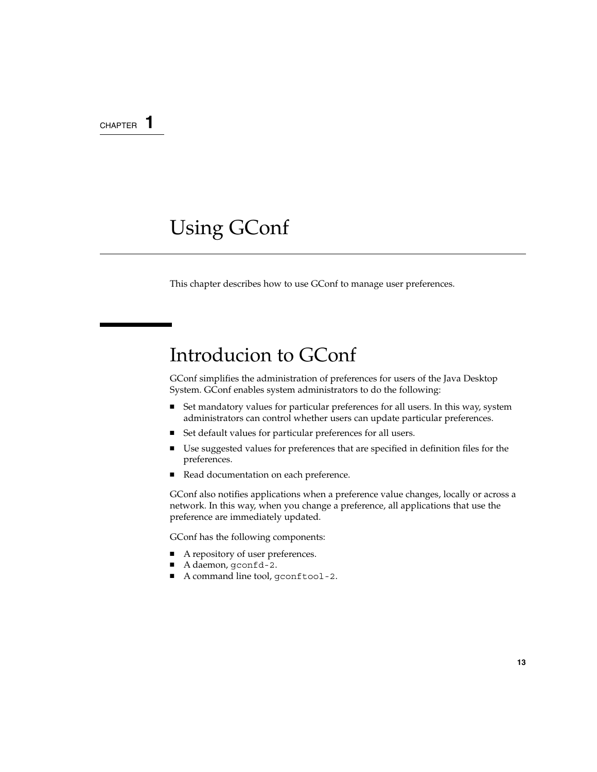#### <span id="page-12-0"></span>CHAPTER **1**

## Using GConf

This chapter describes how to use GConf to manage user preferences.

### Introducion to GConf

GConf simplifies the administration of preferences for users of the Java Desktop System. GConf enables system administrators to do the following:

- Set mandatory values for particular preferences for all users. In this way, system administrators can control whether users can update particular preferences.
- Set default values for particular preferences for all users.
- Use suggested values for preferences that are specified in definition files for the preferences.
- Read documentation on each preference.

GConf also notifies applications when a preference value changes, locally or across a network. In this way, when you change a preference, all applications that use the preference are immediately updated.

GConf has the following components:

- A repository of user preferences.
- A daemon, gconfd-2.
- A command line tool, gconftool-2.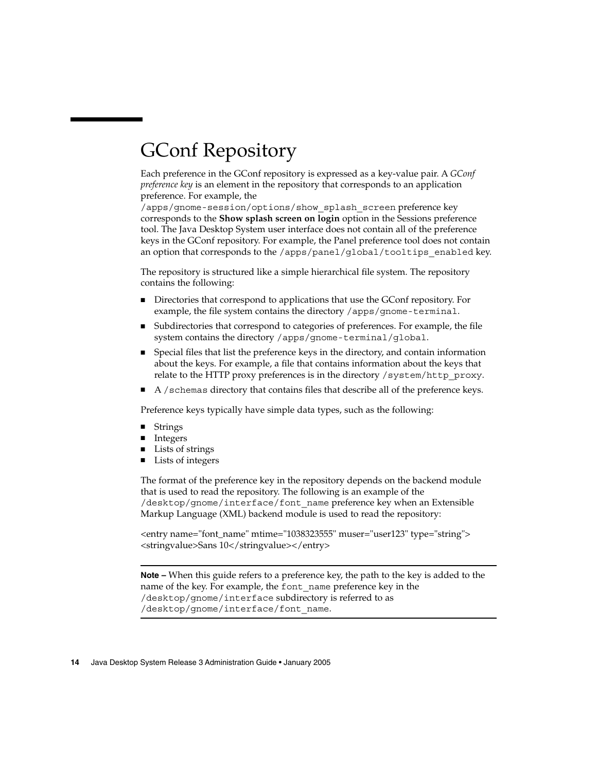# <span id="page-13-0"></span>GConf Repository

Each preference in the GConf repository is expressed as a key-value pair. A *GConf preference key* is an element in the repository that corresponds to an application preference. For example, the

/apps/gnome-session/options/show\_splash\_screen preference key corresponds to the **Show splash screen on login** option in the Sessions preference tool. The Java Desktop System user interface does not contain all of the preference keys in the GConf repository. For example, the Panel preference tool does not contain an option that corresponds to the /apps/panel/global/tooltips\_enabled key.

The repository is structured like a simple hierarchical file system. The repository contains the following:

- Directories that correspond to applications that use the GConf repository. For example, the file system contains the directory /apps/gnome-terminal.
- Subdirectories that correspond to categories of preferences. For example, the file system contains the directory /apps/gnome-terminal/global.
- Special files that list the preference keys in the directory, and contain information about the keys. For example, a file that contains information about the keys that relate to the HTTP proxy preferences is in the directory /system/http\_proxy.
- A / schemas directory that contains files that describe all of the preference keys.

Preference keys typically have simple data types, such as the following:

- **Strings**
- **Integers**
- Lists of strings
- Lists of integers

The format of the preference key in the repository depends on the backend module that is used to read the repository. The following is an example of the /desktop/gnome/interface/font\_name preference key when an Extensible Markup Language (XML) backend module is used to read the repository:

<entry name="font\_name" mtime="1038323555" muser="user123" type="string"> <stringvalue>Sans 10</stringvalue></entry>

**Note –** When this guide refers to a preference key, the path to the key is added to the name of the key. For example, the font\_name preference key in the /desktop/gnome/interface subdirectory is referred to as /desktop/gnome/interface/font\_name.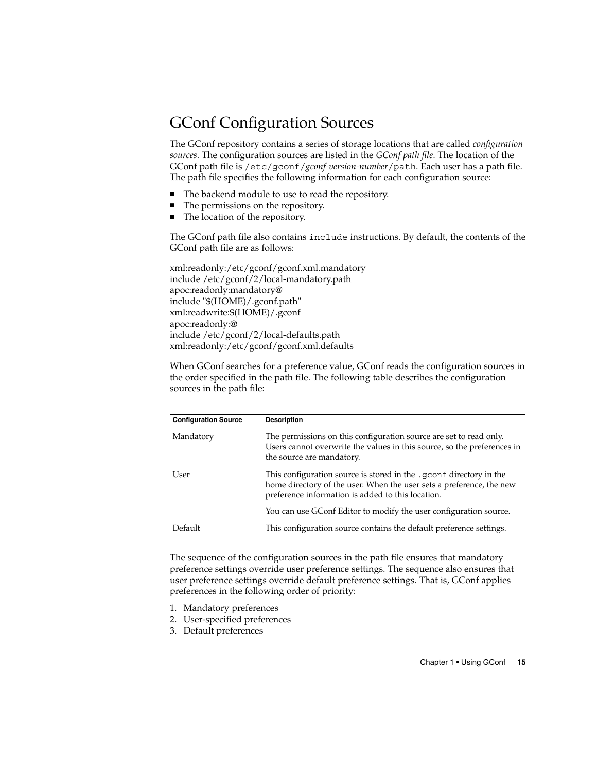#### <span id="page-14-0"></span>GConf Configuration Sources

The GConf repository contains a series of storage locations that are called *configuration sources*. The configuration sources are listed in the *GConf path file*. The location of the GConf path file is /etc/gconf/*gconf-version-number*/path. Each user has a path file. The path file specifies the following information for each configuration source:

- The backend module to use to read the repository.
- The permissions on the repository.
- The location of the repository.

The GConf path file also contains include instructions. By default, the contents of the GConf path file are as follows:

xml:readonly:/etc/gconf/gconf.xml.mandatory include /etc/gconf/2/local-mandatory.path apoc:readonly:mandatory@ include "\$(HOME)/.gconf.path" xml:readwrite:\$(HOME)/.gconf apoc:readonly:@ include /etc/gconf/2/local-defaults.path xml:readonly:/etc/gconf/gconf.xml.defaults

When GConf searches for a preference value, GConf reads the configuration sources in the order specified in the path file. The following table describes the configuration sources in the path file:

| <b>Configuration Source</b> | <b>Description</b>                                                                                                                                                                              |
|-----------------------------|-------------------------------------------------------------------------------------------------------------------------------------------------------------------------------------------------|
| Mandatory                   | The permissions on this configuration source are set to read only.<br>Users cannot overwrite the values in this source, so the preferences in<br>the source are mandatory.                      |
| User                        | This configuration source is stored in the .gconf directory in the<br>home directory of the user. When the user sets a preference, the new<br>preference information is added to this location. |
|                             | You can use GConf Editor to modify the user configuration source.                                                                                                                               |
| Default                     | This configuration source contains the default preference settings.                                                                                                                             |

The sequence of the configuration sources in the path file ensures that mandatory preference settings override user preference settings. The sequence also ensures that user preference settings override default preference settings. That is, GConf applies preferences in the following order of priority:

- 1. Mandatory preferences
- 2. User-specified preferences
- 3. Default preferences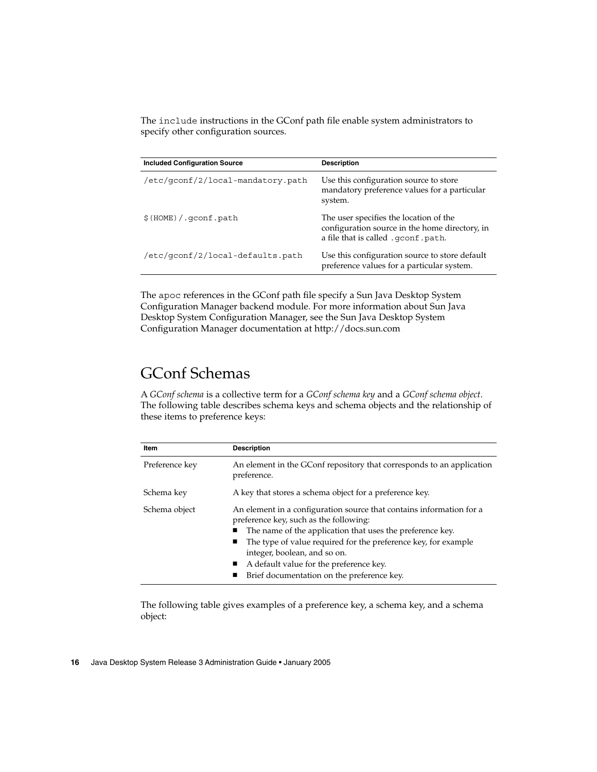<span id="page-15-0"></span>The include instructions in the GConf path file enable system administrators to specify other configuration sources.

| <b>Included Configuration Source</b> | <b>Description</b>                                                                                                              |
|--------------------------------------|---------------------------------------------------------------------------------------------------------------------------------|
| /etc/gconf/2/local-mandatory.path    | Use this configuration source to store<br>mandatory preference values for a particular<br>system.                               |
| \$ (HOME) / qconf.path               | The user specifies the location of the<br>configuration source in the home directory, in<br>a file that is called . gconf.path. |
| /etc/qconf/2/local-defaults.path     | Use this configuration source to store default<br>preference values for a particular system.                                    |

The apoc references in the GConf path file specify a Sun Java Desktop System Configuration Manager backend module. For more information about Sun Java Desktop System Configuration Manager, see the Sun Java Desktop System Configuration Manager documentation at [http://docs.sun.com.](http://docs.sun.com)

### GConf Schemas

A *GConf schema* is a collective term for a *GConf schema key* and a *GConf schema object*. The following table describes schema keys and schema objects and the relationship of these items to preference keys:

| Item           | <b>Description</b>                                                                                                                                                                                                                                                                                                                                                               |
|----------------|----------------------------------------------------------------------------------------------------------------------------------------------------------------------------------------------------------------------------------------------------------------------------------------------------------------------------------------------------------------------------------|
| Preference key | An element in the GConf repository that corresponds to an application<br>preference.                                                                                                                                                                                                                                                                                             |
| Schema key     | A key that stores a schema object for a preference key.                                                                                                                                                                                                                                                                                                                          |
| Schema object  | An element in a configuration source that contains information for a<br>preference key, such as the following:<br>The name of the application that uses the preference key.<br>The type of value required for the preference key, for example<br>п<br>integer, boolean, and so on.<br>A default value for the preference key.<br>ш<br>Brief documentation on the preference key. |

The following table gives examples of a preference key, a schema key, and a schema object: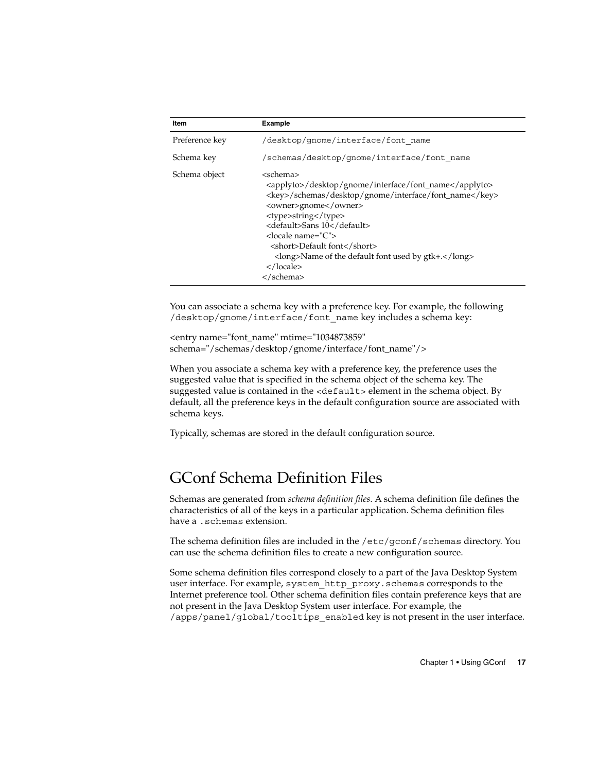<span id="page-16-0"></span>

| Item           | <b>Example</b>                                                                                                                                                                                                                                                                                                                                                                                                                    |
|----------------|-----------------------------------------------------------------------------------------------------------------------------------------------------------------------------------------------------------------------------------------------------------------------------------------------------------------------------------------------------------------------------------------------------------------------------------|
| Preference key | /desktop/qnome/interface/font name                                                                                                                                                                                                                                                                                                                                                                                                |
| Schema key     | /schemas/desktop/qnome/interface/font name                                                                                                                                                                                                                                                                                                                                                                                        |
| Schema object  | <schema><br/><applyto>/desktop/gnome/interface/font_name</applyto><br/><key>/schemas/desktop/gnome/interface/font_name</key><br/><owner>gnome</owner><br/><type>string</type><br/><default>Sans 10</default><br/><locale name="C"><br/><short>Default font</short><br/><math>\langle</math>long&gt;Name of the default font used by gtk+.<math>\langle</math>/long&gt;<br/><math>\langle</math>/locale&gt;<br/></locale></schema> |

You can associate a schema key with a preference key. For example, the following /desktop/gnome/interface/font\_name key includes a schema key:

<entry name="font\_name" mtime="1034873859" schema="/schemas/desktop/gnome/interface/font\_name"/>

When you associate a schema key with a preference key, the preference uses the suggested value that is specified in the schema object of the schema key. The suggested value is contained in the <default> element in the schema object. By default, all the preference keys in the default configuration source are associated with schema keys.

Typically, schemas are stored in the default configuration source.

#### GConf Schema Definition Files

Schemas are generated from *schema definition files*. A schema definition file defines the characteristics of all of the keys in a particular application. Schema definition files have a .schemas extension.

The schema definition files are included in the /etc/gconf/schemas directory. You can use the schema definition files to create a new configuration source.

Some schema definition files correspond closely to a part of the Java Desktop System user interface. For example, system\_http\_proxy.schemas corresponds to the Internet preference tool. Other schema definition files contain preference keys that are not present in the Java Desktop System user interface. For example, the /apps/panel/global/tooltips\_enabled key is not present in the user interface.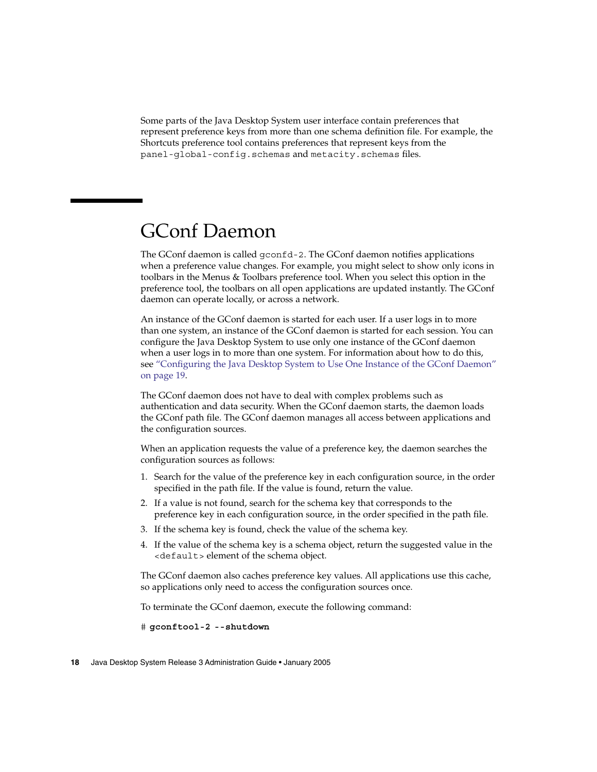<span id="page-17-0"></span>Some parts of the Java Desktop System user interface contain preferences that represent preference keys from more than one schema definition file. For example, the Shortcuts preference tool contains preferences that represent keys from the panel-global-config.schemas and metacity.schemas files.

## GConf Daemon

The GConf daemon is called gconfd-2. The GConf daemon notifies applications when a preference value changes. For example, you might select to show only icons in toolbars in the Menus & Toolbars preference tool. When you select this option in the preference tool, the toolbars on all open applications are updated instantly. The GConf daemon can operate locally, or across a network.

An instance of the GConf daemon is started for each user. If a user logs in to more than one system, an instance of the GConf daemon is started for each session. You can configure the Java Desktop System to use only one instance of the GConf daemon when a user logs in to more than one system. For information about how to do this, see ["Configuring the Java Desktop System to Use One Instance of the GConf Daemon"](#page-18-0) [on page 19.](#page-18-0)

The GConf daemon does not have to deal with complex problems such as authentication and data security. When the GConf daemon starts, the daemon loads the GConf path file. The GConf daemon manages all access between applications and the configuration sources.

When an application requests the value of a preference key, the daemon searches the configuration sources as follows:

- 1. Search for the value of the preference key in each configuration source, in the order specified in the path file. If the value is found, return the value.
- 2. If a value is not found, search for the schema key that corresponds to the preference key in each configuration source, in the order specified in the path file.
- 3. If the schema key is found, check the value of the schema key.
- 4. If the value of the schema key is a schema object, return the suggested value in the <default> element of the schema object.

The GConf daemon also caches preference key values. All applications use this cache, so applications only need to access the configuration sources once.

To terminate the GConf daemon, execute the following command:

# **gconftool-2 --shutdown**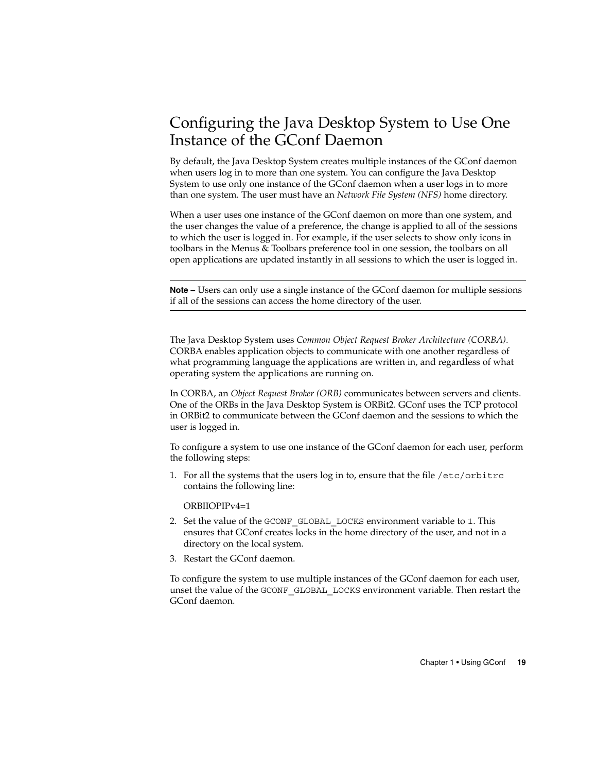### <span id="page-18-0"></span>Configuring the Java Desktop System to Use One Instance of the GConf Daemon

By default, the Java Desktop System creates multiple instances of the GConf daemon when users log in to more than one system. You can configure the Java Desktop System to use only one instance of the GConf daemon when a user logs in to more than one system. The user must have an *Network File System (NFS)* home directory.

When a user uses one instance of the GConf daemon on more than one system, and the user changes the value of a preference, the change is applied to all of the sessions to which the user is logged in. For example, if the user selects to show only icons in toolbars in the Menus & Toolbars preference tool in one session, the toolbars on all open applications are updated instantly in all sessions to which the user is logged in.

**Note –** Users can only use a single instance of the GConf daemon for multiple sessions if all of the sessions can access the home directory of the user.

The Java Desktop System uses *Common Object Request Broker Architecture (CORBA)*. CORBA enables application objects to communicate with one another regardless of what programming language the applications are written in, and regardless of what operating system the applications are running on.

In CORBA, an *Object Request Broker (ORB)* communicates between servers and clients. One of the ORBs in the Java Desktop System is ORBit2. GConf uses the TCP protocol in ORBit2 to communicate between the GConf daemon and the sessions to which the user is logged in.

To configure a system to use one instance of the GConf daemon for each user, perform the following steps:

1. For all the systems that the users log in to, ensure that the file /etc/orbitrc contains the following line:

ORBIIOPIPv4=1

- 2. Set the value of the GCONF\_GLOBAL\_LOCKS environment variable to 1. This ensures that GConf creates locks in the home directory of the user, and not in a directory on the local system.
- 3. Restart the GConf daemon.

To configure the system to use multiple instances of the GConf daemon for each user, unset the value of the GCONF\_GLOBAL\_LOCKS environment variable. Then restart the GConf daemon.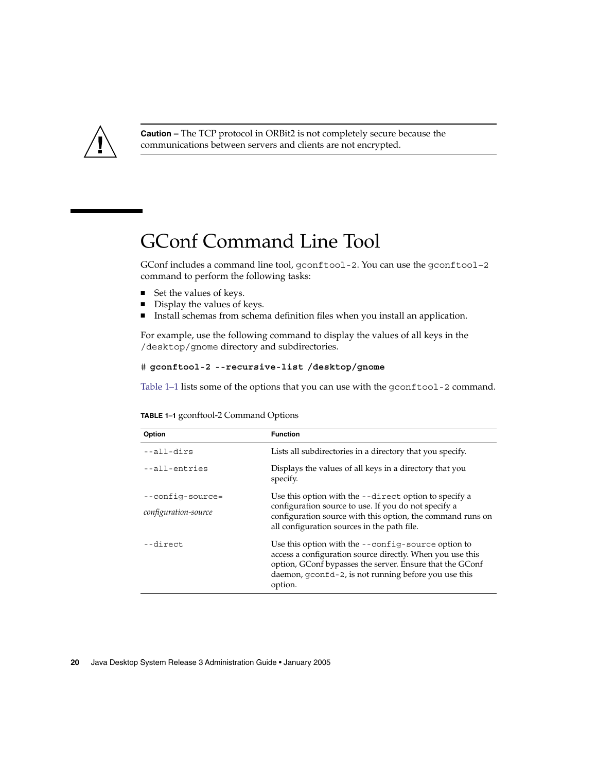<span id="page-19-0"></span>

**Caution –** The TCP protocol in ORBit2 is not completely secure because the communications between servers and clients are not encrypted.

## GConf Command Line Tool

GConf includes a command line tool, gconftool-2. You can use the gconftool–2 command to perform the following tasks:

- Set the values of keys.
- Display the values of keys.
- Install schemas from schema definition files when you install an application.

For example, use the following command to display the values of all keys in the /desktop/gnome directory and subdirectories.

#### # **gconftool-2 --recursive-list /desktop/gnome**

Table 1-1 lists some of the options that you can use with the gconftool-2 command.

| Option                                          | <b>Function</b>                                                                                                                                                                                                                                |
|-------------------------------------------------|------------------------------------------------------------------------------------------------------------------------------------------------------------------------------------------------------------------------------------------------|
| --all-dirs                                      | Lists all subdirectories in a directory that you specify.                                                                                                                                                                                      |
| --all-entries                                   | Displays the values of all keys in a directory that you<br>specify.                                                                                                                                                                            |
| --config-source=<br><i>configuration-source</i> | Use this option with the --direct option to specify a<br>configuration source to use. If you do not specify a<br>configuration source with this option, the command runs on<br>all configuration sources in the path file.                     |
| --direct                                        | Use this option with the --config-source option to<br>access a configuration source directly. When you use this<br>option, GConf bypasses the server. Ensure that the GConf<br>daemon, gconfd-2, is not running before you use this<br>option. |

**TABLE 1–1** gconftool-2 Command Options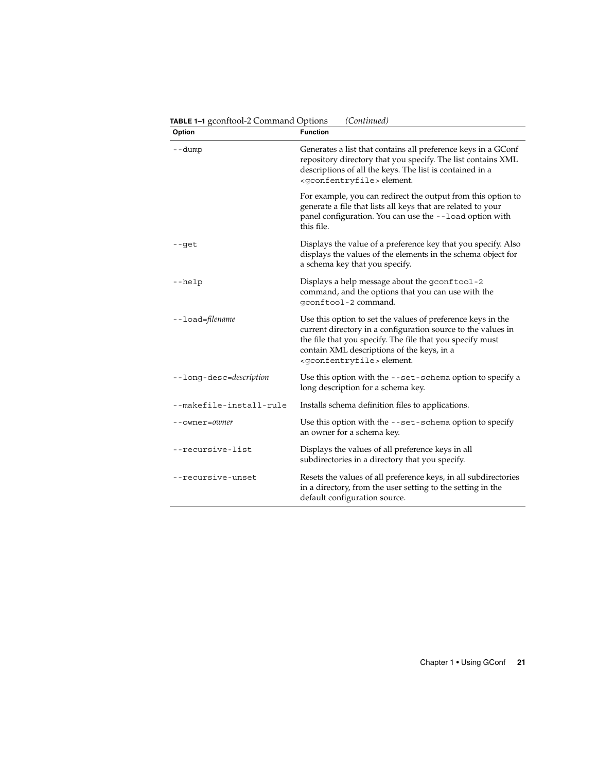| Option                  | <b>Function</b>                                                                                                                                                                                                                                                                     |
|-------------------------|-------------------------------------------------------------------------------------------------------------------------------------------------------------------------------------------------------------------------------------------------------------------------------------|
| --dump                  | Generates a list that contains all preference keys in a GConf<br>repository directory that you specify. The list contains XML<br>descriptions of all the keys. The list is contained in a<br><gconfentryfile>element.</gconfentryfile>                                              |
|                         | For example, you can redirect the output from this option to<br>generate a file that lists all keys that are related to your<br>panel configuration. You can use the --load option with<br>this file.                                                                               |
| --get                   | Displays the value of a preference key that you specify. Also<br>displays the values of the elements in the schema object for<br>a schema key that you specify.                                                                                                                     |
| --help                  | Displays a help message about the gconftool-2<br>command, and the options that you can use with the<br>qconftool-2 command.                                                                                                                                                         |
| --load=filename         | Use this option to set the values of preference keys in the<br>current directory in a configuration source to the values in<br>the file that you specify. The file that you specify must<br>contain XML descriptions of the keys, in a<br><gconfentryfile>element.</gconfentryfile> |
| --long-desc=description | Use this option with the --set-schema option to specify a<br>long description for a schema key.                                                                                                                                                                                     |
| --makefile-install-rule | Installs schema definition files to applications.                                                                                                                                                                                                                                   |
| --owner=owner           | Use this option with the --set-schema option to specify<br>an owner for a schema key.                                                                                                                                                                                               |
| --recursive-list        | Displays the values of all preference keys in all<br>subdirectories in a directory that you specify.                                                                                                                                                                                |
| --recursive-unset       | Resets the values of all preference keys, in all subdirectories<br>in a directory, from the user setting to the setting in the<br>default configuration source.                                                                                                                     |

Chapter 1 • Using GConf **21**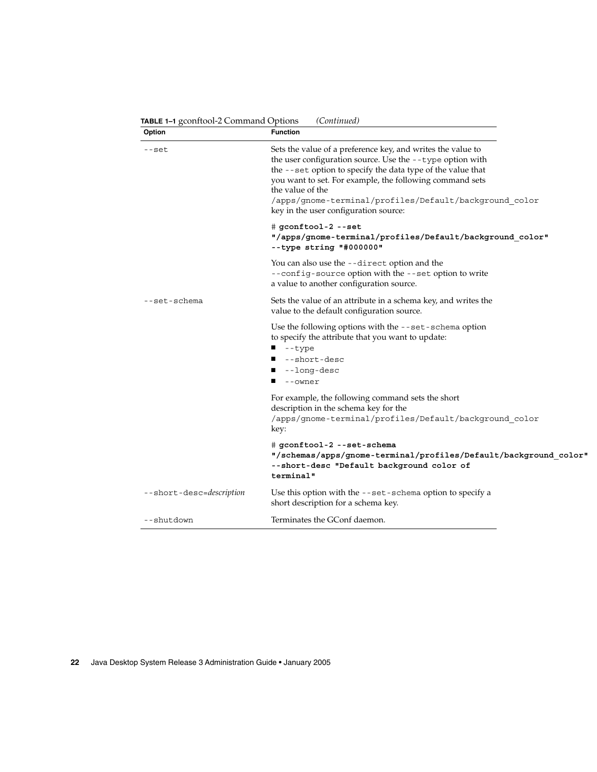| Sets the value of a preference key, and writes the value to<br>--set<br>the user configuration source. Use the --type option with<br>the --set option to specify the data type of the value that<br>you want to set. For example, the following command sets<br>the value of the<br>/apps/gnome-terminal/profiles/Default/background_color<br>key in the user configuration source:<br>$\#$ gconftool-2 --set<br>"/apps/gnome-terminal/profiles/Default/background_color"<br>$-$ -type string "#000000"<br>You can also use the --direct option and the<br>--config-source option with the --set option to write<br>a value to another configuration source.<br>Sets the value of an attribute in a schema key, and writes the<br>--set-schema<br>value to the default configuration source.<br>Use the following options with the --set-schema option<br>to specify the attribute that you want to update:<br>--type<br>--short-desc<br>--long-desc<br>--owner<br>For example, the following command sets the short<br>description in the schema key for the<br>/apps/gnome-terminal/profiles/Default/background_color<br>key:<br># gconftool-2 --set-schema<br>--short-desc "Default background color of<br>terminal"<br>Use this option with the --set-schema option to specify a<br>--short-desc=description<br>short description for a schema key. | Option | <b>Function</b>                                                  |
|---------------------------------------------------------------------------------------------------------------------------------------------------------------------------------------------------------------------------------------------------------------------------------------------------------------------------------------------------------------------------------------------------------------------------------------------------------------------------------------------------------------------------------------------------------------------------------------------------------------------------------------------------------------------------------------------------------------------------------------------------------------------------------------------------------------------------------------------------------------------------------------------------------------------------------------------------------------------------------------------------------------------------------------------------------------------------------------------------------------------------------------------------------------------------------------------------------------------------------------------------------------------------------------------------------------------------------------------------------|--------|------------------------------------------------------------------|
|                                                                                                                                                                                                                                                                                                                                                                                                                                                                                                                                                                                                                                                                                                                                                                                                                                                                                                                                                                                                                                                                                                                                                                                                                                                                                                                                                         |        |                                                                  |
|                                                                                                                                                                                                                                                                                                                                                                                                                                                                                                                                                                                                                                                                                                                                                                                                                                                                                                                                                                                                                                                                                                                                                                                                                                                                                                                                                         |        |                                                                  |
|                                                                                                                                                                                                                                                                                                                                                                                                                                                                                                                                                                                                                                                                                                                                                                                                                                                                                                                                                                                                                                                                                                                                                                                                                                                                                                                                                         |        |                                                                  |
|                                                                                                                                                                                                                                                                                                                                                                                                                                                                                                                                                                                                                                                                                                                                                                                                                                                                                                                                                                                                                                                                                                                                                                                                                                                                                                                                                         |        |                                                                  |
|                                                                                                                                                                                                                                                                                                                                                                                                                                                                                                                                                                                                                                                                                                                                                                                                                                                                                                                                                                                                                                                                                                                                                                                                                                                                                                                                                         |        |                                                                  |
|                                                                                                                                                                                                                                                                                                                                                                                                                                                                                                                                                                                                                                                                                                                                                                                                                                                                                                                                                                                                                                                                                                                                                                                                                                                                                                                                                         |        |                                                                  |
|                                                                                                                                                                                                                                                                                                                                                                                                                                                                                                                                                                                                                                                                                                                                                                                                                                                                                                                                                                                                                                                                                                                                                                                                                                                                                                                                                         |        | "/schemas/apps/gnome-terminal/profiles/Default/background color" |
|                                                                                                                                                                                                                                                                                                                                                                                                                                                                                                                                                                                                                                                                                                                                                                                                                                                                                                                                                                                                                                                                                                                                                                                                                                                                                                                                                         |        |                                                                  |
| Terminates the GConf daemon.<br>--shutdown                                                                                                                                                                                                                                                                                                                                                                                                                                                                                                                                                                                                                                                                                                                                                                                                                                                                                                                                                                                                                                                                                                                                                                                                                                                                                                              |        |                                                                  |

**TABLE 1–1** gconftool-2 Command Options *(Continued)*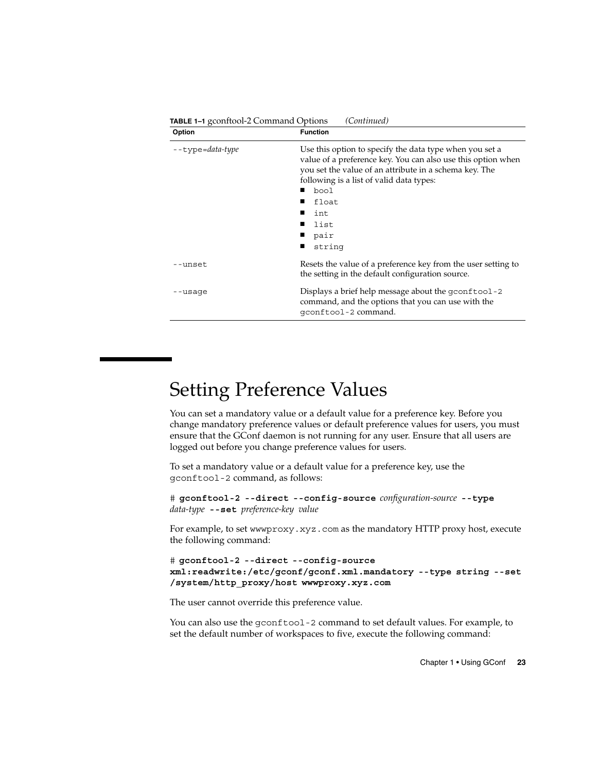<span id="page-22-0"></span>

| Option           | <b>Function</b>                                                                                                                                                                                                                                                                                   |
|------------------|---------------------------------------------------------------------------------------------------------------------------------------------------------------------------------------------------------------------------------------------------------------------------------------------------|
| --type=data-type | Use this option to specify the data type when you set a<br>value of a preference key. You can also use this option when<br>you set the value of an attribute in a schema key. The<br>following is a list of valid data types:<br>bool<br>float<br>int<br>$\blacksquare$<br>list<br>pair<br>string |
| --unset          | Resets the value of a preference key from the user setting to<br>the setting in the default configuration source.                                                                                                                                                                                 |
| --usaqe          | Displays a brief help message about the gconftool -2<br>command, and the options that you can use with the<br>qconftool-2 command.                                                                                                                                                                |

## Setting Preference Values

You can set a mandatory value or a default value for a preference key. Before you change mandatory preference values or default preference values for users, you must ensure that the GConf daemon is not running for any user. Ensure that all users are logged out before you change preference values for users.

To set a mandatory value or a default value for a preference key, use the gconftool-2 command, as follows:

# **gconftool-2 --direct --config-source** *configuration-source* **--type** *data-type* **--set** *preference-key value*

For example, to set wwwproxy.xyz.com as the mandatory HTTP proxy host, execute the following command:

# **gconftool-2 --direct --config-source xml:readwrite:/etc/gconf/gconf.xml.mandatory --type string --set /system/http\_proxy/host wwwproxy.xyz.com**

The user cannot override this preference value.

You can also use the gconftool-2 command to set default values. For example, to set the default number of workspaces to five, execute the following command:

Chapter 1 • Using GConf **23**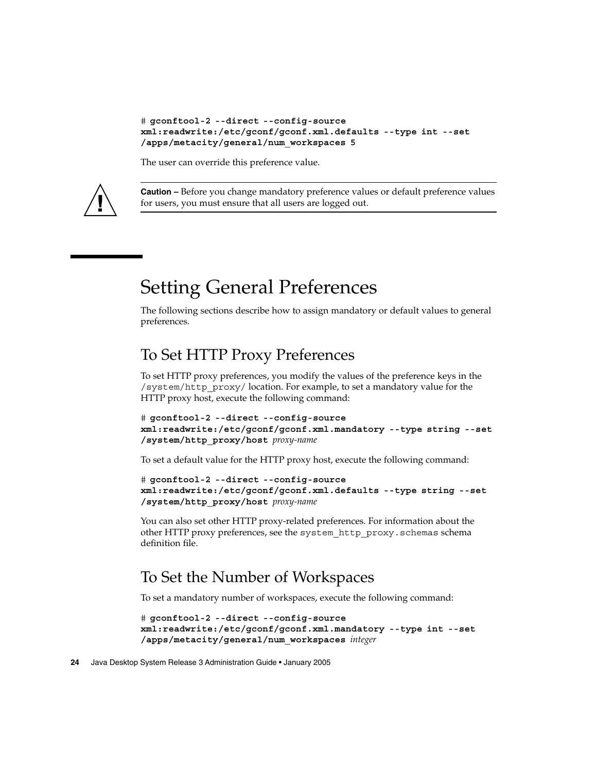```
# gconftool-2 --direct --config-source
xml:readwrite:/etc/gconf/gconf.xml.defaults --type int --set
/apps/metacity/general/num_workspaces 5
```
The user can override this preference value.



**Caution –** Before you change mandatory preference values or default preference values for users, you must ensure that all users are logged out.

## Setting General Preferences

The following sections describe how to assign mandatory or default values to general preferences.

### To Set HTTP Proxy Preferences

To set HTTP proxy preferences, you modify the values of the preference keys in the /system/http\_proxy/ location. For example, to set a mandatory value for the HTTP proxy host, execute the following command:

```
# gconftool-2 --direct --config-source
xml:readwrite:/etc/gconf/gconf.xml.mandatory --type string --set
/system/http_proxy/host proxy-name
```
To set a default value for the HTTP proxy host, execute the following command:

```
# gconftool-2 --direct --config-source
xml:readwrite:/etc/gconf/gconf.xml.defaults --type string --set
/system/http_proxy/host proxy-name
```
You can also set other HTTP proxy-related preferences. For information about the other HTTP proxy preferences, see the system\_http\_proxy.schemas schema definition file.

#### To Set the Number of Workspaces

To set a mandatory number of workspaces, execute the following command:

```
# gconftool-2 --direct --config-source
xml:readwrite:/etc/gconf/gconf.xml.mandatory --type int --set
/apps/metacity/general/num_workspaces integer
```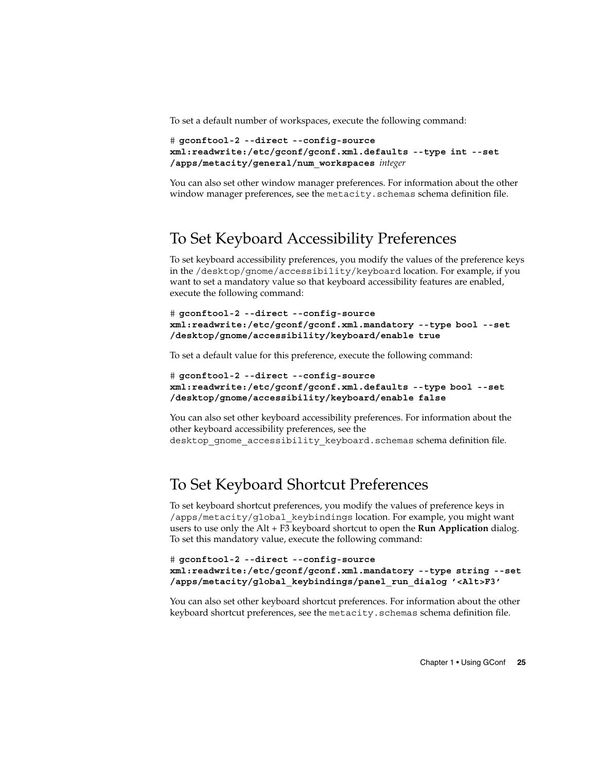<span id="page-24-0"></span>To set a default number of workspaces, execute the following command:

```
# gconftool-2 --direct --config-source
xml:readwrite:/etc/gconf/gconf.xml.defaults --type int --set
/apps/metacity/general/num_workspaces integer
```
You can also set other window manager preferences. For information about the other window manager preferences, see the metacity.schemas schema definition file.

#### To Set Keyboard Accessibility Preferences

To set keyboard accessibility preferences, you modify the values of the preference keys in the /desktop/gnome/accessibility/keyboard location. For example, if you want to set a mandatory value so that keyboard accessibility features are enabled, execute the following command:

```
# gconftool-2 --direct --config-source
xml:readwrite:/etc/gconf/gconf.xml.mandatory --type bool --set
/desktop/gnome/accessibility/keyboard/enable true
```
To set a default value for this preference, execute the following command:

```
# gconftool-2 --direct --config-source
xml:readwrite:/etc/gconf/gconf.xml.defaults --type bool --set
/desktop/gnome/accessibility/keyboard/enable false
```
You can also set other keyboard accessibility preferences. For information about the other keyboard accessibility preferences, see the desktop\_gnome\_accessibility\_keyboard.schemas schema definition file.

#### To Set Keyboard Shortcut Preferences

To set keyboard shortcut preferences, you modify the values of preference keys in /apps/metacity/global\_keybindings location. For example, you might want users to use only the Alt + F3 keyboard shortcut to open the **Run Application** dialog. To set this mandatory value, execute the following command:

```
# gconftool-2 --direct --config-source
xml:readwrite:/etc/gconf/gconf.xml.mandatory --type string --set
/apps/metacity/global_keybindings/panel_run_dialog '<Alt>F3'
```
You can also set other keyboard shortcut preferences. For information about the other keyboard shortcut preferences, see the metacity.schemas schema definition file.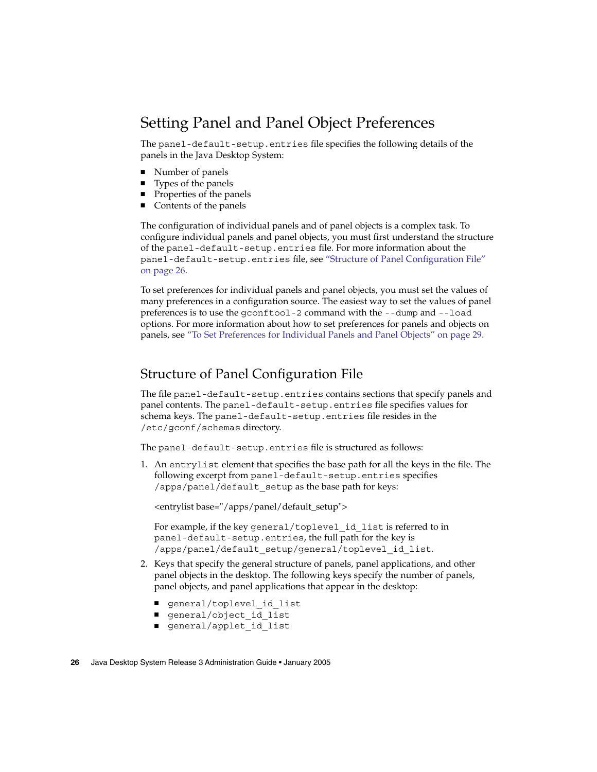#### <span id="page-25-0"></span>Setting Panel and Panel Object Preferences

The panel-default-setup.entries file specifies the following details of the panels in the Java Desktop System:

- Number of panels
- Types of the panels
- Properties of the panels
- Contents of the panels

The configuration of individual panels and of panel objects is a complex task. To configure individual panels and panel objects, you must first understand the structure of the panel-default-setup.entries file. For more information about the panel-default-setup.entries file, see "Structure of Panel Configuration File" on page 26.

To set preferences for individual panels and panel objects, you must set the values of many preferences in a configuration source. The easiest way to set the values of panel preferences is to use the gconftool-2 command with the --dump and --load options. For more information about how to set preferences for panels and objects on panels, see ["To Set Preferences for Individual Panels and Panel Objects"](#page-28-0) on page 29.

#### Structure of Panel Configuration File

The file panel-default-setup.entries contains sections that specify panels and panel contents. The panel-default-setup.entries file specifies values for schema keys. The panel-default-setup.entries file resides in the /etc/gconf/schemas directory.

The panel-default-setup.entries file is structured as follows:

1. An entrylist element that specifies the base path for all the keys in the file. The following excerpt from panel-default-setup.entries specifies /apps/panel/default\_setup as the base path for keys:

<entrylist base="/apps/panel/default\_setup">

For example, if the key general/toplevel id list is referred to in panel-default-setup.entries, the full path for the key is /apps/panel/default\_setup/general/toplevel\_id\_list.

- 2. Keys that specify the general structure of panels, panel applications, and other panel objects in the desktop. The following keys specify the number of panels, panel objects, and panel applications that appear in the desktop:
	- general/toplevel\_id\_list
	- general/object\_id\_list
	- general/applet id list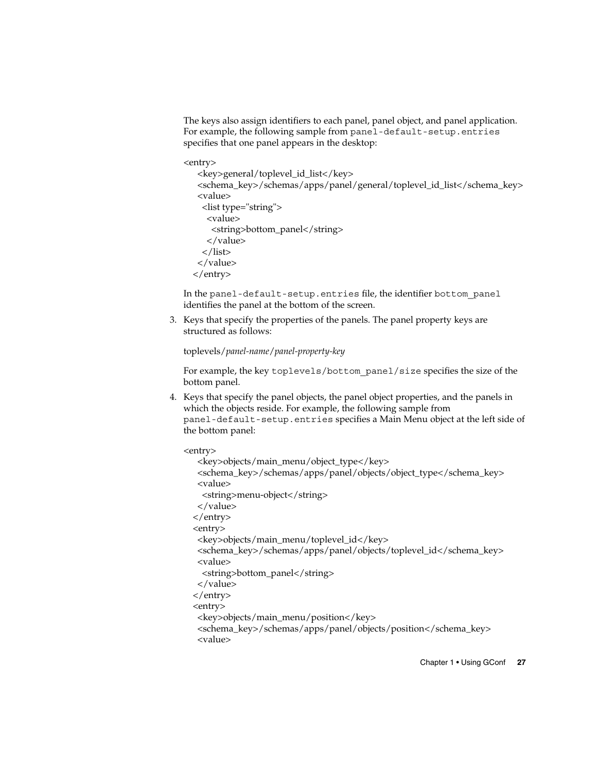The keys also assign identifiers to each panel, panel object, and panel application. For example, the following sample from panel-default-setup.entries specifies that one panel appears in the desktop:

<entry>

```
<key>general/toplevel_id_list</key>
 <schema_key>/schemas/apps/panel/general/toplevel_id_list</schema_key>
 <value>
  <list type="string">
   <value>
    <string>bottom_panel</string>
   </value>
  \langlelist\rangle</value>
</entry>
```
In the panel-default-setup.entries file, the identifier bottom panel identifies the panel at the bottom of the screen.

3. Keys that specify the properties of the panels. The panel property keys are structured as follows:

toplevels/*panel-name*/*panel-property-key*

For example, the key toplevels/bottom\_panel/size specifies the size of the bottom panel.

4. Keys that specify the panel objects, the panel object properties, and the panels in which the objects reside. For example, the following sample from panel-default-setup.entries specifies a Main Menu object at the left side of the bottom panel:

<entry>

```
<key>objects/main_menu/object_type</key>
<schema_key>/schemas/apps/panel/objects/object_type</schema_key>
<value>
 <string>menu-object</string>
</value>
</entry>
<entry>
<key>objects/main_menu/toplevel_id</key>
<schema_key>/schemas/apps/panel/objects/toplevel_id</schema_key>
<value>
 <string>bottom_panel</string>
</value>
</entry>
<entry>
<key>objects/main_menu/position</key>
<schema_key>/schemas/apps/panel/objects/position</schema_key>
<value>
```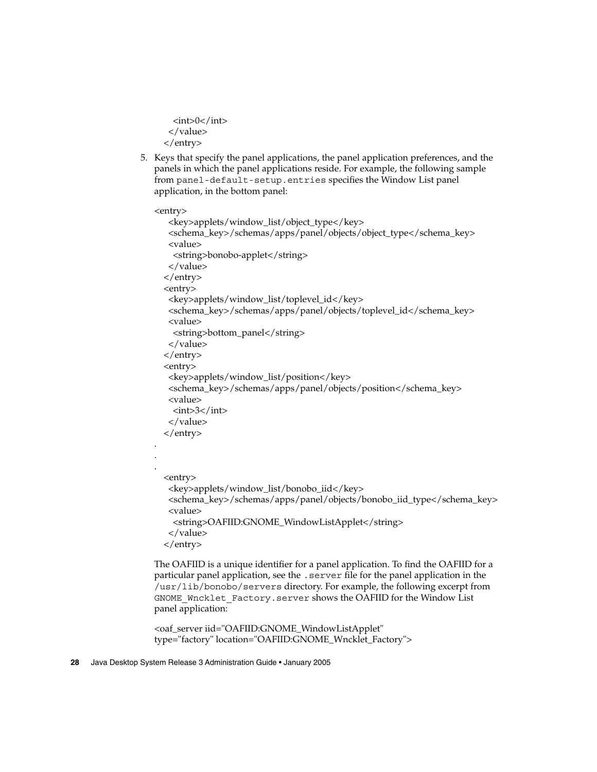```
<sub>int</sub>>0</int></sub>
 </value>
</entry>
```
5. Keys that specify the panel applications, the panel application preferences, and the panels in which the panel applications reside. For example, the following sample from panel-default-setup.entries specifies the Window List panel application, in the bottom panel:

```
<entry>
   <key>applets/window_list/object_type</key>
   <schema_key>/schemas/apps/panel/objects/object_type</schema_key>
   <value>
    <string>bonobo-applet</string>
   </value>
  </entry>
  <entry>
   <key>applets/window_list/toplevel_id</key>
   <schema_key>/schemas/apps/panel/objects/toplevel_id</schema_key>
   <value>
    <string>bottom_panel</string>
  </value>
 </entry>
  <entry>
   <key>applets/window_list/position</key>
   <schema_key>/schemas/apps/panel/objects/position</schema_key>
   <value>
    \langleint>3\langleint></value>
 </entry>
 <entry>
   <key>applets/window_list/bonobo_iid</key>
   <schema_key>/schemas/apps/panel/objects/bonobo_iid_type</schema_key>
   <value>
    <string>OAFIID:GNOME_WindowListApplet</string>
   </value>
 </entry>
```
The OAFIID is a unique identifier for a panel application. To find the OAFIID for a particular panel application, see the .server file for the panel application in the /usr/lib/bonobo/servers directory. For example, the following excerpt from GNOME\_Wncklet\_Factory.server shows the OAFIID for the Window List panel application:

```
<oaf_server iid="OAFIID:GNOME_WindowListApplet"
type="factory" location="OAFIID:GNOME_Wncklet_Factory">
```
#### **28** Java Desktop System Release 3 Administration Guide • January 2005

. . .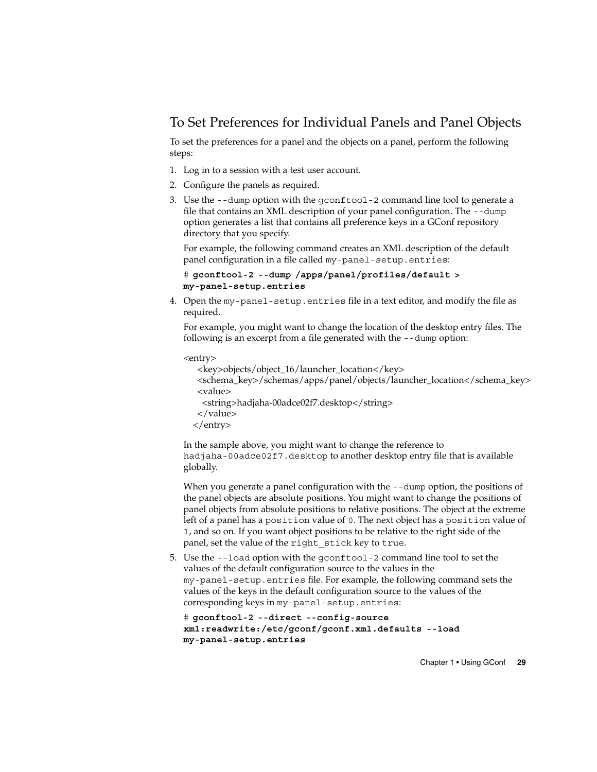#### <span id="page-28-0"></span>To Set Preferences for Individual Panels and Panel Objects

To set the preferences for a panel and the objects on a panel, perform the following steps:

- 1. Log in to a session with a test user account.
- 2. Configure the panels as required.
- 3. Use the --dump option with the gconftool-2 command line tool to generate a file that contains an XML description of your panel configuration. The --dump option generates a list that contains all preference keys in a GConf repository directory that you specify.

For example, the following command creates an XML description of the default panel configuration in a file called my-panel-setup.entries:

```
# gconftool-2 --dump /apps/panel/profiles/default >
my-panel-setup.entries
```
4. Open the my-panel-setup.entries file in a text editor, and modify the file as required.

For example, you might want to change the location of the desktop entry files. The following is an excerpt from a file generated with the --dump option:

```
<entry>
```

```
<key>objects/object_16/launcher_location</key>
<schema_key>/schemas/apps/panel/objects/launcher_location</schema_key>
<value>
 <string>hadjaha-00adce02f7.desktop</string>
</value>
</entry>
```
In the sample above, you might want to change the reference to hadjaha-00adce02f7.desktop to another desktop entry file that is available globally.

When you generate a panel configuration with the --dump option, the positions of the panel objects are absolute positions. You might want to change the positions of panel objects from absolute positions to relative positions. The object at the extreme left of a panel has a position value of 0. The next object has a position value of 1, and so on. If you want object positions to be relative to the right side of the panel, set the value of the right\_stick key to true.

5. Use the --load option with the gconftool-2 command line tool to set the values of the default configuration source to the values in the my-panel-setup.entries file. For example, the following command sets the values of the keys in the default configuration source to the values of the corresponding keys in my-panel-setup.entries:

```
# gconftool-2 --direct --config-source
xml:readwrite:/etc/gconf/gconf.xml.defaults --load
my-panel-setup.entries
```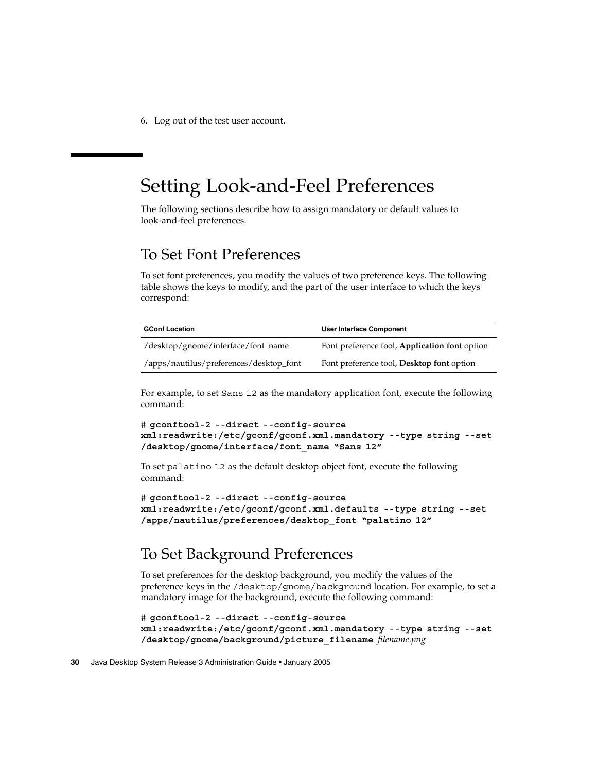<span id="page-29-0"></span>6. Log out of the test user account.

### Setting Look-and-Feel Preferences

The following sections describe how to assign mandatory or default values to look-and-feel preferences.

#### To Set Font Preferences

To set font preferences, you modify the values of two preference keys. The following table shows the keys to modify, and the part of the user interface to which the keys correspond:

| <b>GConf Location</b>                   | <b>User Interface Component</b>                  |
|-----------------------------------------|--------------------------------------------------|
| /desktop/gnome/interface/font_name      | Font preference tool, Application font option    |
| /apps/nautilus/preferences/desktop_font | Font preference tool, <b>Desktop font</b> option |

For example, to set Sans 12 as the mandatory application font, execute the following command:

```
# gconftool-2 --direct --config-source
xml:readwrite:/etc/gconf/gconf.xml.mandatory --type string --set
/desktop/gnome/interface/font_name "Sans 12"
```
To set palatino 12 as the default desktop object font, execute the following command:

```
# gconftool-2 --direct --config-source
xml:readwrite:/etc/gconf/gconf.xml.defaults --type string --set
/apps/nautilus/preferences/desktop_font "palatino 12"
```
### To Set Background Preferences

To set preferences for the desktop background, you modify the values of the preference keys in the /desktop/gnome/background location. For example, to set a mandatory image for the background, execute the following command:

```
# gconftool-2 --direct --config-source
xml:readwrite:/etc/gconf/gconf.xml.mandatory --type string --set
/desktop/gnome/background/picture_filename filename.png
```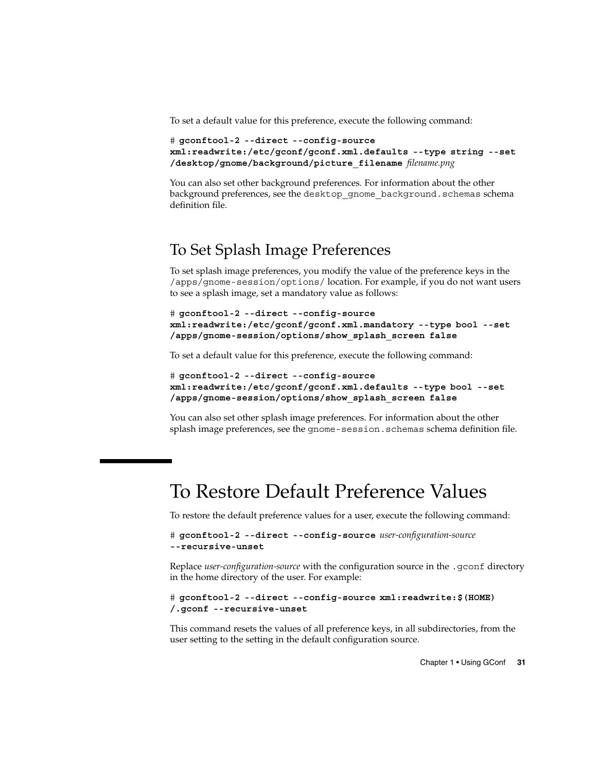<span id="page-30-0"></span>To set a default value for this preference, execute the following command:

```
# gconftool-2 --direct --config-source
xml:readwrite:/etc/gconf/gconf.xml.defaults --type string --set
/desktop/gnome/background/picture_filename filename.png
```
You can also set other background preferences. For information about the other background preferences, see the desktop\_gnome\_background.schemas schema definition file.

#### To Set Splash Image Preferences

To set splash image preferences, you modify the value of the preference keys in the /apps/gnome-session/options/ location. For example, if you do not want users to see a splash image, set a mandatory value as follows:

```
# gconftool-2 --direct --config-source
xml:readwrite:/etc/gconf/gconf.xml.mandatory --type bool --set
/apps/gnome-session/options/show_splash_screen false
```
To set a default value for this preference, execute the following command:

```
# gconftool-2 --direct --config-source
xml:readwrite:/etc/gconf/gconf.xml.defaults --type bool --set
/apps/gnome-session/options/show_splash_screen false
```
You can also set other splash image preferences. For information about the other splash image preferences, see the gnome-session.schemas schema definition file.

### To Restore Default Preference Values

To restore the default preference values for a user, execute the following command:

```
# gconftool-2 --direct --config-source user-configuration-source
--recursive-unset
```
Replace *user-configuration-source* with the configuration source in the .gconf directory in the home directory of the user. For example:

```
# gconftool-2 --direct --config-source xml:readwrite:$(HOME)
/.gconf --recursive-unset
```
This command resets the values of all preference keys, in all subdirectories, from the user setting to the setting in the default configuration source.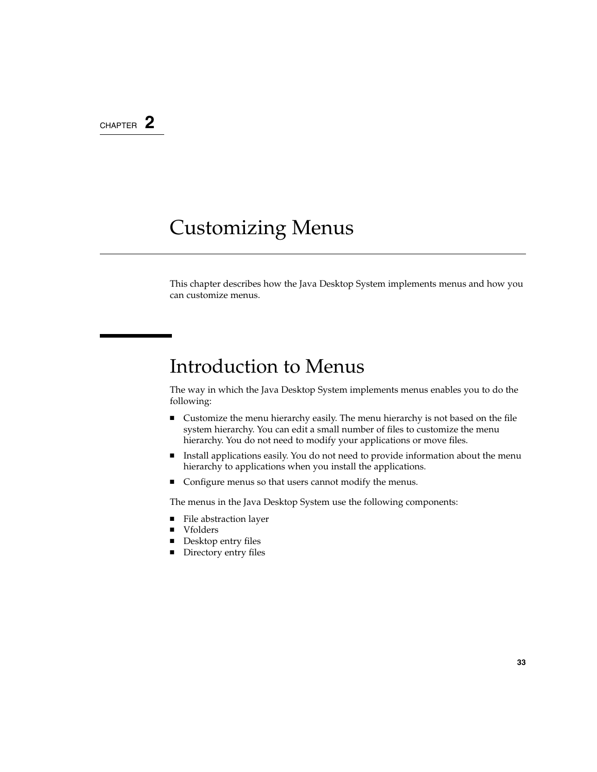#### <span id="page-32-0"></span>CHAPTER **2**

## Customizing Menus

This chapter describes how the Java Desktop System implements menus and how you can customize menus.

### Introduction to Menus

The way in which the Java Desktop System implements menus enables you to do the following:

- Customize the menu hierarchy easily. The menu hierarchy is not based on the file system hierarchy. You can edit a small number of files to customize the menu hierarchy. You do not need to modify your applications or move files.
- Install applications easily. You do not need to provide information about the menu hierarchy to applications when you install the applications.
- Configure menus so that users cannot modify the menus.

The menus in the Java Desktop System use the following components:

- File abstraction layer
- Vfolders
- Desktop entry files
- Directory entry files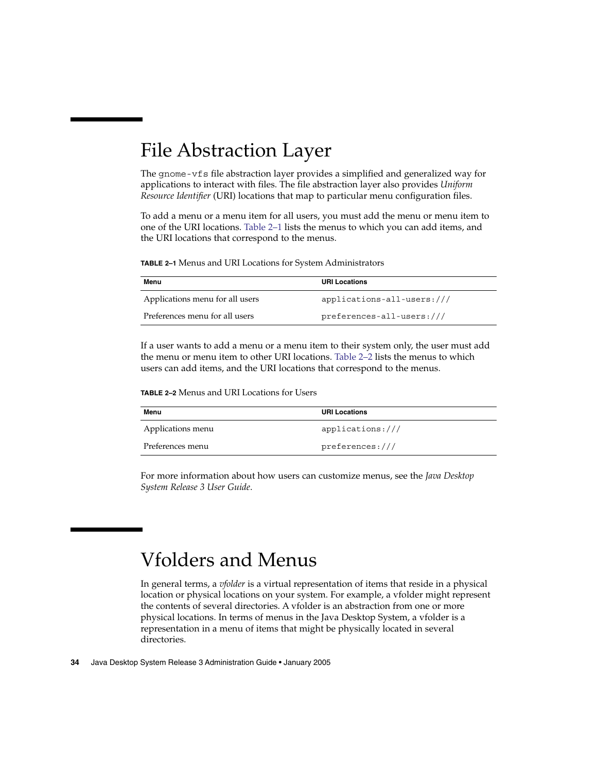## <span id="page-33-0"></span>File Abstraction Layer

The gnome-vfs file abstraction layer provides a simplified and generalized way for applications to interact with files. The file abstraction layer also provides *Uniform Resource Identifier* (URI) locations that map to particular menu configuration files.

To add a menu or a menu item for all users, you must add the menu or menu item to one of the URI locations. Table 2–1 lists the menus to which you can add items, and the URI locations that correspond to the menus.

**TABLE 2–1** Menus and URI Locations for System Administrators

| Menu                            | <b>URI Locations</b>         |
|---------------------------------|------------------------------|
| Applications menu for all users | $applications-all-users:///$ |
| Preferences menu for all users  | $preferences-all-users:///$  |

If a user wants to add a menu or a menu item to their system only, the user must add the menu or menu item to other URI locations. Table 2–2 lists the menus to which users can add items, and the URI locations that correspond to the menus.

**TABLE 2–2** Menus and URI Locations for Users

| Menu              | <b>URI Locations</b> |
|-------------------|----------------------|
| Applications menu | applications:///     |
| Preferences menu  | preferences:///      |

For more information about how users can customize menus, see the *Java Desktop System Release 3 User Guide*.

## Vfolders and Menus

In general terms, a *vfolder* is a virtual representation of items that reside in a physical location or physical locations on your system. For example, a vfolder might represent the contents of several directories. A vfolder is an abstraction from one or more physical locations. In terms of menus in the Java Desktop System, a vfolder is a representation in a menu of items that might be physically located in several directories.

**34** Java Desktop System Release 3 Administration Guide • January 2005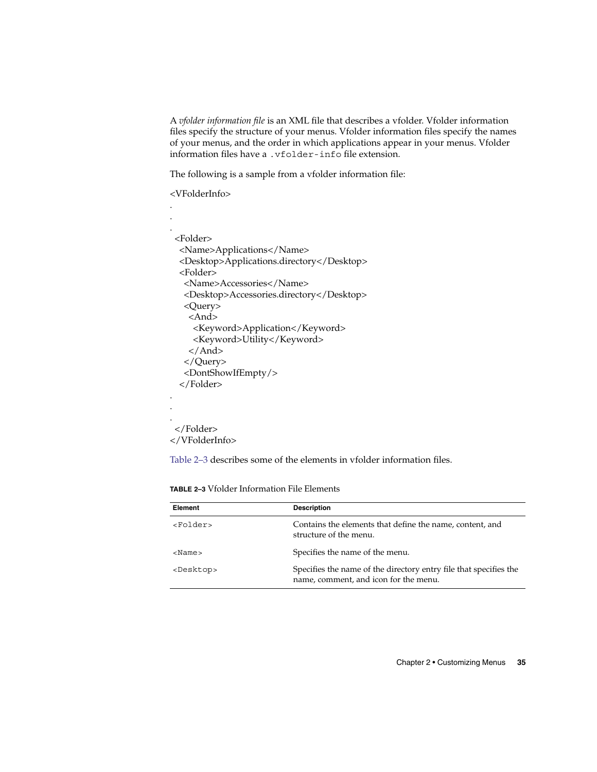A *vfolder information file* is an XML file that describes a vfolder. Vfolder information files specify the structure of your menus. Vfolder information files specify the names of your menus, and the order in which applications appear in your menus. Vfolder information files have a .vfolder-info file extension.

The following is a sample from a vfolder information file:

<VFolderInfo>

| <folder></folder>                         |
|-------------------------------------------|
| <name>Applications</name>                 |
| <desktop>Applications.directory</desktop> |
| <folder></folder>                         |
| <name>Accessories</name>                  |
| <desktop>Accessories.directory</desktop>  |
| <query></query>                           |
| <and></and>                               |
| <keyword>Application</keyword>            |
| <keyword>Utility</keyword>                |
|                                           |
|                                           |
| <dontshowifempty></dontshowifempty>       |
|                                           |
|                                           |
|                                           |
|                                           |
|                                           |

</VFolderInfo>

Table 2–3 describes some of the elements in vfolder information files.

**TABLE 2–3** Vfolder Information File Elements

| Element             | <b>Description</b>                                                                                         |
|---------------------|------------------------------------------------------------------------------------------------------------|
| <folder></folder>   | Contains the elements that define the name, content, and<br>structure of the menu.                         |
| $<$ Name $>$        | Specifies the name of the menu.                                                                            |
| <desktop></desktop> | Specifies the name of the directory entry file that specifies the<br>name, comment, and icon for the menu. |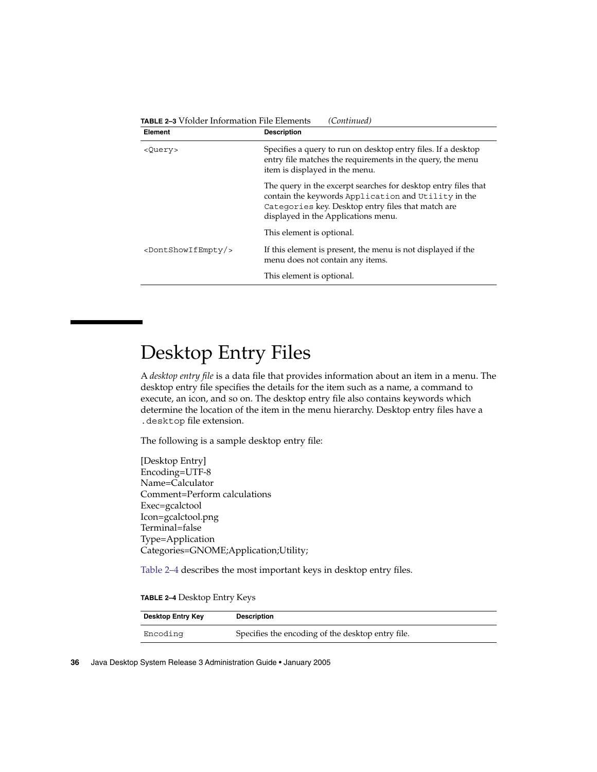| Element                             | <b>Description</b>                                                                                                                                                                                                 |
|-------------------------------------|--------------------------------------------------------------------------------------------------------------------------------------------------------------------------------------------------------------------|
| <query></query>                     | Specifies a query to run on desktop entry files. If a desktop<br>entry file matches the requirements in the query, the menu<br>item is displayed in the menu.                                                      |
|                                     | The query in the excerpt searches for desktop entry files that<br>contain the keywords Application and Utility in the<br>Categories key. Desktop entry files that match are<br>displayed in the Applications menu. |
|                                     | This element is optional.                                                                                                                                                                                          |
| <dontshowifempty></dontshowifempty> | If this element is present, the menu is not displayed if the<br>menu does not contain any items.                                                                                                                   |
|                                     | This element is optional.                                                                                                                                                                                          |

### <span id="page-35-0"></span>**TABLE 2–3** Vfolder Information File Elements *(Continued)*

## Desktop Entry Files

A *desktop entry file* is a data file that provides information about an item in a menu. The desktop entry file specifies the details for the item such as a name, a command to execute, an icon, and so on. The desktop entry file also contains keywords which determine the location of the item in the menu hierarchy. Desktop entry files have a .desktop file extension.

The following is a sample desktop entry file:

[Desktop Entry] Encoding=UTF-8 Name=Calculator Comment=Perform calculations Exec=gcalctool Icon=gcalctool.png Terminal=false Type=Application Categories=GNOME;Application;Utility;

Table 2–4 describes the most important keys in desktop entry files.

| TABLE 2-4 Desktop Entry Keys |  |
|------------------------------|--|
|------------------------------|--|

| <b>Desktop Entry Key</b> | <b>Description</b>                                |
|--------------------------|---------------------------------------------------|
| Encoding                 | Specifies the encoding of the desktop entry file. |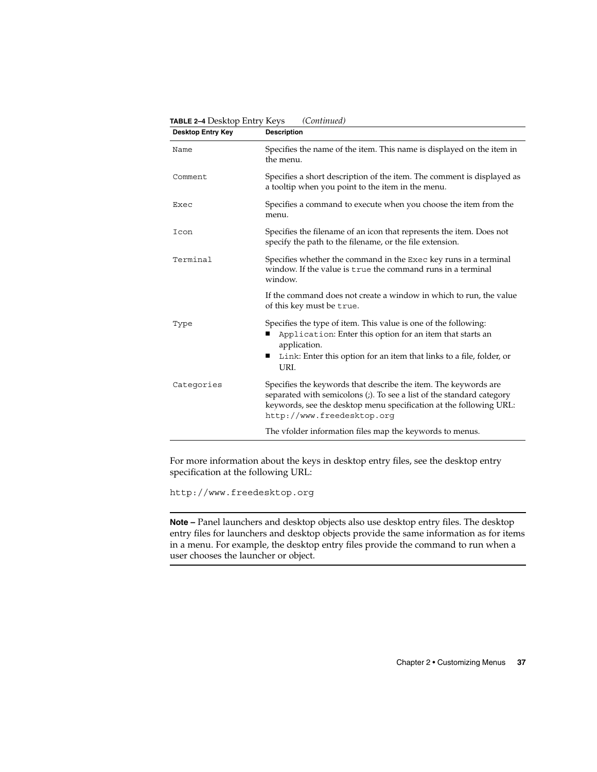| <b>Desktop Entry Key</b> | <b>Description</b>                                                                                                                                                                                                                           |
|--------------------------|----------------------------------------------------------------------------------------------------------------------------------------------------------------------------------------------------------------------------------------------|
| Name                     | Specifies the name of the item. This name is displayed on the item in<br>the menu.                                                                                                                                                           |
| Comment                  | Specifies a short description of the item. The comment is displayed as<br>a tooltip when you point to the item in the menu.                                                                                                                  |
| Exec                     | Specifies a command to execute when you choose the item from the<br>menu.                                                                                                                                                                    |
| Icon                     | Specifies the filename of an icon that represents the item. Does not<br>specify the path to the filename, or the file extension.                                                                                                             |
| Terminal                 | Specifies whether the command in the Exec key runs in a terminal<br>window. If the value is true the command runs in a terminal<br>window.                                                                                                   |
|                          | If the command does not create a window in which to run, the value<br>of this key must be true.                                                                                                                                              |
| Type                     | Specifies the type of item. This value is one of the following:<br>Application: Enter this option for an item that starts an<br>application.<br>Link: Enter this option for an item that links to a file, folder, or<br>п<br>URI.            |
| Categories               | Specifies the keywords that describe the item. The keywords are<br>separated with semicolons (;). To see a list of the standard category<br>keywords, see the desktop menu specification at the following URL:<br>http://www.freedesktop.org |
|                          | The vfolder information files map the keywords to menus.                                                                                                                                                                                     |

**TABLE 2–4** Desktop Entry Keys *(Continued)*

For more information about the keys in desktop entry files, see the desktop entry specification at the following URL:

<http://www.freedesktop.org>

**Note –** Panel launchers and desktop objects also use desktop entry files. The desktop entry files for launchers and desktop objects provide the same information as for items in a menu. For example, the desktop entry files provide the command to run when a user chooses the launcher or object.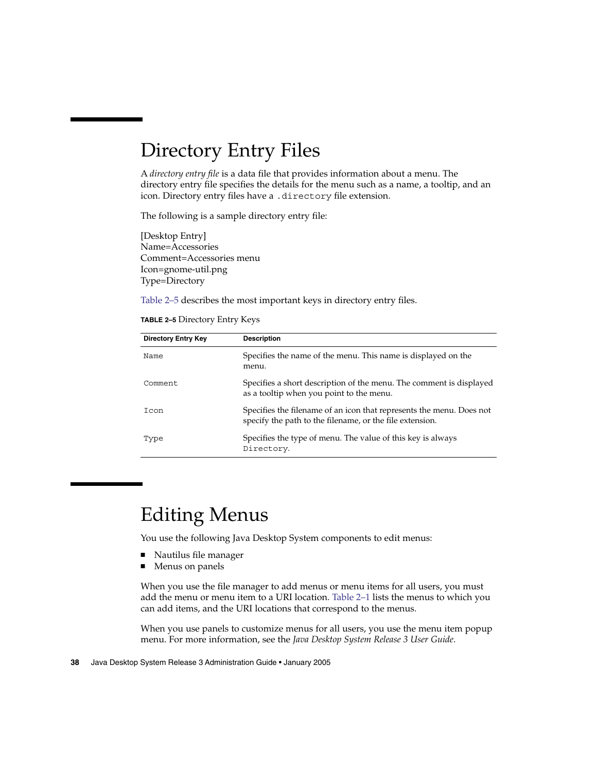### <span id="page-37-0"></span>Directory Entry Files

A *directory entry file* is a data file that provides information about a menu. The directory entry file specifies the details for the menu such as a name, a tooltip, and an icon. Directory entry files have a .directory file extension.

The following is a sample directory entry file:

[Desktop Entry] Name=Accessories Comment=Accessories menu Icon=gnome-util.png Type=Directory

Table 2–5 describes the most important keys in directory entry files.

| TABLE 2-5 Directory Entry Keys |  |  |
|--------------------------------|--|--|
|                                |  |  |

| <b>Directory Entry Key</b> | <b>Description</b>                                                                                                               |
|----------------------------|----------------------------------------------------------------------------------------------------------------------------------|
| Name                       | Specifies the name of the menu. This name is displayed on the<br>menu.                                                           |
| Comment                    | Specifies a short description of the menu. The comment is displayed<br>as a tooltip when you point to the menu.                  |
| Icon                       | Specifies the filename of an icon that represents the menu. Does not<br>specify the path to the filename, or the file extension. |
| Type                       | Specifies the type of menu. The value of this key is always<br>Directory.                                                        |

### Editing Menus

You use the following Java Desktop System components to edit menus:

- Nautilus file manager
- Menus on panels

When you use the file manager to add menus or menu items for all users, you must add the menu or menu item to a URI location. [Table 2–1](#page-33-0) lists the menus to which you can add items, and the URI locations that correspond to the menus.

When you use panels to customize menus for all users, you use the menu item popup menu. For more information, see the *Java Desktop System Release 3 User Guide*.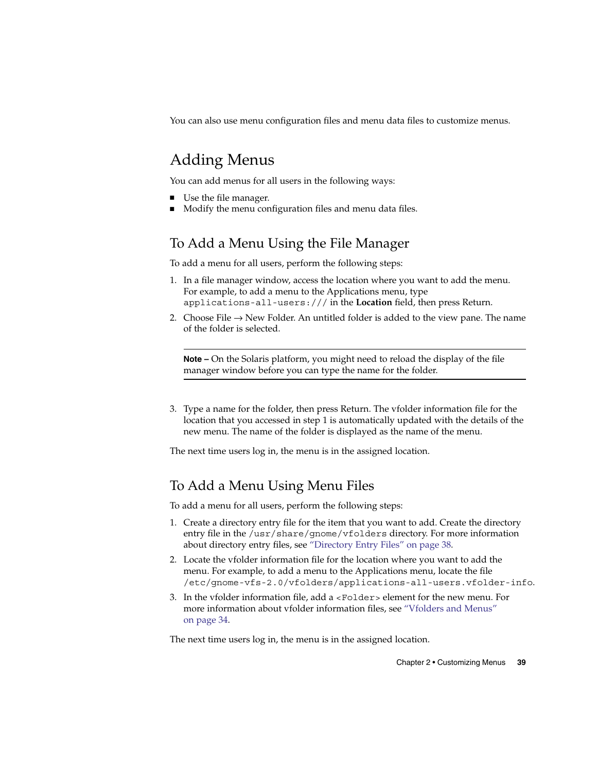You can also use menu configuration files and menu data files to customize menus.

### Adding Menus

You can add menus for all users in the following ways:

- Use the file manager.
- Modify the menu configuration files and menu data files.

#### To Add a Menu Using the File Manager

To add a menu for all users, perform the following steps:

- 1. In a file manager window, access the location where you want to add the menu. For example, to add a menu to the Applications menu, type applications-all-users:/// in the **Location** field, then press Return.
- 2. Choose File  $\rightarrow$  New Folder. An untitled folder is added to the view pane. The name of the folder is selected.

**Note –** On the Solaris platform, you might need to reload the display of the file manager window before you can type the name for the folder.

3. Type a name for the folder, then press Return. The vfolder information file for the location that you accessed in step 1 is automatically updated with the details of the new menu. The name of the folder is displayed as the name of the menu.

The next time users log in, the menu is in the assigned location.

#### To Add a Menu Using Menu Files

To add a menu for all users, perform the following steps:

- 1. Create a directory entry file for the item that you want to add. Create the directory entry file in the /usr/share/gnome/vfolders directory. For more information about directory entry files, see ["Directory Entry Files"](#page-37-0) on page 38.
- 2. Locate the vfolder information file for the location where you want to add the menu. For example, to add a menu to the Applications menu, locate the file /etc/gnome-vfs-2.0/vfolders/applications-all-users.vfolder-info.
- 3. In the vfolder information file, add a <Folder> element for the new menu. For more information about vfolder information files, see ["Vfolders and Menus"](#page-33-0) [on page 34.](#page-33-0)

The next time users log in, the menu is in the assigned location.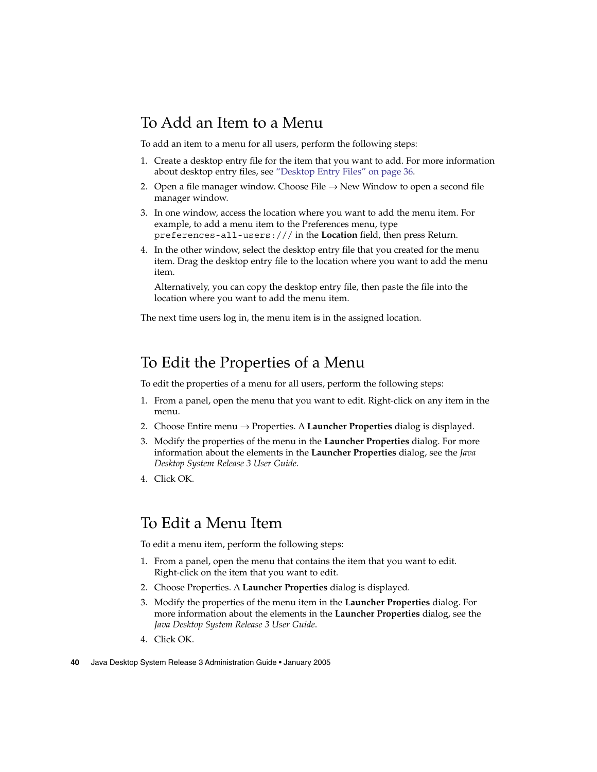#### To Add an Item to a Menu

To add an item to a menu for all users, perform the following steps:

- 1. Create a desktop entry file for the item that you want to add. For more information about desktop entry files, see ["Desktop Entry Files"](#page-35-0) on page 36.
- 2. Open a file manager window. Choose File  $\rightarrow$  New Window to open a second file manager window.
- 3. In one window, access the location where you want to add the menu item. For example, to add a menu item to the Preferences menu, type preferences-all-users:/// in the **Location** field, then press Return.
- 4. In the other window, select the desktop entry file that you created for the menu item. Drag the desktop entry file to the location where you want to add the menu item.

Alternatively, you can copy the desktop entry file, then paste the file into the location where you want to add the menu item.

The next time users log in, the menu item is in the assigned location.

### To Edit the Properties of a Menu

To edit the properties of a menu for all users, perform the following steps:

- 1. From a panel, open the menu that you want to edit. Right-click on any item in the menu.
- 2. Choose Entire menu → Properties. A **Launcher Properties** dialog is displayed.
- 3. Modify the properties of the menu in the **Launcher Properties** dialog. For more information about the elements in the **Launcher Properties** dialog, see the *Java Desktop System Release 3 User Guide*.
- 4. Click OK.

#### To Edit a Menu Item

To edit a menu item, perform the following steps:

- 1. From a panel, open the menu that contains the item that you want to edit. Right-click on the item that you want to edit.
- 2. Choose Properties. A **Launcher Properties** dialog is displayed.
- 3. Modify the properties of the menu item in the **Launcher Properties** dialog. For more information about the elements in the **Launcher Properties** dialog, see the *Java Desktop System Release 3 User Guide*.
- 4. Click OK.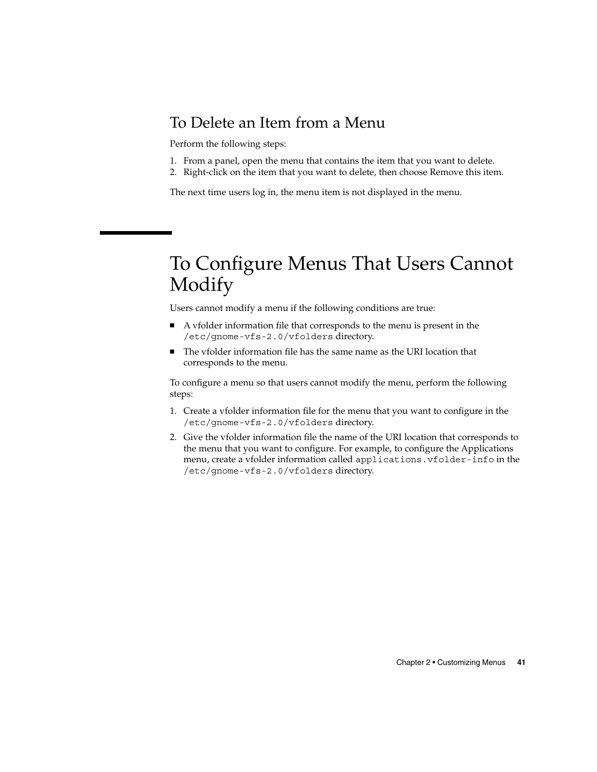#### To Delete an Item from a Menu

Perform the following steps:

- 1. From a panel, open the menu that contains the item that you want to delete.
- 2. Right-click on the item that you want to delete, then choose Remove this item.

The next time users log in, the menu item is not displayed in the menu.

### To Configure Menus That Users Cannot Modify

Users cannot modify a menu if the following conditions are true:

- A vfolder information file that corresponds to the menu is present in the /etc/gnome-vfs-2.0/vfolders directory.
- The vfolder information file has the same name as the URI location that corresponds to the menu.

To configure a menu so that users cannot modify the menu, perform the following steps:

- 1. Create a vfolder information file for the menu that you want to configure in the /etc/gnome-vfs-2.0/vfolders directory.
- 2. Give the vfolder information file the name of the URI location that corresponds to the menu that you want to configure. For example, to configure the Applications menu, create a vfolder information called applications.vfolder-info in the /etc/gnome-vfs-2.0/vfolders directory.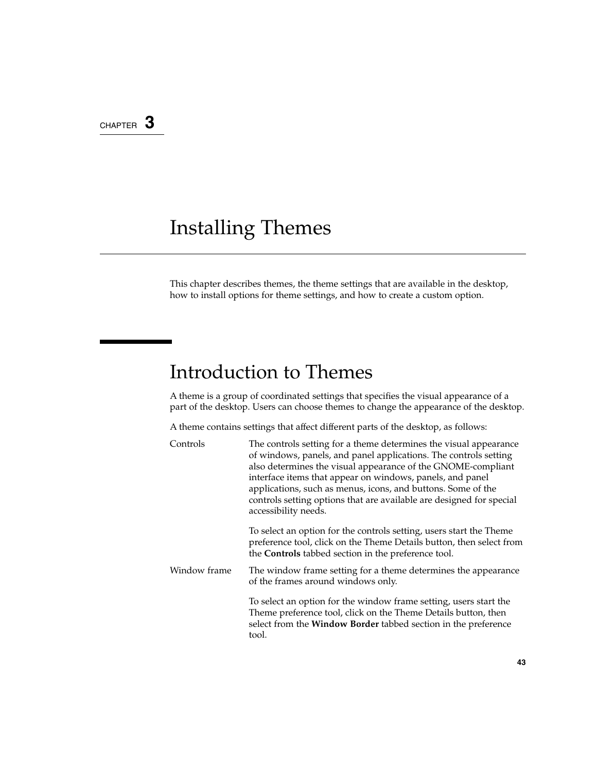### <span id="page-42-0"></span>CHAPTER **3**

# Installing Themes

This chapter describes themes, the theme settings that are available in the desktop, how to install options for theme settings, and how to create a custom option.

### Introduction to Themes

A theme is a group of coordinated settings that specifies the visual appearance of a part of the desktop. Users can choose themes to change the appearance of the desktop.

A theme contains settings that affect different parts of the desktop, as follows:

| Controls     | The controls setting for a theme determines the visual appearance<br>of windows, panels, and panel applications. The controls setting<br>also determines the visual appearance of the GNOME-compliant<br>interface items that appear on windows, panels, and panel<br>applications, such as menus, icons, and buttons. Some of the<br>controls setting options that are available are designed for special<br>accessibility needs. |
|--------------|------------------------------------------------------------------------------------------------------------------------------------------------------------------------------------------------------------------------------------------------------------------------------------------------------------------------------------------------------------------------------------------------------------------------------------|
|              | To select an option for the controls setting, users start the Theme<br>preference tool, click on the Theme Details button, then select from<br>the Controls tabbed section in the preference tool.                                                                                                                                                                                                                                 |
| Window frame | The window frame setting for a theme determines the appearance<br>of the frames around windows only.                                                                                                                                                                                                                                                                                                                               |
|              | To select an option for the window frame setting, users start the<br>Theme preference tool, click on the Theme Details button, then<br>select from the Window Border tabbed section in the preference<br>tool.                                                                                                                                                                                                                     |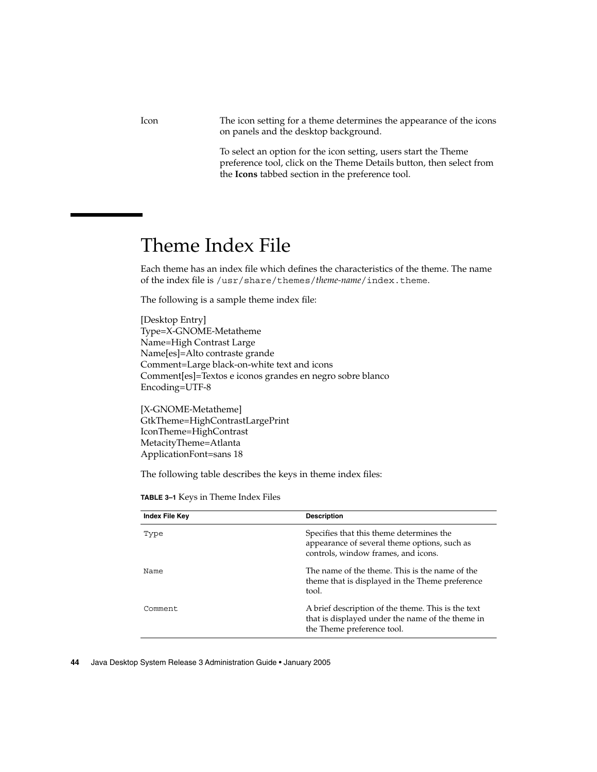Icon The icon setting for a theme determines the appearance of the icons on panels and the desktop background.

> To select an option for the icon setting, users start the Theme preference tool, click on the Theme Details button, then select from the **Icons** tabbed section in the preference tool.

## Theme Index File

Each theme has an index file which defines the characteristics of the theme. The name of the index file is /usr/share/themes/*theme-name*/index.theme.

The following is a sample theme index file:

[Desktop Entry] Type=X-GNOME-Metatheme Name=High Contrast Large Name[es]=Alto contraste grande Comment=Large black-on-white text and icons Comment[es]=Textos e iconos grandes en negro sobre blanco Encoding=UTF-8

[X-GNOME-Metatheme] GtkTheme=HighContrastLargePrint IconTheme=HighContrast MetacityTheme=Atlanta ApplicationFont=sans 18

The following table describes the keys in theme index files:

| <b>Index File Key</b> | <b>Description</b>                                                                                                                   |
|-----------------------|--------------------------------------------------------------------------------------------------------------------------------------|
| Type                  | Specifies that this theme determines the<br>appearance of several theme options, such as<br>controls, window frames, and icons.      |
| Name                  | The name of the theme. This is the name of the<br>theme that is displayed in the Theme preference<br>tool.                           |
| Comment               | A brief description of the theme. This is the text<br>that is displayed under the name of the theme in<br>the Theme preference tool. |

**TABLE 3–1** Keys in Theme Index Files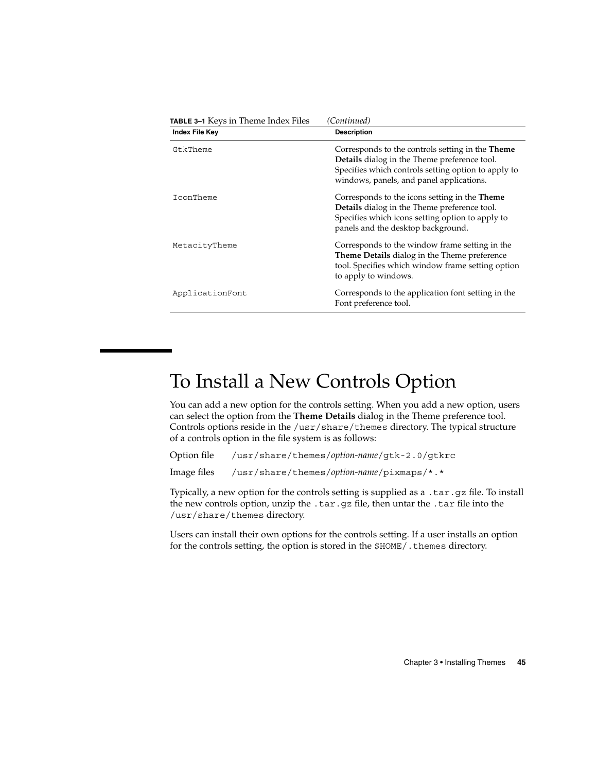<span id="page-44-0"></span>

| <b>TABLE 3-1</b> Keys in Theme Index Files | (Continued)                                                                                                                                                                                         |
|--------------------------------------------|-----------------------------------------------------------------------------------------------------------------------------------------------------------------------------------------------------|
| Index File Key                             | <b>Description</b>                                                                                                                                                                                  |
| GtkTheme                                   | Corresponds to the controls setting in the Theme<br>Details dialog in the Theme preference tool.<br>Specifies which controls setting option to apply to<br>windows, panels, and panel applications. |
| IconTheme                                  | Corresponds to the icons setting in the Theme<br>Details dialog in the Theme preference tool.<br>Specifies which icons setting option to apply to<br>panels and the desktop background.             |
| MetacityTheme                              | Corresponds to the window frame setting in the<br><b>Theme Details</b> dialog in the Theme preference<br>tool. Specifies which window frame setting option<br>to apply to windows.                  |
| ApplicationFont                            | Corresponds to the application font setting in the<br>Font preference tool.                                                                                                                         |

## To Install a New Controls Option

You can add a new option for the controls setting. When you add a new option, users can select the option from the **Theme Details** dialog in the Theme preference tool. Controls options reside in the /usr/share/themes directory. The typical structure of a controls option in the file system is as follows:

Option file /usr/share/themes/*option-name*/gtk-2.0/gtkrc

Image files /usr/share/themes/*option-name*/pixmaps/\*.\*

Typically, a new option for the controls setting is supplied as a .tar.gz file. To install the new controls option, unzip the .tar.gz file, then untar the .tar file into the /usr/share/themes directory.

Users can install their own options for the controls setting. If a user installs an option for the controls setting, the option is stored in the \$HOME/. themes directory.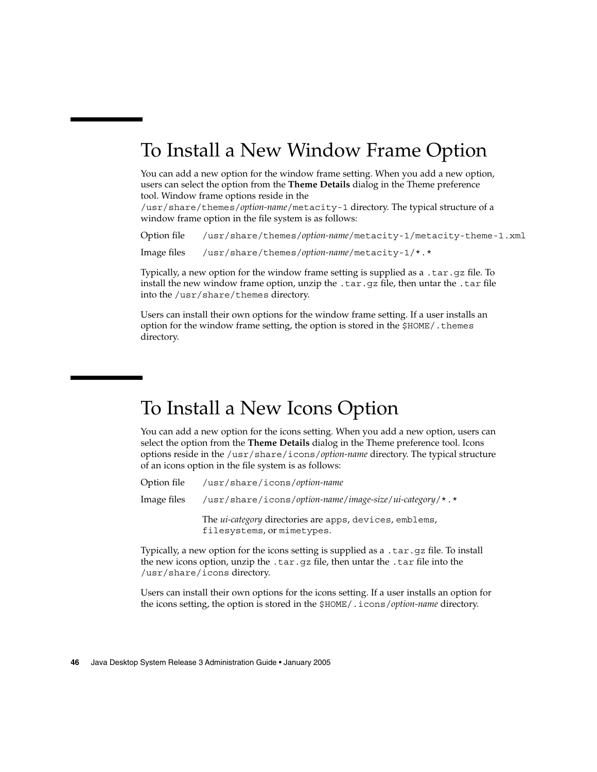### To Install a New Window Frame Option

You can add a new option for the window frame setting. When you add a new option, users can select the option from the **Theme Details** dialog in the Theme preference tool. Window frame options reside in the

/usr/share/themes/*option-name*/metacity-1 directory. The typical structure of a window frame option in the file system is as follows:

Option file /usr/share/themes/*option-name*/metacity-1/metacity-theme-1.xml

Image files /usr/share/themes/*option-name*/metacity-1/\*.\*

Typically, a new option for the window frame setting is supplied as a .tar.gz file. To install the new window frame option, unzip the .tar.gz file, then untar the .tar file into the /usr/share/themes directory.

Users can install their own options for the window frame setting. If a user installs an option for the window frame setting, the option is stored in the \$HOME/.themes directory.

### To Install a New Icons Option

You can add a new option for the icons setting. When you add a new option, users can select the option from the **Theme Details** dialog in the Theme preference tool. Icons options reside in the /usr/share/icons/*option-name* directory. The typical structure of an icons option in the file system is as follows:

| Option file | /usr/share/icons/option-name                                                                 |
|-------------|----------------------------------------------------------------------------------------------|
| Image files | /usr/share/icons/option-name/image-size/ui-category/*.*                                      |
|             | The <i>ui-category</i> directories are apps, devices, emblems,<br>filesystems, or mimetypes. |

Typically, a new option for the icons setting is supplied as a .tar.gz file. To install the new icons option, unzip the .tar.gz file, then untar the .tar file into the /usr/share/icons directory.

Users can install their own options for the icons setting. If a user installs an option for the icons setting, the option is stored in the \$HOME/.icons/*option-name* directory.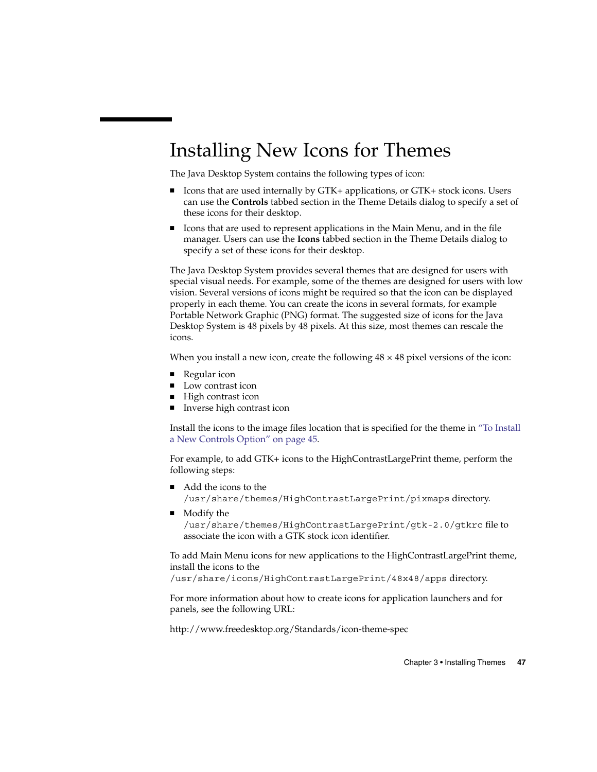### Installing New Icons for Themes

The Java Desktop System contains the following types of icon:

- Icons that are used internally by GTK+ applications, or GTK+ stock icons. Users can use the **Controls** tabbed section in the Theme Details dialog to specify a set of these icons for their desktop.
- Icons that are used to represent applications in the Main Menu, and in the file manager. Users can use the **Icons** tabbed section in the Theme Details dialog to specify a set of these icons for their desktop.

The Java Desktop System provides several themes that are designed for users with special visual needs. For example, some of the themes are designed for users with low vision. Several versions of icons might be required so that the icon can be displayed properly in each theme. You can create the icons in several formats, for example Portable Network Graphic (PNG) format. The suggested size of icons for the Java Desktop System is 48 pixels by 48 pixels. At this size, most themes can rescale the icons.

When you install a new icon, create the following  $48 \times 48$  pixel versions of the icon:

- Regular icon
- Low contrast icon
- High contrast icon
- Inverse high contrast icon

Install the icons to the image files location that is specified for the theme in ["To Install](#page-44-0) [a New Controls Option"](#page-44-0) on page 45.

For example, to add GTK+ icons to the HighContrastLargePrint theme, perform the following steps:

- Add the icons to the /usr/share/themes/HighContrastLargePrint/pixmaps directory.
- Modify the /usr/share/themes/HighContrastLargePrint/gtk-2.0/gtkrc file to associate the icon with a GTK stock icon identifier.

To add Main Menu icons for new applications to the HighContrastLargePrint theme, install the icons to the

/usr/share/icons/HighContrastLargePrint/48x48/apps directory.

For more information about how to create icons for application launchers and for panels, see the following URL:

<http://www.freedesktop.org/Standards/icon-theme-spec>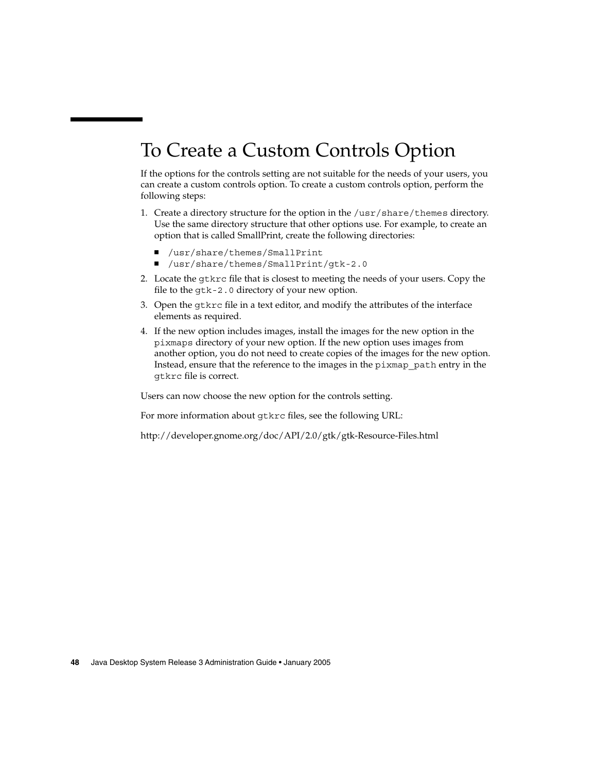## To Create a Custom Controls Option

If the options for the controls setting are not suitable for the needs of your users, you can create a custom controls option. To create a custom controls option, perform the following steps:

- 1. Create a directory structure for the option in the /usr/share/themes directory. Use the same directory structure that other options use. For example, to create an option that is called SmallPrint, create the following directories:
	- /usr/share/themes/SmallPrint
	- /usr/share/themes/SmallPrint/gtk-2.0
- 2. Locate the gtkrc file that is closest to meeting the needs of your users. Copy the file to the gtk-2.0 directory of your new option.
- 3. Open the gtkrc file in a text editor, and modify the attributes of the interface elements as required.
- 4. If the new option includes images, install the images for the new option in the pixmaps directory of your new option. If the new option uses images from another option, you do not need to create copies of the images for the new option. Instead, ensure that the reference to the images in the pixmap\_path entry in the gtkrc file is correct.

Users can now choose the new option for the controls setting.

For more information about gtkrc files, see the following URL:

<http://developer.gnome.org/doc/API/2.0/gtk/gtk-Resource-Files.html>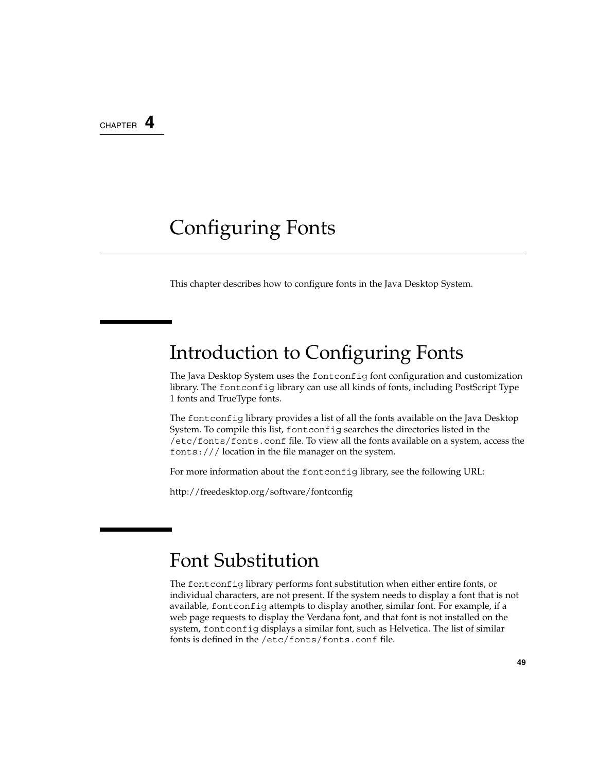CHAPTER **4**

### Configuring Fonts

This chapter describes how to configure fonts in the Java Desktop System.

### Introduction to Configuring Fonts

The Java Desktop System uses the fontconfig font configuration and customization library. The fontconfig library can use all kinds of fonts, including PostScript Type 1 fonts and TrueType fonts.

The fontconfig library provides a list of all the fonts available on the Java Desktop System. To compile this list, fontconfig searches the directories listed in the /etc/fonts/fonts.conf file. To view all the fonts available on a system, access the fonts:/// location in the file manager on the system.

For more information about the fontconfig library, see the following URL:

<http://freedesktop.org/software/fontconfig>

### Font Substitution

The fontconfig library performs font substitution when either entire fonts, or individual characters, are not present. If the system needs to display a font that is not available, fontconfig attempts to display another, similar font. For example, if a web page requests to display the Verdana font, and that font is not installed on the system, fontconfig displays a similar font, such as Helvetica. The list of similar fonts is defined in the /etc/fonts/fonts.conf file.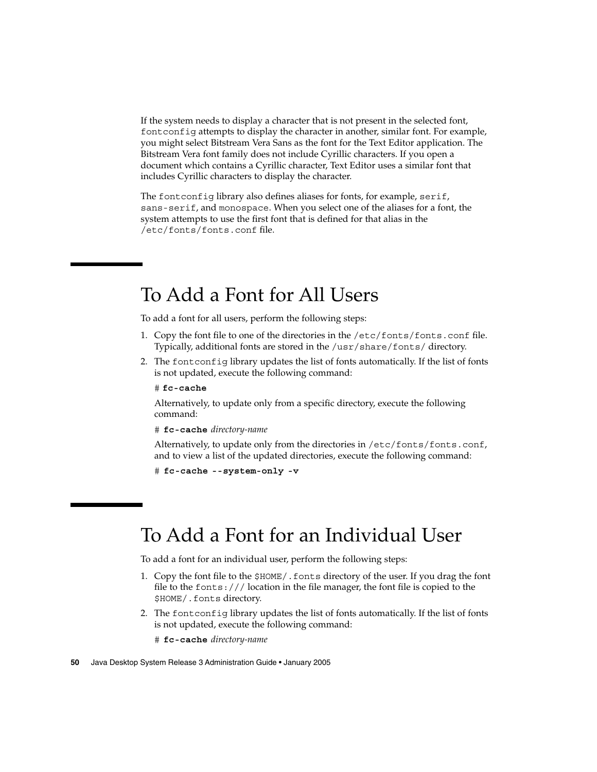<span id="page-49-0"></span>If the system needs to display a character that is not present in the selected font, fontconfig attempts to display the character in another, similar font. For example, you might select Bitstream Vera Sans as the font for the Text Editor application. The Bitstream Vera font family does not include Cyrillic characters. If you open a document which contains a Cyrillic character, Text Editor uses a similar font that includes Cyrillic characters to display the character.

The fontconfig library also defines aliases for fonts, for example, serif, sans-serif, and monospace. When you select one of the aliases for a font, the system attempts to use the first font that is defined for that alias in the /etc/fonts/fonts.conf file.

### To Add a Font for All Users

To add a font for all users, perform the following steps:

- 1. Copy the font file to one of the directories in the /etc/fonts/fonts.conf file. Typically, additional fonts are stored in the /usr/share/fonts/ directory.
- 2. The fontconfig library updates the list of fonts automatically. If the list of fonts is not updated, execute the following command:
	- # **fc-cache**

Alternatively, to update only from a specific directory, execute the following command:

# **fc-cache** *directory-name*

Alternatively, to update only from the directories in /etc/fonts/fonts.conf, and to view a list of the updated directories, execute the following command:

```
# fc-cache --system-only -v
```
### To Add a Font for an Individual User

To add a font for an individual user, perform the following steps:

- 1. Copy the font file to the \$HOME/.fonts directory of the user. If you drag the font file to the fonts:/// location in the file manager, the font file is copied to the \$HOME/.fonts directory.
- 2. The fontconfig library updates the list of fonts automatically. If the list of fonts is not updated, execute the following command:
	- # **fc-cache** *directory-name*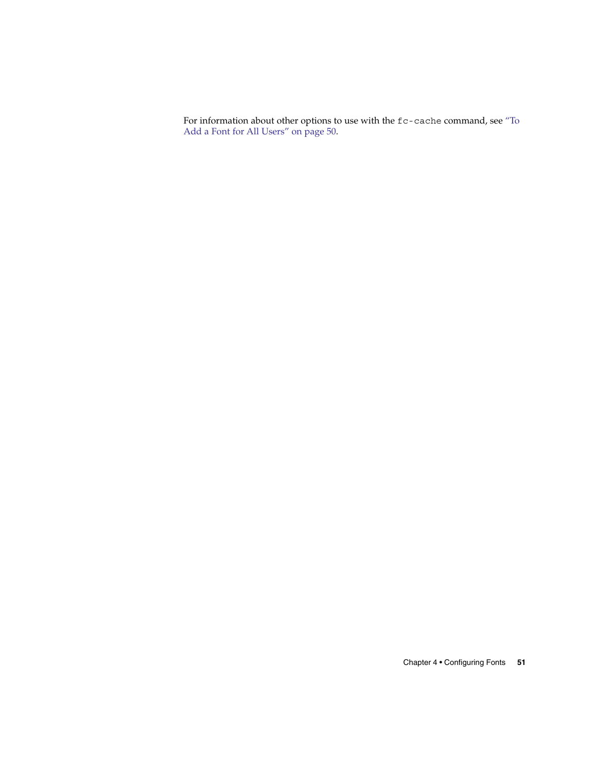For information about other options to use with the fc-cache command, see ["To](#page-49-0) [Add a Font for All Users"](#page-49-0) on page 50.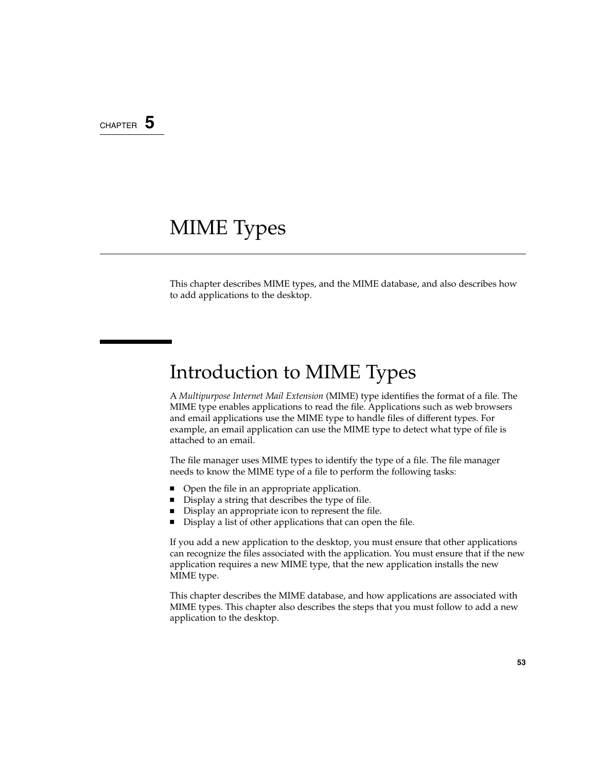#### CHAPTER **5**

## MIME Types

This chapter describes MIME types, and the MIME database, and also describes how to add applications to the desktop.

### Introduction to MIME Types

A *Multipurpose Internet Mail Extension* (MIME) type identifies the format of a file. The MIME type enables applications to read the file. Applications such as web browsers and email applications use the MIME type to handle files of different types. For example, an email application can use the MIME type to detect what type of file is attached to an email.

The file manager uses MIME types to identify the type of a file. The file manager needs to know the MIME type of a file to perform the following tasks:

- Open the file in an appropriate application.
- Display a string that describes the type of file.
- Display an appropriate icon to represent the file.
- Display a list of other applications that can open the file.

If you add a new application to the desktop, you must ensure that other applications can recognize the files associated with the application. You must ensure that if the new application requires a new MIME type, that the new application installs the new MIME type.

This chapter describes the MIME database, and how applications are associated with MIME types. This chapter also describes the steps that you must follow to add a new application to the desktop.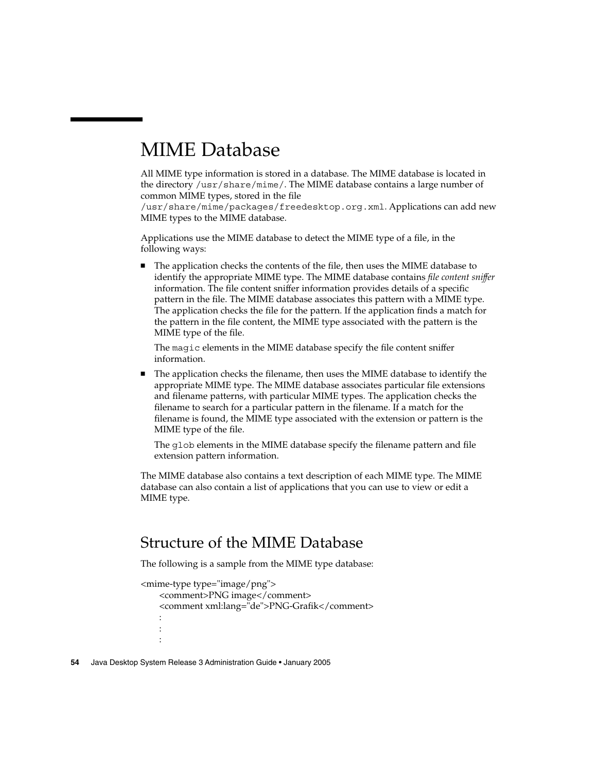### <span id="page-53-0"></span>MIME Database

All MIME type information is stored in a database. The MIME database is located in the directory /usr/share/mime/. The MIME database contains a large number of common MIME types, stored in the file

/usr/share/mime/packages/freedesktop.org.xml. Applications can add new MIME types to the MIME database.

Applications use the MIME database to detect the MIME type of a file, in the following ways:

The application checks the contents of the file, then uses the MIME database to identify the appropriate MIME type. The MIME database contains *file content sniffer* information. The file content sniffer information provides details of a specific pattern in the file. The MIME database associates this pattern with a MIME type. The application checks the file for the pattern. If the application finds a match for the pattern in the file content, the MIME type associated with the pattern is the MIME type of the file.

The magic elements in the MIME database specify the file content sniffer information.

■ The application checks the filename, then uses the MIME database to identify the appropriate MIME type. The MIME database associates particular file extensions and filename patterns, with particular MIME types. The application checks the filename to search for a particular pattern in the filename. If a match for the filename is found, the MIME type associated with the extension or pattern is the MIME type of the file.

The glob elements in the MIME database specify the filename pattern and file extension pattern information.

The MIME database also contains a text description of each MIME type. The MIME database can also contain a list of applications that you can use to view or edit a MIME type.

### Structure of the MIME Database

The following is a sample from the MIME type database:

```
<mime-type type="image/png">
   <comment>PNG image</comment>
   <comment xml:lang="de">PNG-Grafik</comment>
   :
   :
   :
```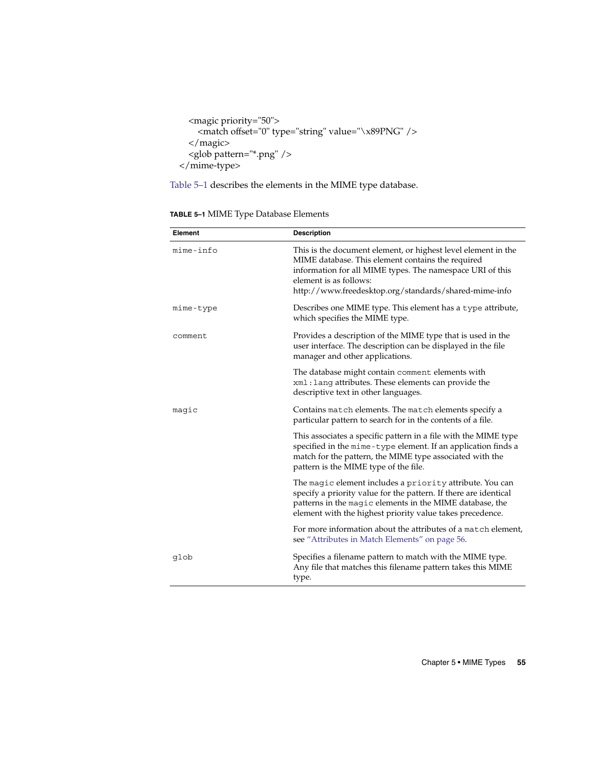```
<magic priority="50">
   <match offset="0" type="string" value="\x89PNG" />
 </magic>
 <glob pattern="*.png" />
</mime-type>
```
Table 5–1 describes the elements in the MIME type database.

| TABLE 5-1 MIME Type Database Elements |  |  |  |
|---------------------------------------|--|--|--|
|---------------------------------------|--|--|--|

| Element   | <b>Description</b>                                                                                                                                                                                                                                                 |
|-----------|--------------------------------------------------------------------------------------------------------------------------------------------------------------------------------------------------------------------------------------------------------------------|
| mime-info | This is the document element, or highest level element in the<br>MIME database. This element contains the required<br>information for all MIME types. The namespace URI of this<br>element is as follows:<br>http://www.freedesktop.org/standards/shared-mime-info |
| mime-type | Describes one MIME type. This element has a type attribute,<br>which specifies the MIME type.                                                                                                                                                                      |
| comment   | Provides a description of the MIME type that is used in the<br>user interface. The description can be displayed in the file<br>manager and other applications.                                                                                                     |
|           | The database might contain comment elements with<br>xml: lang attributes. These elements can provide the<br>descriptive text in other languages.                                                                                                                   |
| magic     | Contains match elements. The match elements specify a<br>particular pattern to search for in the contents of a file.                                                                                                                                               |
|           | This associates a specific pattern in a file with the MIME type<br>specified in the mime-type element. If an application finds a<br>match for the pattern, the MIME type associated with the<br>pattern is the MIME type of the file.                              |
|           | The magic element includes a priority attribute. You can<br>specify a priority value for the pattern. If there are identical<br>patterns in the magic elements in the MIME database, the<br>element with the highest priority value takes precedence.              |
|           | For more information about the attributes of a match element,<br>see "Attributes in Match Elements" on page 56.                                                                                                                                                    |
| glob      | Specifies a filename pattern to match with the MIME type.<br>Any file that matches this filename pattern takes this MIME<br>type.                                                                                                                                  |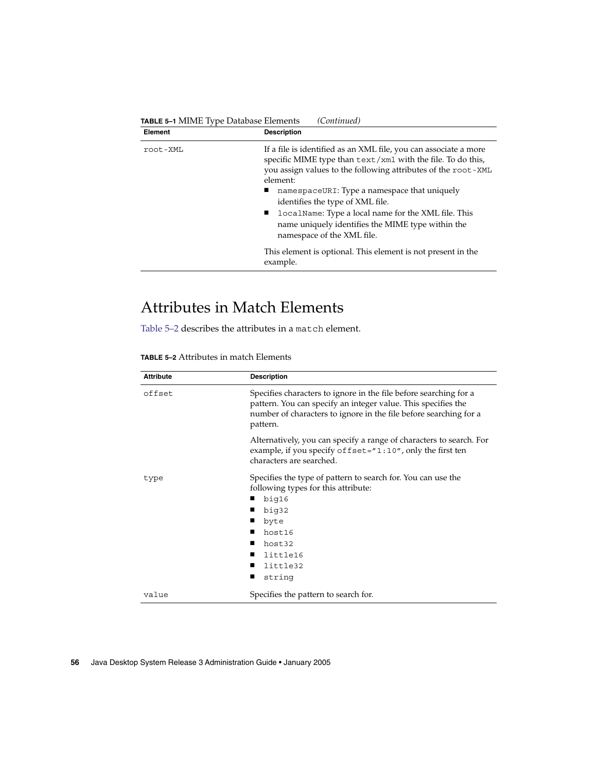<span id="page-55-0"></span>

| TABLE 5-1 MIME Type Database Elements<br>(Continued) |                                                                                                                                                                                                                                                                                                                                                                                                                                            |
|------------------------------------------------------|--------------------------------------------------------------------------------------------------------------------------------------------------------------------------------------------------------------------------------------------------------------------------------------------------------------------------------------------------------------------------------------------------------------------------------------------|
| Element                                              | <b>Description</b>                                                                                                                                                                                                                                                                                                                                                                                                                         |
| root-XML                                             | If a file is identified as an XML file, you can associate a more<br>specific MIME type than text/xml with the file. To do this,<br>you assign values to the following attributes of the root-XML<br>element:<br>namespaceURI: Type a namespace that uniquely<br>identifies the type of XML file.<br>localName: Type a local name for the XML file. This<br>name uniquely identifies the MIME type within the<br>namespace of the XML file. |
|                                                      | This element is optional. This element is not present in the<br>example.                                                                                                                                                                                                                                                                                                                                                                   |

### Attributes in Match Elements

Table 5–2 describes the attributes in a match element.

**TABLE 5–2** Attributes in match Elements

| <b>Attribute</b> | <b>Description</b>                                                                                                                                                                                                  |
|------------------|---------------------------------------------------------------------------------------------------------------------------------------------------------------------------------------------------------------------|
| offset           | Specifies characters to ignore in the file before searching for a<br>pattern. You can specify an integer value. This specifies the<br>number of characters to ignore in the file before searching for a<br>pattern. |
|                  | Alternatively, you can specify a range of characters to search. For<br>example, if you specify of fset="1:10", only the first ten<br>characters are searched.                                                       |
| type             | Specifies the type of pattern to search for. You can use the<br>following types for this attribute:<br>big16<br>big32<br>byte<br>host16<br>host32<br>little16<br>little32<br>string                                 |
| value            | Specifies the pattern to search for.                                                                                                                                                                                |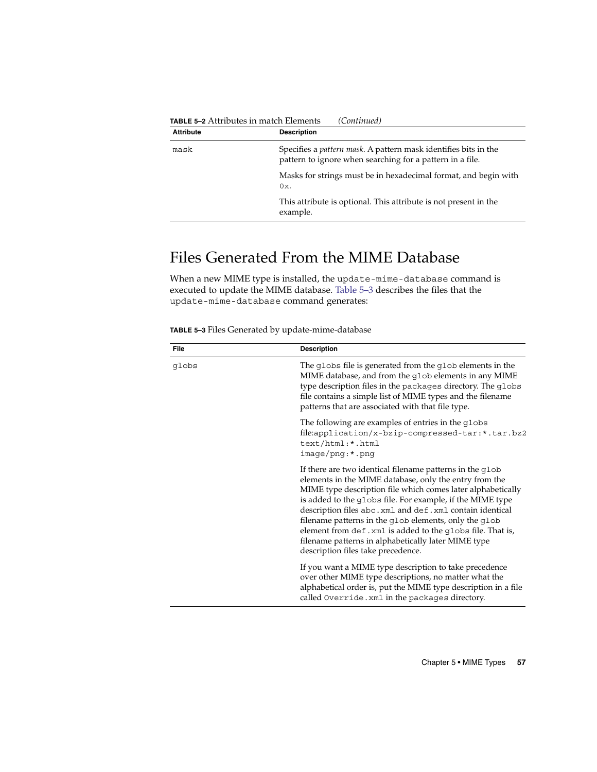|                  | <b>TABLE 5–2</b> Attributes in match Elements<br>(Continuea)                                                                         |
|------------------|--------------------------------------------------------------------------------------------------------------------------------------|
| <b>Attribute</b> | <b>Description</b>                                                                                                                   |
| mask             | Specifies a <i>pattern mask</i> . A pattern mask identifies bits in the<br>pattern to ignore when searching for a pattern in a file. |
|                  | Masks for strings must be in hexadecimal format, and begin with<br>0x.                                                               |
|                  | This attribute is optional. This attribute is not present in the<br>example.                                                         |
|                  |                                                                                                                                      |

#### **TABLE 5–2** Attributes in match Elements *(Continued)*

### Files Generated From the MIME Database

When a new MIME type is installed, the update-mime-database command is executed to update the MIME database. Table 5–3 describes the files that the update-mime-database command generates:

**TABLE 5–3** Files Generated by update-mime-database

| <b>File</b> | <b>Description</b>                                                                                                                                                                                                                                                                                                                                                                                                                                                                                                            |
|-------------|-------------------------------------------------------------------------------------------------------------------------------------------------------------------------------------------------------------------------------------------------------------------------------------------------------------------------------------------------------------------------------------------------------------------------------------------------------------------------------------------------------------------------------|
| qlobs       | The globs file is generated from the glob elements in the<br>MIME database, and from the glob elements in any MIME<br>type description files in the packages directory. The globs<br>file contains a simple list of MIME types and the filename<br>patterns that are associated with that file type.                                                                                                                                                                                                                          |
|             | The following are examples of entries in the globs<br>file:application/x-bzip-compressed-tar:*.tar.bz2<br>text/html:*.html<br>$image/png:$ *.png                                                                                                                                                                                                                                                                                                                                                                              |
|             | If there are two identical filename patterns in the glob<br>elements in the MIME database, only the entry from the<br>MIME type description file which comes later alphabetically<br>is added to the globs file. For example, if the MIME type<br>description files abc.xml and def.xml contain identical<br>filename patterns in the glob elements, only the glob<br>element from def. xml is added to the qlobs file. That is,<br>filename patterns in alphabetically later MIME type<br>description files take precedence. |
|             | If you want a MIME type description to take precedence<br>over other MIME type descriptions, no matter what the<br>alphabetical order is, put the MIME type description in a file<br>called Override. xml in the packages directory.                                                                                                                                                                                                                                                                                          |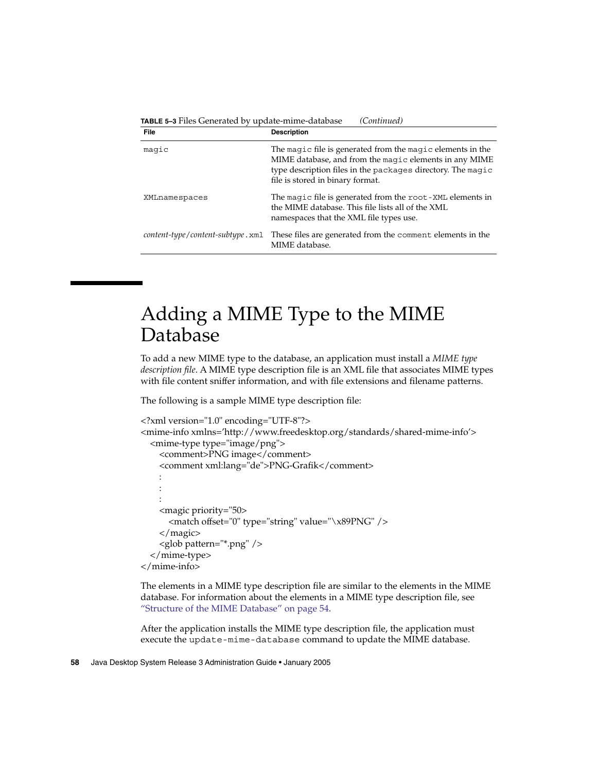| <b>TABLE 5–3</b> Files Generated by update-mime-database |  | (Continued) |
|----------------------------------------------------------|--|-------------|
|----------------------------------------------------------|--|-------------|

| <b>File</b>                      | <b>Description</b>                                                                                                                                                                                                      |
|----------------------------------|-------------------------------------------------------------------------------------------------------------------------------------------------------------------------------------------------------------------------|
| magic                            | The magic file is generated from the magic elements in the<br>MIME database, and from the magic elements in any MIME<br>type description files in the packages directory. The magic<br>file is stored in binary format. |
| XMLnamespaces                    | The magic file is generated from the root-XML elements in<br>the MIME database. This file lists all of the XML<br>namespaces that the XML file types use.                                                               |
| content-type/content-subtype.xml | These files are generated from the comment elements in the<br>MIME database.                                                                                                                                            |

### Adding a MIME Type to the MIME Database

To add a new MIME type to the database, an application must install a *MIME type description file*. A MIME type description file is an XML file that associates MIME types with file content sniffer information, and with file extensions and filename patterns.

The following is a sample MIME type description file:

```
<?xml version="1.0" encoding="UTF-8"?>
<mime-info xmlns='http://www.freedesktop.org/standards/shared-mime-info'>
  <mime-type type="image/png">
    <comment>PNG image</comment>
    <comment xml:lang="de">PNG-Grafik</comment>
    :
    :
    :
    <magic priority="50>
      <match offset="0" type="string" value="\x89PNG" />
    </magic>
    <glob pattern="*.png" />
  </mime-type>
</mime-info>
```
The elements in a MIME type description file are similar to the elements in the MIME database. For information about the elements in a MIME type description file, see ["Structure of the MIME Database"](#page-53-0) on page 54.

After the application installs the MIME type description file, the application must execute the update-mime-database command to update the MIME database.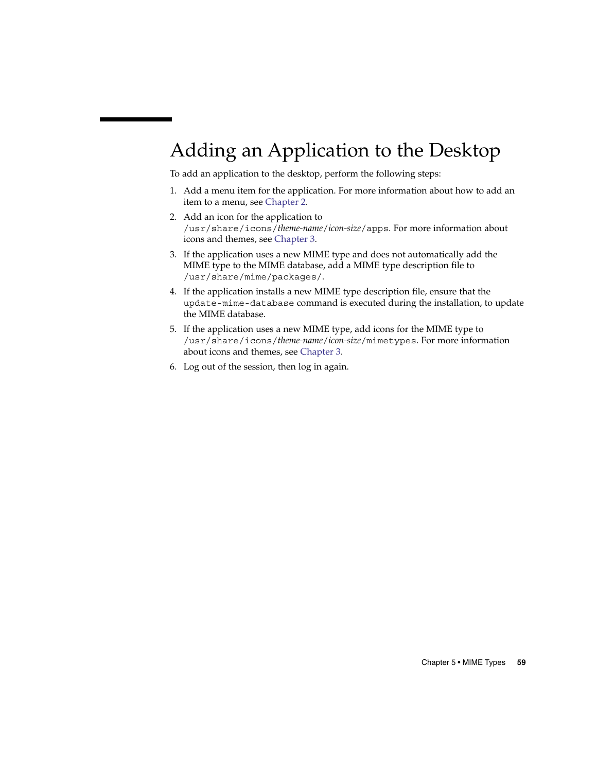# Adding an Application to the Desktop

To add an application to the desktop, perform the following steps:

- 1. Add a menu item for the application. For more information about how to add an item to a menu, see [Chapter 2.](#page-32-0)
- 2. Add an icon for the application to /usr/share/icons/*theme-name*/*icon-size*/apps. For more information about icons and themes, see [Chapter 3.](#page-42-0)
- 3. If the application uses a new MIME type and does not automatically add the MIME type to the MIME database, add a MIME type description file to /usr/share/mime/packages/.
- 4. If the application installs a new MIME type description file, ensure that the update-mime-database command is executed during the installation, to update the MIME database.
- 5. If the application uses a new MIME type, add icons for the MIME type to /usr/share/icons/*theme-name*/*icon-size*/mimetypes. For more information about icons and themes, see [Chapter 3.](#page-42-0)
- 6. Log out of the session, then log in again.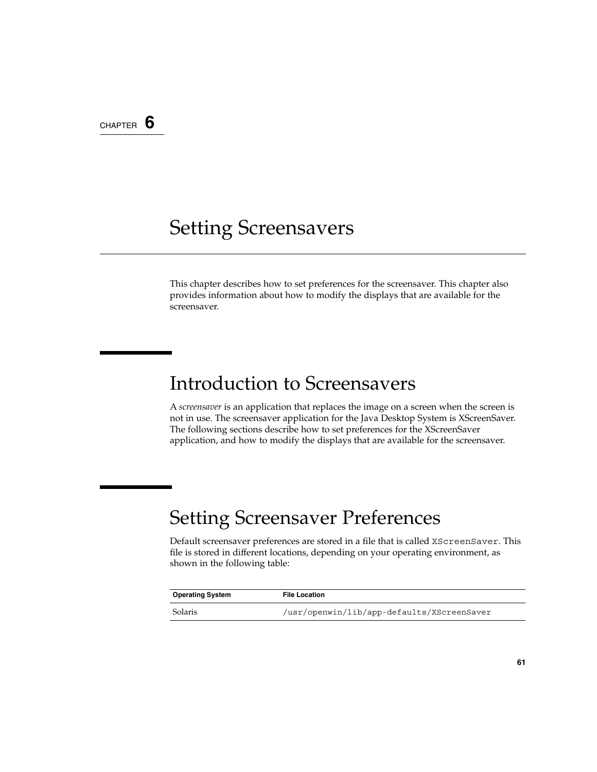CHAPTER **6**

### Setting Screensavers

This chapter describes how to set preferences for the screensaver. This chapter also provides information about how to modify the displays that are available for the screensaver.

### Introduction to Screensavers

A *screensaver* is an application that replaces the image on a screen when the screen is not in use. The screensaver application for the Java Desktop System is XScreenSaver. The following sections describe how to set preferences for the XScreenSaver application, and how to modify the displays that are available for the screensaver.

### Setting Screensaver Preferences

Default screensaver preferences are stored in a file that is called XScreenSaver. This file is stored in different locations, depending on your operating environment, as shown in the following table:

| <b>Operating System</b> | <b>File Location</b>                       |
|-------------------------|--------------------------------------------|
| Solaris                 | /usr/openwin/lib/app-defaults/XScreenSaver |

÷,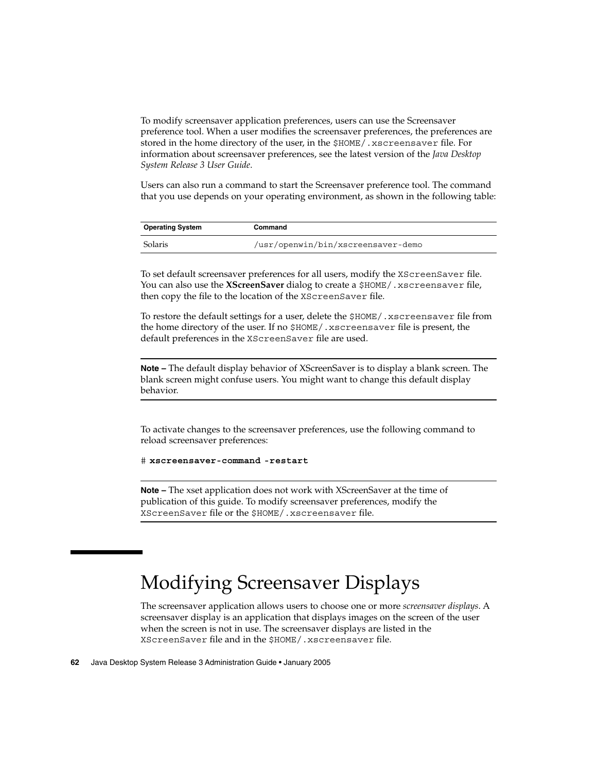To modify screensaver application preferences, users can use the Screensaver preference tool. When a user modifies the screensaver preferences, the preferences are stored in the home directory of the user, in the \$HOME/.xscreensaver file. For information about screensaver preferences, see the latest version of the *Java Desktop System Release 3 User Guide*.

Users can also run a command to start the Screensaver preference tool. The command that you use depends on your operating environment, as shown in the following table:

| <b>Operating System</b> | Command                            |
|-------------------------|------------------------------------|
| Solaris                 | /usr/openwin/bin/xscreensaver-demo |

To set default screensaver preferences for all users, modify the XScreenSaver file. You can also use the **XScreenSaver** dialog to create a \$HOME/.xscreensaver file, then copy the file to the location of the XScreenSaver file.

To restore the default settings for a user, delete the \$HOME/.xscreensaver file from the home directory of the user. If no \$HOME/.xscreensaver file is present, the default preferences in the XScreenSaver file are used.

**Note –** The default display behavior of XScreenSaver is to display a blank screen. The blank screen might confuse users. You might want to change this default display behavior.

To activate changes to the screensaver preferences, use the following command to reload screensaver preferences:

```
# xscreensaver-command -restart
```
**Note –** The xset application does not work with XScreenSaver at the time of publication of this guide. To modify screensaver preferences, modify the XScreenSaver file or the \$HOME/.xscreensaver file.

## Modifying Screensaver Displays

The screensaver application allows users to choose one or more *screensaver displays*. A screensaver display is an application that displays images on the screen of the user when the screen is not in use. The screensaver displays are listed in the XScreenSaver file and in the \$HOME/.xscreensaver file.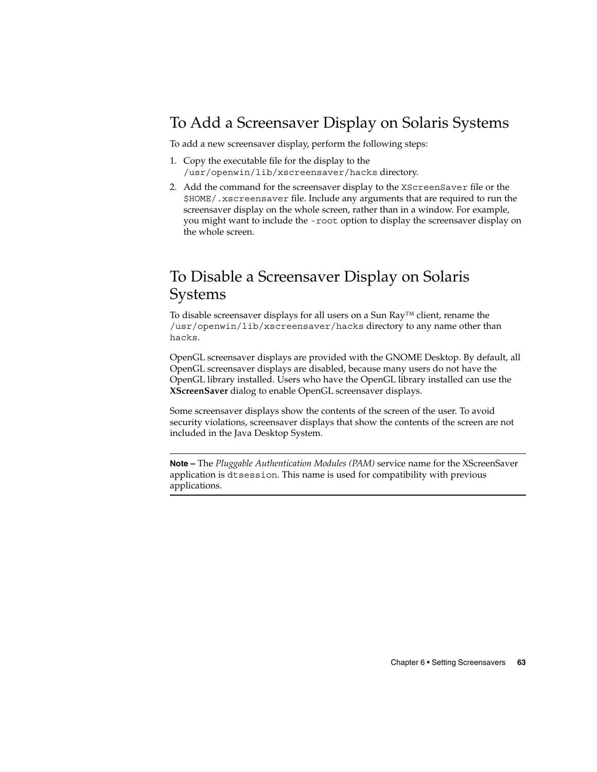### To Add a Screensaver Display on Solaris Systems

To add a new screensaver display, perform the following steps:

- 1. Copy the executable file for the display to the /usr/openwin/lib/xscreensaver/hacks directory.
- 2. Add the command for the screensaver display to the XScreenSaver file or the \$HOME/.xscreensaver file. Include any arguments that are required to run the screensaver display on the whole screen, rather than in a window. For example, you might want to include the -root option to display the screensaver display on the whole screen.

### To Disable a Screensaver Display on Solaris Systems

To disable screensaver displays for all users on a Sun Ray™ client, rename the /usr/openwin/lib/xscreensaver/hacks directory to any name other than hacks.

OpenGL screensaver displays are provided with the GNOME Desktop. By default, all OpenGL screensaver displays are disabled, because many users do not have the OpenGL library installed. Users who have the OpenGL library installed can use the **XScreenSaver** dialog to enable OpenGL screensaver displays.

Some screensaver displays show the contents of the screen of the user. To avoid security violations, screensaver displays that show the contents of the screen are not included in the Java Desktop System.

**Note –** The *Pluggable Authentication Modules (PAM)* service name for the XScreenSaver application is dtsession. This name is used for compatibility with previous applications.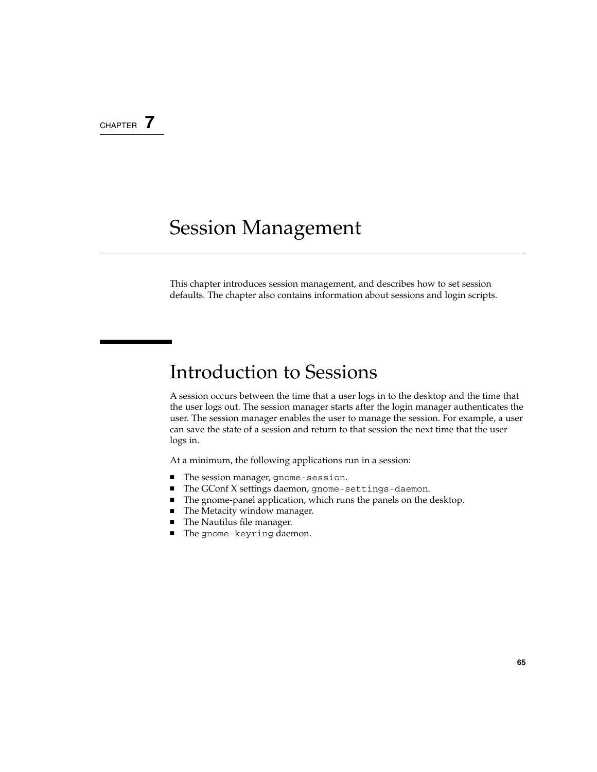#### CHAPTER **7**

### Session Management

This chapter introduces session management, and describes how to set session defaults. The chapter also contains information about sessions and login scripts.

### Introduction to Sessions

A session occurs between the time that a user logs in to the desktop and the time that the user logs out. The session manager starts after the login manager authenticates the user. The session manager enables the user to manage the session. For example, a user can save the state of a session and return to that session the next time that the user logs in.

At a minimum, the following applications run in a session:

- The session manager, gnome-session.
- The GConf X settings daemon, gnome-settings-daemon.
- The gnome-panel application, which runs the panels on the desktop.
- The Metacity window manager.
- The Nautilus file manager.
- The gnome-keyring daemon.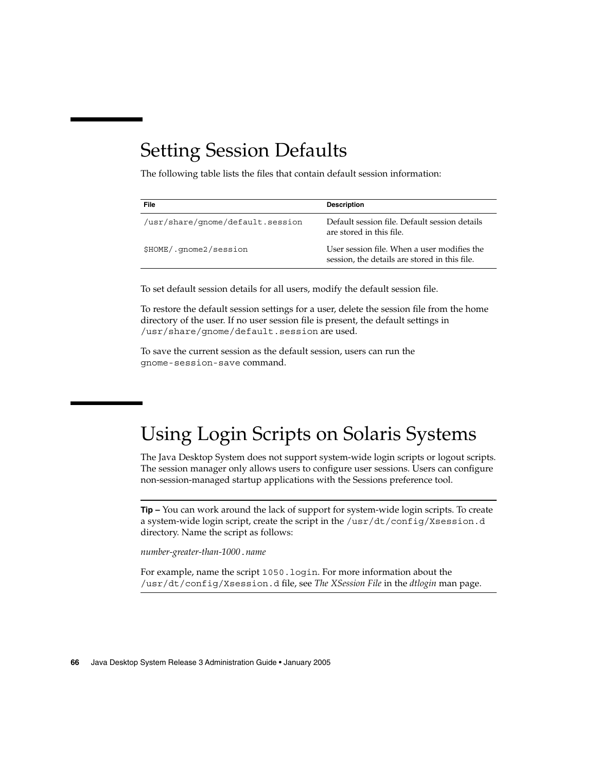### Setting Session Defaults

The following table lists the files that contain default session information:

| File                             | <b>Description</b>                                                                           |
|----------------------------------|----------------------------------------------------------------------------------------------|
| /usr/share/qnome/default.session | Default session file. Default session details<br>are stored in this file.                    |
| \$HOME/.gnome2/session           | User session file. When a user modifies the<br>session, the details are stored in this file. |

To set default session details for all users, modify the default session file.

To restore the default session settings for a user, delete the session file from the home directory of the user. If no user session file is present, the default settings in /usr/share/gnome/default.session are used.

To save the current session as the default session, users can run the gnome-session-save command.

### Using Login Scripts on Solaris Systems

The Java Desktop System does not support system-wide login scripts or logout scripts. The session manager only allows users to configure user sessions. Users can configure non-session-managed startup applications with the Sessions preference tool.

**Tip –** You can work around the lack of support for system-wide login scripts. To create a system-wide login script, create the script in the /usr/dt/config/Xsession.d directory. Name the script as follows:

*number-greater-than-1000*.*name*

For example, name the script 1050.login. For more information about the /usr/dt/config/Xsession.d file, see *The XSession File* in the *dtlogin* man page.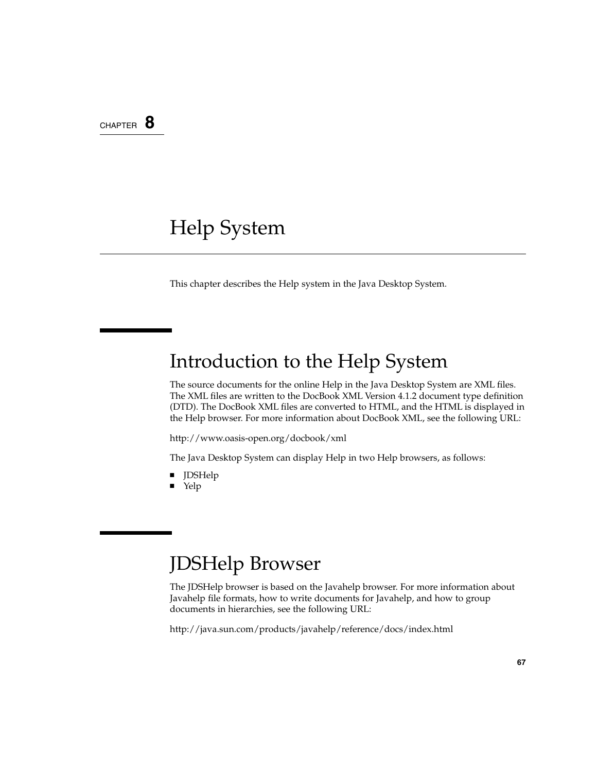### CHAPTER **8**

### Help System

This chapter describes the Help system in the Java Desktop System.

### Introduction to the Help System

The source documents for the online Help in the Java Desktop System are XML files. The XML files are written to the DocBook XML Version 4.1.2 document type definition (DTD). The DocBook XML files are converted to HTML, and the HTML is displayed in the Help browser. For more information about DocBook XML, see the following URL:

[http://www.oasis-open.org/docbook/xml](http://www.oasis-open.org/docbook/xml/)

The Java Desktop System can display Help in two Help browsers, as follows:

- JDSHelp
- Yelp

### JDSHelp Browser

The JDSHelp browser is based on the Javahelp browser. For more information about Javahelp file formats, how to write documents for Javahelp, and how to group documents in hierarchies, see the following URL:

<http://java.sun.com/products/javahelp/reference/docs/index.html>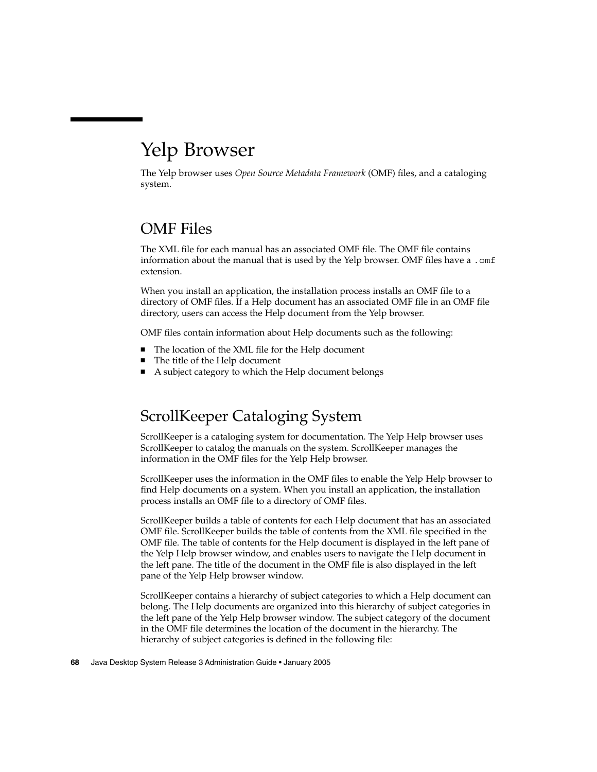### Yelp Browser

The Yelp browser uses *Open Source Metadata Framework* (OMF) files, and a cataloging system.

#### OMF Files

The XML file for each manual has an associated OMF file. The OMF file contains information about the manual that is used by the Yelp browser. OMF files have a .  $\text{omf}$ extension.

When you install an application, the installation process installs an OMF file to a directory of OMF files. If a Help document has an associated OMF file in an OMF file directory, users can access the Help document from the Yelp browser.

OMF files contain information about Help documents such as the following:

- The location of the XML file for the Help document
- The title of the Help document
- A subject category to which the Help document belongs

#### ScrollKeeper Cataloging System

ScrollKeeper is a cataloging system for documentation. The Yelp Help browser uses ScrollKeeper to catalog the manuals on the system. ScrollKeeper manages the information in the OMF files for the Yelp Help browser.

ScrollKeeper uses the information in the OMF files to enable the Yelp Help browser to find Help documents on a system. When you install an application, the installation process installs an OMF file to a directory of OMF files.

ScrollKeeper builds a table of contents for each Help document that has an associated OMF file. ScrollKeeper builds the table of contents from the XML file specified in the OMF file. The table of contents for the Help document is displayed in the left pane of the Yelp Help browser window, and enables users to navigate the Help document in the left pane. The title of the document in the OMF file is also displayed in the left pane of the Yelp Help browser window.

ScrollKeeper contains a hierarchy of subject categories to which a Help document can belong. The Help documents are organized into this hierarchy of subject categories in the left pane of the Yelp Help browser window. The subject category of the document in the OMF file determines the location of the document in the hierarchy. The hierarchy of subject categories is defined in the following file: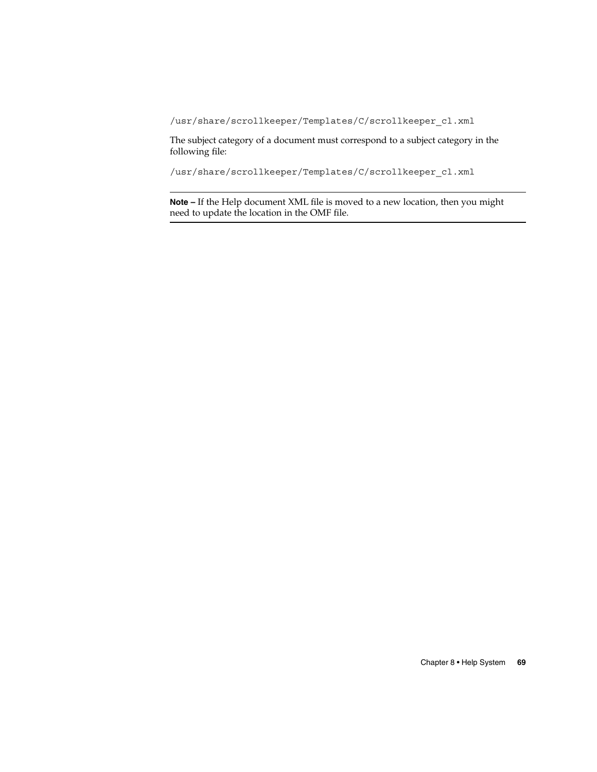/usr/share/scrollkeeper/Templates/C/scrollkeeper\_cl.xml

The subject category of a document must correspond to a subject category in the following file:

/usr/share/scrollkeeper/Templates/C/scrollkeeper\_cl.xml

**Note –** If the Help document XML file is moved to a new location, then you might need to update the location in the OMF file.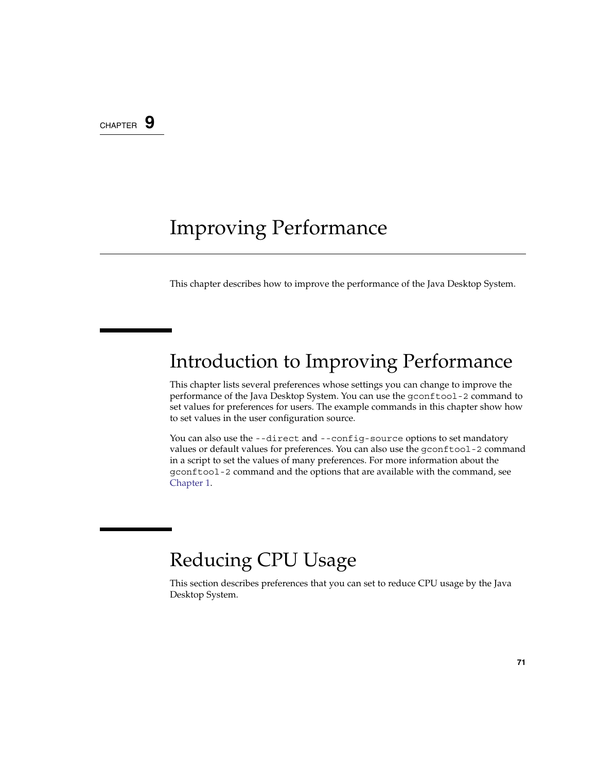#### CHAPTER **9**

## Improving Performance

This chapter describes how to improve the performance of the Java Desktop System.

# Introduction to Improving Performance

This chapter lists several preferences whose settings you can change to improve the performance of the Java Desktop System. You can use the gconftool-2 command to set values for preferences for users. The example commands in this chapter show how to set values in the user configuration source.

You can also use the --direct and --config-source options to set mandatory values or default values for preferences. You can also use the gconftool-2 command in a script to set the values of many preferences. For more information about the gconftool-2 command and the options that are available with the command, see [Chapter 1.](#page-12-0)

### Reducing CPU Usage

This section describes preferences that you can set to reduce CPU usage by the Java Desktop System.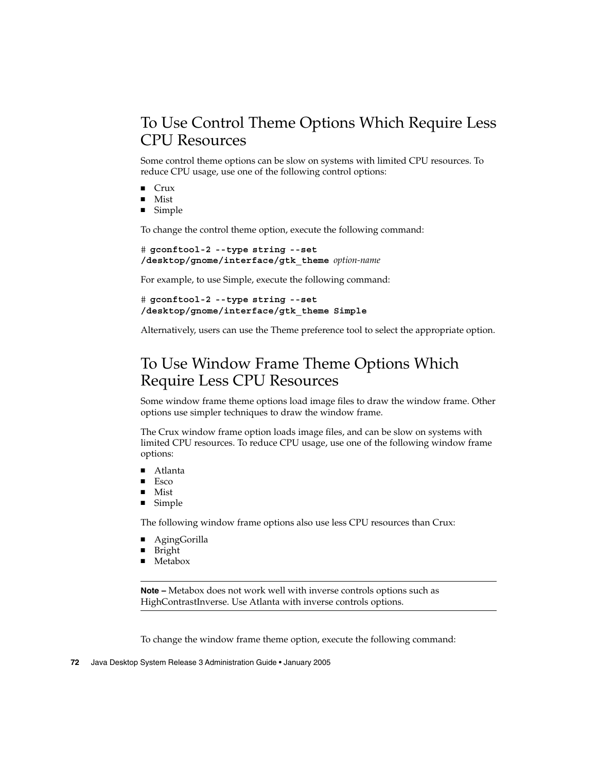### To Use Control Theme Options Which Require Less CPU Resources

Some control theme options can be slow on systems with limited CPU resources. To reduce CPU usage, use one of the following control options:

- **Crux**
- Mist
- Simple

To change the control theme option, execute the following command:

```
# gconftool-2 --type string --set
/desktop/gnome/interface/gtk_theme option-name
```
For example, to use Simple, execute the following command:

```
# gconftool-2 --type string --set
/desktop/gnome/interface/gtk_theme Simple
```
Alternatively, users can use the Theme preference tool to select the appropriate option.

#### To Use Window Frame Theme Options Which Require Less CPU Resources

Some window frame theme options load image files to draw the window frame. Other options use simpler techniques to draw the window frame.

The Crux window frame option loads image files, and can be slow on systems with limited CPU resources. To reduce CPU usage, use one of the following window frame options:

- Atlanta
- Esco
- Mist
- Simple

The following window frame options also use less CPU resources than Crux:

- AgingGorilla
- **Bright**
- Metabox

**Note –** Metabox does not work well with inverse controls options such as HighContrastInverse. Use Atlanta with inverse controls options.

To change the window frame theme option, execute the following command:

```
72 Java Desktop System Release 3 Administration Guide • January 2005
```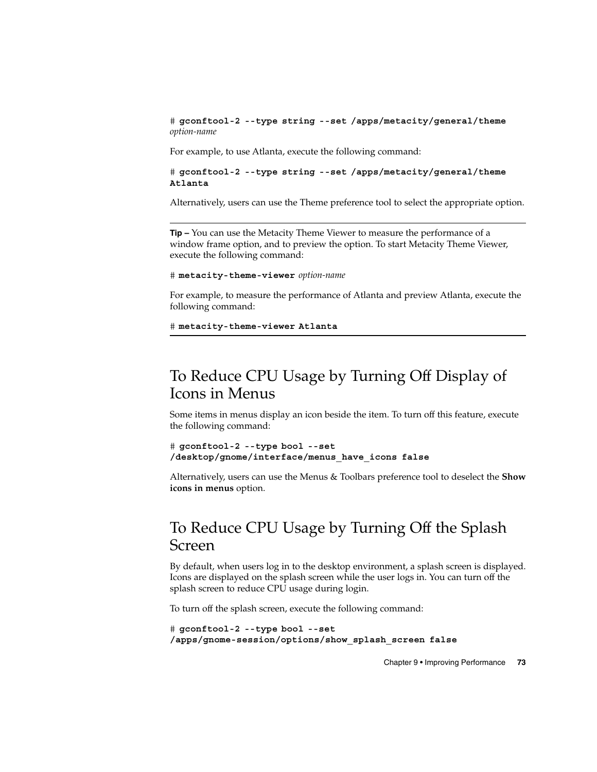<span id="page-72-0"></span># **gconftool-2 --type string --set /apps/metacity/general/theme** *option-name*

For example, to use Atlanta, execute the following command:

# **gconftool-2 --type string --set /apps/metacity/general/theme Atlanta**

Alternatively, users can use the Theme preference tool to select the appropriate option.

**Tip –** You can use the Metacity Theme Viewer to measure the performance of a window frame option, and to preview the option. To start Metacity Theme Viewer, execute the following command:

# **metacity-theme-viewer** *option-name*

For example, to measure the performance of Atlanta and preview Atlanta, execute the following command:

```
# metacity-theme-viewer Atlanta
```
## To Reduce CPU Usage by Turning Off Display of Icons in Menus

Some items in menus display an icon beside the item. To turn off this feature, execute the following command:

```
# gconftool-2 --type bool --set
/desktop/gnome/interface/menus_have_icons false
```
Alternatively, users can use the Menus & Toolbars preference tool to deselect the **Show icons in menus** option.

## To Reduce CPU Usage by Turning Off the Splash Screen

By default, when users log in to the desktop environment, a splash screen is displayed. Icons are displayed on the splash screen while the user logs in. You can turn off the splash screen to reduce CPU usage during login.

To turn off the splash screen, execute the following command:

```
# gconftool-2 --type bool --set
/apps/gnome-session/options/show_splash_screen false
```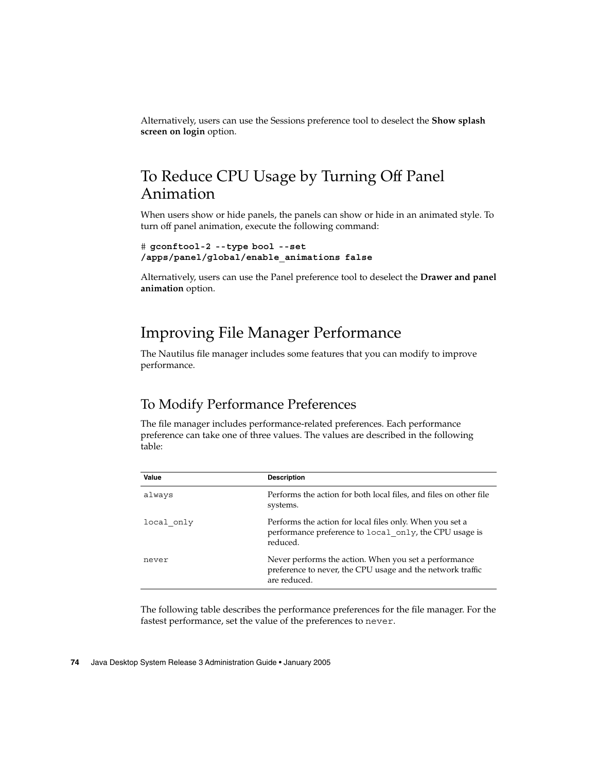<span id="page-73-0"></span>Alternatively, users can use the Sessions preference tool to deselect the **Show splash screen on login** option.

## To Reduce CPU Usage by Turning Off Panel Animation

When users show or hide panels, the panels can show or hide in an animated style. To turn off panel animation, execute the following command:

```
# gconftool-2 --type bool --set
/apps/panel/global/enable_animations false
```
Alternatively, users can use the Panel preference tool to deselect the **Drawer and panel animation** option.

### Improving File Manager Performance

The Nautilus file manager includes some features that you can modify to improve performance.

### To Modify Performance Preferences

The file manager includes performance-related preferences. Each performance preference can take one of three values. The values are described in the following table:

| Value      | <b>Description</b>                                                                                                                  |
|------------|-------------------------------------------------------------------------------------------------------------------------------------|
| always     | Performs the action for both local files, and files on other file<br>systems.                                                       |
| local only | Performs the action for local files only. When you set a<br>performance preference to local only, the CPU usage is<br>reduced.      |
| never      | Never performs the action. When you set a performance<br>preference to never, the CPU usage and the network traffic<br>are reduced. |

The following table describes the performance preferences for the file manager. For the fastest performance, set the value of the preferences to never.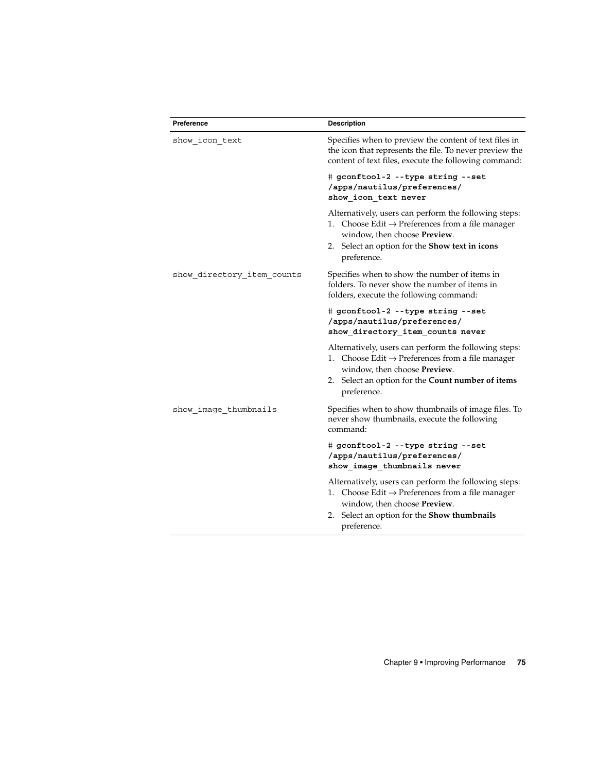| Preference                 | <b>Description</b>                                                                                                                                                                                                             |
|----------------------------|--------------------------------------------------------------------------------------------------------------------------------------------------------------------------------------------------------------------------------|
| show_icon_text             | Specifies when to preview the content of text files in<br>the icon that represents the file. To never preview the<br>content of text files, execute the following command:                                                     |
|                            | # gconftool-2 --type string --set<br>/apps/nautilus/preferences/<br>show_icon_text never                                                                                                                                       |
|                            | Alternatively, users can perform the following steps:<br>1. Choose Edit $\rightarrow$ Preferences from a file manager<br>window, then choose <b>Preview</b> .<br>2. Select an option for the Show text in icons<br>preference. |
| show directory item counts | Specifies when to show the number of items in<br>folders. To never show the number of items in<br>folders, execute the following command:                                                                                      |
|                            | # gconftool-2 --type string --set<br>/apps/nautilus/preferences/<br>show directory item counts never                                                                                                                           |
|                            | Alternatively, users can perform the following steps:<br>1. Choose Edit $\rightarrow$ Preferences from a file manager<br>window, then choose Preview.<br>2. Select an option for the Count number of items<br>preference.      |
| show image thumbnails      | Specifies when to show thumbnails of image files. To<br>never show thumbnails, execute the following<br>command:                                                                                                               |
|                            | # gconftool-2 --type string --set<br>/apps/nautilus/preferences/<br>show image thumbnails never                                                                                                                                |
|                            | Alternatively, users can perform the following steps:<br>1. Choose Edit $\rightarrow$ Preferences from a file manager<br>window, then choose Preview.<br>2. Select an option for the <b>Show thumbnails</b><br>preference.     |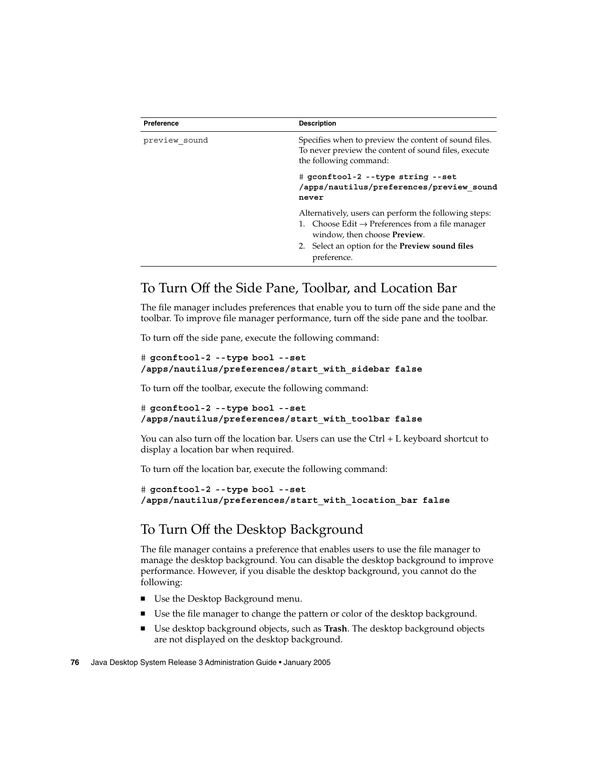<span id="page-75-0"></span>

| Preference    | <b>Description</b>                                                                                                                                                                                                                     |
|---------------|----------------------------------------------------------------------------------------------------------------------------------------------------------------------------------------------------------------------------------------|
| preview sound | Specifies when to preview the content of sound files.<br>To never preview the content of sound files, execute<br>the following command:                                                                                                |
|               | # gconftool-2 --type string --set<br>/apps/nautilus/preferences/preview sound<br>never                                                                                                                                                 |
|               | Alternatively, users can perform the following steps:<br>1. Choose Edit $\rightarrow$ Preferences from a file manager<br>window, then choose <b>Preview</b> .<br>2. Select an option for the <b>Preview sound files</b><br>preference. |

### To Turn Off the Side Pane, Toolbar, and Location Bar

The file manager includes preferences that enable you to turn off the side pane and the toolbar. To improve file manager performance, turn off the side pane and the toolbar.

To turn off the side pane, execute the following command:

```
# gconftool-2 --type bool --set
/apps/nautilus/preferences/start_with_sidebar false
```
To turn off the toolbar, execute the following command:

```
# gconftool-2 --type bool --set
/apps/nautilus/preferences/start_with_toolbar false
```
You can also turn off the location bar. Users can use the Ctrl + L keyboard shortcut to display a location bar when required.

To turn off the location bar, execute the following command:

```
# gconftool-2 --type bool --set
/apps/nautilus/preferences/start_with_location_bar false
```
### To Turn Off the Desktop Background

The file manager contains a preference that enables users to use the file manager to manage the desktop background. You can disable the desktop background to improve performance. However, if you disable the desktop background, you cannot do the following:

- Use the Desktop Background menu.
- Use the file manager to change the pattern or color of the desktop background.
- Use desktop background objects, such as **Trash**. The desktop background objects are not displayed on the desktop background.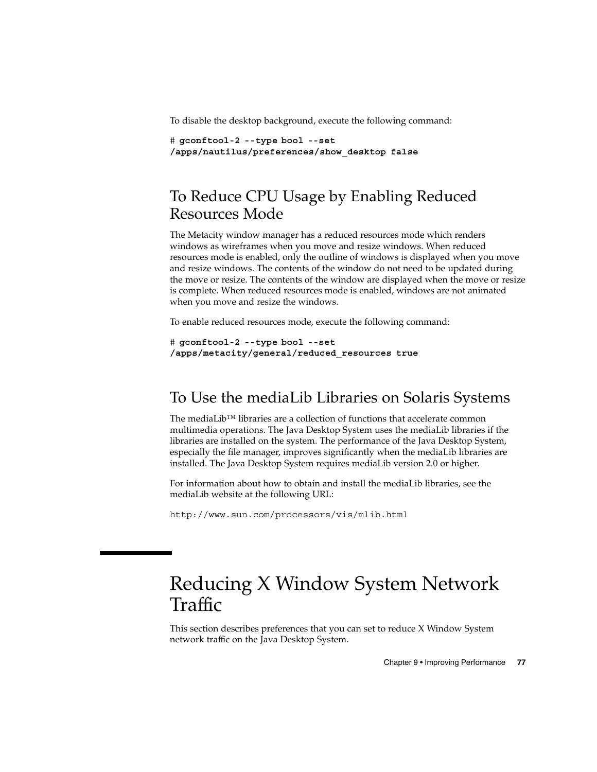<span id="page-76-0"></span>To disable the desktop background, execute the following command:

```
# gconftool-2 --type bool --set
/apps/nautilus/preferences/show_desktop false
```
### To Reduce CPU Usage by Enabling Reduced Resources Mode

The Metacity window manager has a reduced resources mode which renders windows as wireframes when you move and resize windows. When reduced resources mode is enabled, only the outline of windows is displayed when you move and resize windows. The contents of the window do not need to be updated during the move or resize. The contents of the window are displayed when the move or resize is complete. When reduced resources mode is enabled, windows are not animated when you move and resize the windows.

To enable reduced resources mode, execute the following command:

```
# gconftool-2 --type bool --set
/apps/metacity/general/reduced_resources true
```
### To Use the mediaLib Libraries on Solaris Systems

The mediaLib™ libraries are a collection of functions that accelerate common multimedia operations. The Java Desktop System uses the mediaLib libraries if the libraries are installed on the system. The performance of the Java Desktop System, especially the file manager, improves significantly when the mediaLib libraries are installed. The Java Desktop System requires mediaLib version 2.0 or higher.

For information about how to obtain and install the mediaLib libraries, see the mediaLib website at the following URL:

<http://www.sun.com/processors/vis/mlib.html>

## Reducing X Window System Network Traffic

This section describes preferences that you can set to reduce X Window System network traffic on the Java Desktop System.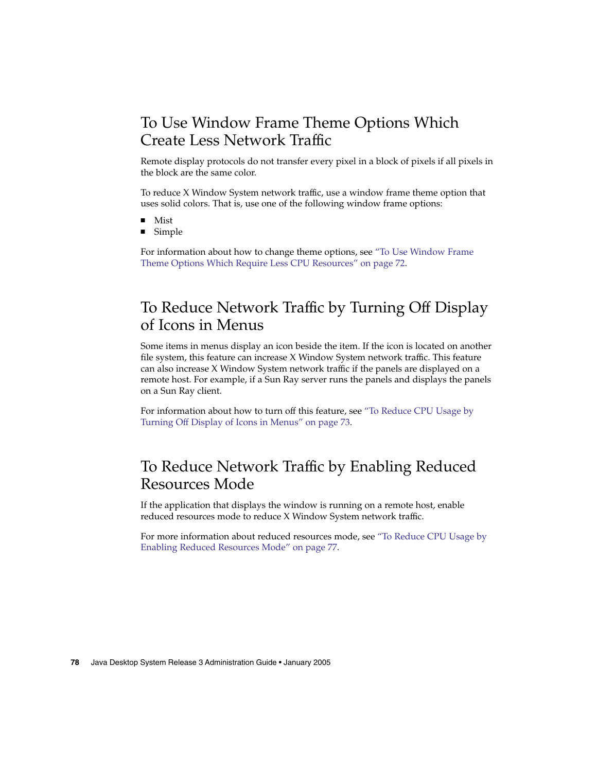## <span id="page-77-0"></span>To Use Window Frame Theme Options Which Create Less Network Traffic

Remote display protocols do not transfer every pixel in a block of pixels if all pixels in the block are the same color.

To reduce X Window System network traffic, use a window frame theme option that uses solid colors. That is, use one of the following window frame options:

- Mist
- Simple

For information about how to change theme options, see ["To Use Window Frame](#page-71-0) [Theme Options Which Require Less CPU Resources"](#page-71-0) on page 72.

## To Reduce Network Traffic by Turning Off Display of Icons in Menus

Some items in menus display an icon beside the item. If the icon is located on another file system, this feature can increase X Window System network traffic. This feature can also increase X Window System network traffic if the panels are displayed on a remote host. For example, if a Sun Ray server runs the panels and displays the panels on a Sun Ray client.

For information about how to turn off this feature, see ["To Reduce CPU Usage by](#page-72-0) [Turning Off Display of Icons in Menus"](#page-72-0) on page 73.

## To Reduce Network Traffic by Enabling Reduced Resources Mode

If the application that displays the window is running on a remote host, enable reduced resources mode to reduce X Window System network traffic.

For more information about reduced resources mode, see ["To Reduce CPU Usage by](#page-76-0) [Enabling Reduced Resources Mode"](#page-76-0) on page 77.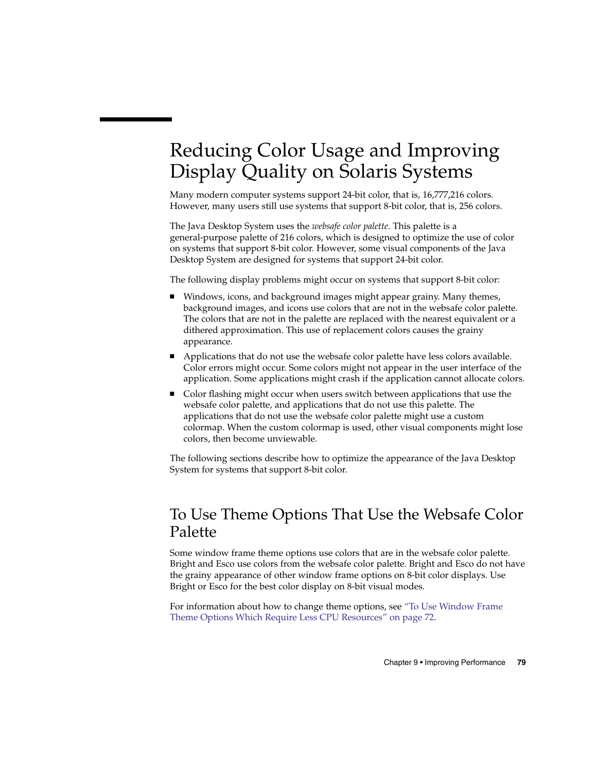## <span id="page-78-0"></span>Reducing Color Usage and Improving Display Quality on Solaris Systems

Many modern computer systems support 24-bit color, that is, 16,777,216 colors. However, many users still use systems that support 8-bit color, that is, 256 colors.

The Java Desktop System uses the *websafe color palette*. This palette is a general-purpose palette of 216 colors, which is designed to optimize the use of color on systems that support 8-bit color. However, some visual components of the Java Desktop System are designed for systems that support 24-bit color.

The following display problems might occur on systems that support 8-bit color:

- Windows, icons, and background images might appear grainy. Many themes, background images, and icons use colors that are not in the websafe color palette. The colors that are not in the palette are replaced with the nearest equivalent or a dithered approximation. This use of replacement colors causes the grainy appearance.
- Applications that do not use the websafe color palette have less colors available. Color errors might occur. Some colors might not appear in the user interface of the application. Some applications might crash if the application cannot allocate colors.
- Color flashing might occur when users switch between applications that use the websafe color palette, and applications that do not use this palette. The applications that do not use the websafe color palette might use a custom colormap. When the custom colormap is used, other visual components might lose colors, then become unviewable.

The following sections describe how to optimize the appearance of the Java Desktop System for systems that support 8-bit color.

## To Use Theme Options That Use the Websafe Color Palette

Some window frame theme options use colors that are in the websafe color palette. Bright and Esco use colors from the websafe color palette. Bright and Esco do not have the grainy appearance of other window frame options on 8-bit color displays. Use Bright or Esco for the best color display on 8-bit visual modes.

For information about how to change theme options, see ["To Use Window Frame](#page-71-0) [Theme Options Which Require Less CPU Resources"](#page-71-0) on page 72.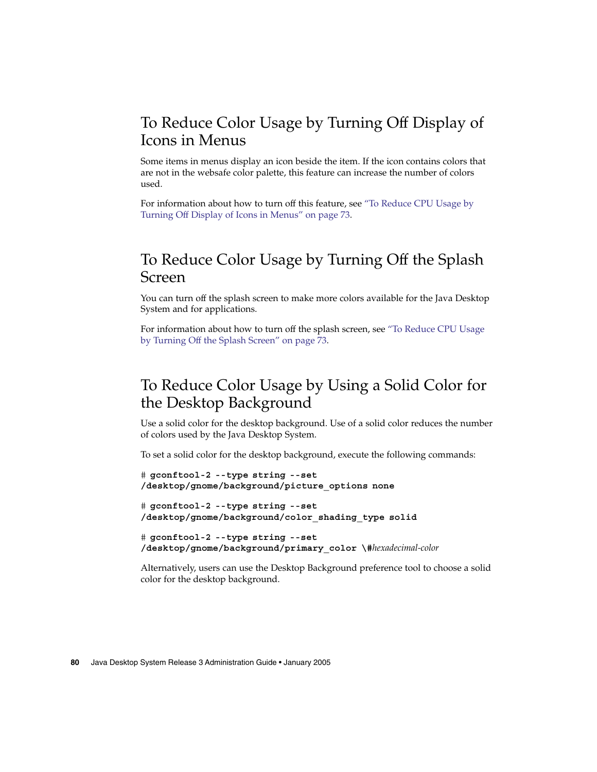## <span id="page-79-0"></span>To Reduce Color Usage by Turning Off Display of Icons in Menus

Some items in menus display an icon beside the item. If the icon contains colors that are not in the websafe color palette, this feature can increase the number of colors used.

For information about how to turn off this feature, see ["To Reduce CPU Usage by](#page-72-0) [Turning Off Display of Icons in Menus"](#page-72-0) on page 73.

### To Reduce Color Usage by Turning Off the Splash Screen

You can turn off the splash screen to make more colors available for the Java Desktop System and for applications.

For information about how to turn off the splash screen, see ["To Reduce CPU Usage](#page-72-0) [by Turning Off the Splash Screen"](#page-72-0) on page 73.

## To Reduce Color Usage by Using a Solid Color for the Desktop Background

Use a solid color for the desktop background. Use of a solid color reduces the number of colors used by the Java Desktop System.

To set a solid color for the desktop background, execute the following commands:

```
# gconftool-2 --type string --set
/desktop/gnome/background/picture_options none
```

```
# gconftool-2 --type string --set
/desktop/gnome/background/color_shading_type solid
```

```
# gconftool-2 --type string --set
/desktop/gnome/background/primary_color \#hexadecimal-color
```
Alternatively, users can use the Desktop Background preference tool to choose a solid color for the desktop background.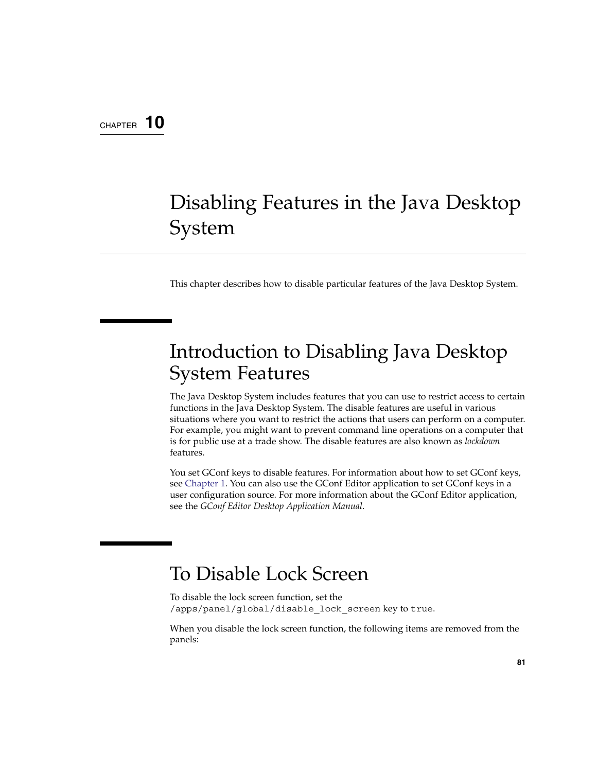### <span id="page-80-0"></span>CHAPTER **10**

## Disabling Features in the Java Desktop System

This chapter describes how to disable particular features of the Java Desktop System.

## Introduction to Disabling Java Desktop System Features

The Java Desktop System includes features that you can use to restrict access to certain functions in the Java Desktop System. The disable features are useful in various situations where you want to restrict the actions that users can perform on a computer. For example, you might want to prevent command line operations on a computer that is for public use at a trade show. The disable features are also known as *lockdown* features.

You set GConf keys to disable features. For information about how to set GConf keys, see [Chapter 1.](#page-12-0) You can also use the GConf Editor application to set GConf keys in a user configuration source. For more information about the GConf Editor application, see the *GConf Editor Desktop Application Manual*.

## To Disable Lock Screen

To disable the lock screen function, set the /apps/panel/global/disable\_lock\_screen key to true.

When you disable the lock screen function, the following items are removed from the panels: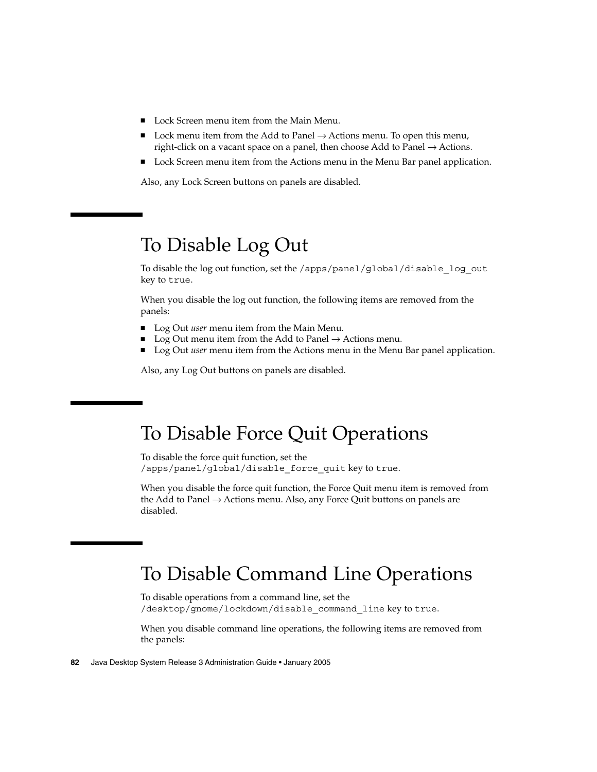- <span id="page-81-0"></span>■ Lock Screen menu item from the Main Menu.
- Lock menu item from the Add to Panel  $\rightarrow$  Actions menu. To open this menu, right-click on a vacant space on a panel, then choose Add to Panel  $\rightarrow$  Actions.
- Lock Screen menu item from the Actions menu in the Menu Bar panel application.

Also, any Lock Screen buttons on panels are disabled.

## To Disable Log Out

To disable the log out function, set the /apps/panel/global/disable\_log\_out key to true.

When you disable the log out function, the following items are removed from the panels:

- Log Out *user* menu item from the Main Menu.
- Log Out menu item from the Add to Panel  $\rightarrow$  Actions menu.
- Log Out *user* menu item from the Actions menu in the Menu Bar panel application.

Also, any Log Out buttons on panels are disabled.

## To Disable Force Quit Operations

To disable the force quit function, set the /apps/panel/global/disable\_force\_quit key to true.

When you disable the force quit function, the Force Quit menu item is removed from the Add to Panel  $\rightarrow$  Actions menu. Also, any Force Quit buttons on panels are disabled.

## To Disable Command Line Operations

To disable operations from a command line, set the /desktop/gnome/lockdown/disable\_command\_line key to true.

When you disable command line operations, the following items are removed from the panels: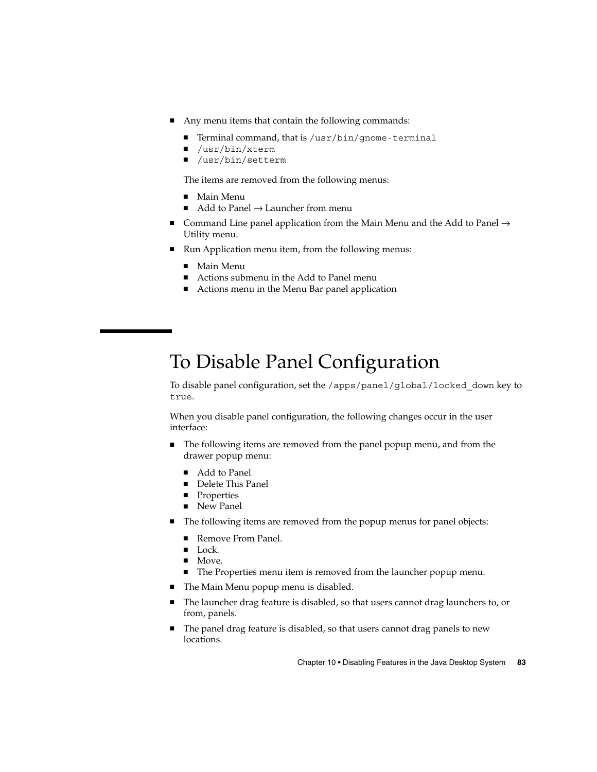- <span id="page-82-0"></span>■ Any menu items that contain the following commands:
	- Terminal command, that is /usr/bin/gnome-terminal
	- /usr/bin/xterm
	- /usr/bin/setterm

The items are removed from the following menus:

- Main Menu
- $\blacksquare$  Add to Panel  $\rightarrow$  Launcher from menu
- Command Line panel application from the Main Menu and the Add to Panel  $\rightarrow$ Utility menu.
- Run Application menu item, from the following menus:
	- Main Menu
	- Actions submenu in the Add to Panel menu
	- Actions menu in the Menu Bar panel application

## To Disable Panel Configuration

To disable panel configuration, set the /apps/panel/global/locked\_down key to true.

When you disable panel configuration, the following changes occur in the user interface:

- The following items are removed from the panel popup menu, and from the drawer popup menu:
	- Add to Panel
	- Delete This Panel
	- Properties
	- New Panel
- The following items are removed from the popup menus for panel objects:
	- Remove From Panel.
	- Lock.
	- Move.
	- The Properties menu item is removed from the launcher popup menu.
- The Main Menu popup menu is disabled.
- The launcher drag feature is disabled, so that users cannot drag launchers to, or from, panels.
- The panel drag feature is disabled, so that users cannot drag panels to new locations.

Chapter 10 • Disabling Features in the Java Desktop System **83**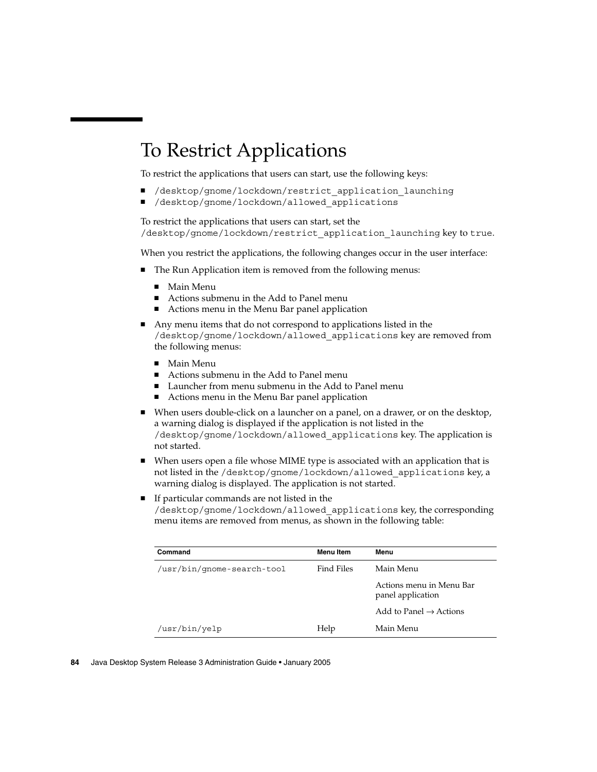## <span id="page-83-0"></span>To Restrict Applications

To restrict the applications that users can start, use the following keys:

- /desktop/gnome/lockdown/restrict application launching
- /desktop/gnome/lockdown/allowed applications

To restrict the applications that users can start, set the /desktop/gnome/lockdown/restrict\_application\_launching key to true.

When you restrict the applications, the following changes occur in the user interface:

- The Run Application item is removed from the following menus:
	- Main Menu
	- Actions submenu in the Add to Panel menu
	- Actions menu in the Menu Bar panel application
- Any menu items that do not correspond to applications listed in the /desktop/gnome/lockdown/allowed\_applications key are removed from the following menus:
	- Main Menu
	- Actions submenu in the Add to Panel menu
	- Launcher from menu submenu in the Add to Panel menu
	- Actions menu in the Menu Bar panel application
- When users double-click on a launcher on a panel, on a drawer, or on the desktop, a warning dialog is displayed if the application is not listed in the /desktop/gnome/lockdown/allowed\_applications key. The application is not started.
- When users open a file whose MIME type is associated with an application that is not listed in the /desktop/gnome/lockdown/allowed\_applications key, a warning dialog is displayed. The application is not started.
- If particular commands are not listed in the /desktop/gnome/lockdown/allowed\_applications key, the corresponding menu items are removed from menus, as shown in the following table:

| Command                    | <b>Menu</b> Item | Menu                                          |
|----------------------------|------------------|-----------------------------------------------|
| /usr/bin/qnome-search-tool | Find Files       | Main Menu                                     |
|                            |                  | Actions menu in Menu Bar<br>panel application |
|                            |                  | Add to Panel $\rightarrow$ Actions            |
| /usr/bin/yelp              | Help             | Main Menu                                     |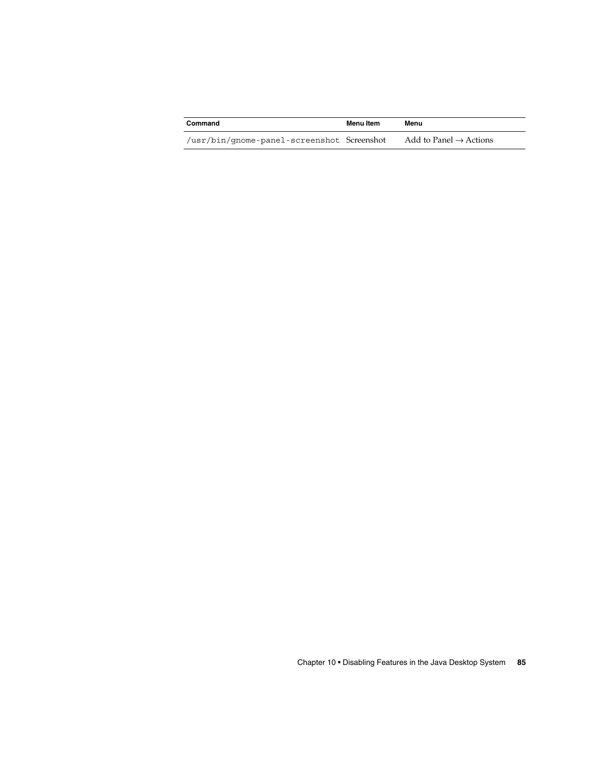| Command                                    | Menu Item | Menu                               |
|--------------------------------------------|-----------|------------------------------------|
| /usr/bin/gnome-panel-screenshot Screenshot |           | Add to Panel $\rightarrow$ Actions |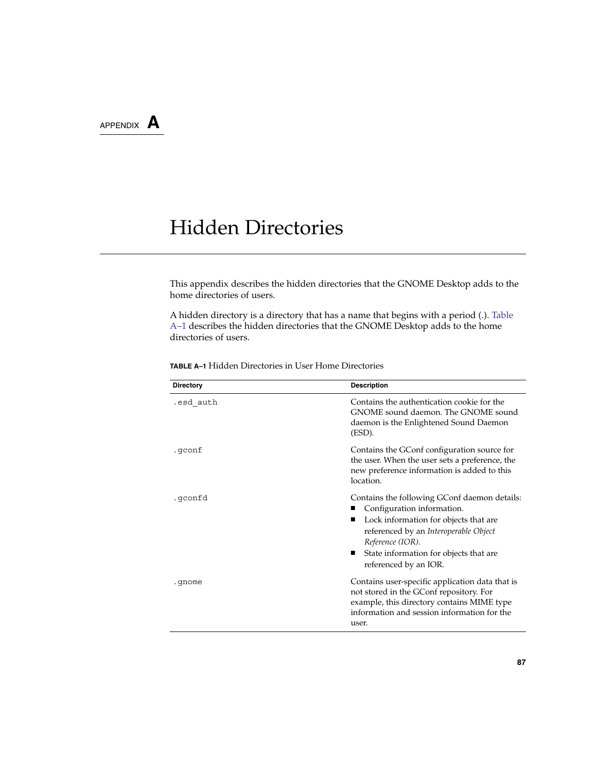<span id="page-86-0"></span>APPENDIX **A**

## Hidden Directories

This appendix describes the hidden directories that the GNOME Desktop adds to the home directories of users.

A hidden directory is a directory that has a name that begins with a period (.). Table A–1 describes the hidden directories that the GNOME Desktop adds to the home directories of users.

| <b>Directory</b> | <b>Description</b>                                                                                                                                                                                                                                       |
|------------------|----------------------------------------------------------------------------------------------------------------------------------------------------------------------------------------------------------------------------------------------------------|
| .esd_auth        | Contains the authentication cookie for the<br>GNOME sound daemon. The GNOME sound<br>daemon is the Enlightened Sound Daemon<br>(ESD).                                                                                                                    |
| .qconf           | Contains the GConf configuration source for<br>the user. When the user sets a preference, the<br>new preference information is added to this<br>location.                                                                                                |
| .qconfd          | Contains the following GConf daemon details:<br>Configuration information.<br>Lock information for objects that are<br>referenced by an Interoperable Object<br>Reference (IOR).<br>State information for objects that are<br>ш<br>referenced by an IOR. |
| .qnome           | Contains user-specific application data that is<br>not stored in the GConf repository. For<br>example, this directory contains MIME type<br>information and session information for the<br>user.                                                         |

**TABLE A–1** Hidden Directories in User Home Directories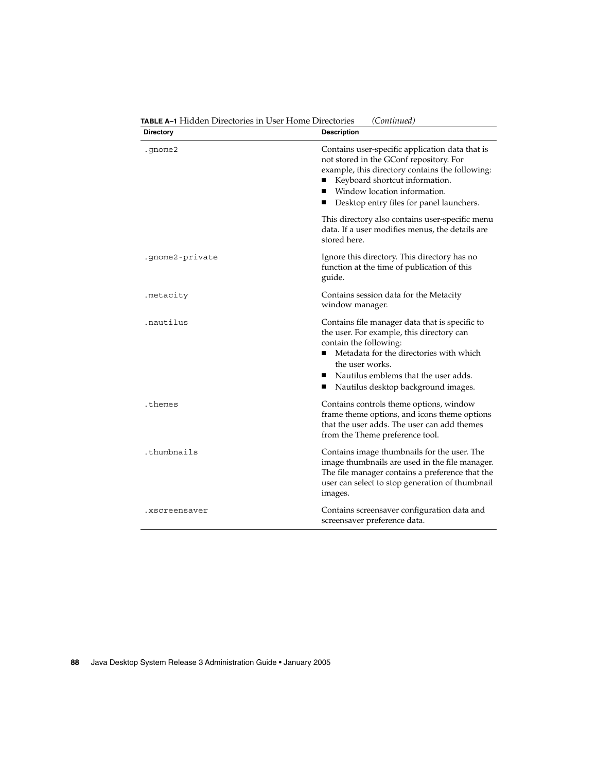| <b>Directory</b> | <b>Description</b>                                                                                                                                                                                                                                                           |
|------------------|------------------------------------------------------------------------------------------------------------------------------------------------------------------------------------------------------------------------------------------------------------------------------|
| .gnome2          | Contains user-specific application data that is<br>not stored in the GConf repository. For<br>example, this directory contains the following:<br>Keyboard shortcut information.<br>Window location information.<br>Desktop entry files for panel launchers.<br>п             |
|                  | This directory also contains user-specific menu<br>data. If a user modifies menus, the details are<br>stored here.                                                                                                                                                           |
| .gnome2-private  | Ignore this directory. This directory has no<br>function at the time of publication of this<br>guide.                                                                                                                                                                        |
| .metacity        | Contains session data for the Metacity<br>window manager.                                                                                                                                                                                                                    |
| .nautilus        | Contains file manager data that is specific to<br>the user. For example, this directory can<br>contain the following:<br>Metadata for the directories with which<br>the user works.<br>Nautilus emblems that the user adds.<br>п<br>Nautilus desktop background images.<br>ш |
| .themes          | Contains controls theme options, window<br>frame theme options, and icons theme options<br>that the user adds. The user can add themes<br>from the Theme preference tool.                                                                                                    |
| .thumbnails      | Contains image thumbnails for the user. The<br>image thumbnails are used in the file manager.<br>The file manager contains a preference that the<br>user can select to stop generation of thumbnail<br>images.                                                               |
| .xscreensaver    | Contains screensaver configuration data and<br>screensaver preference data.                                                                                                                                                                                                  |

**TABLE A–1** Hidden Directories in User Home Directories *(Continued)*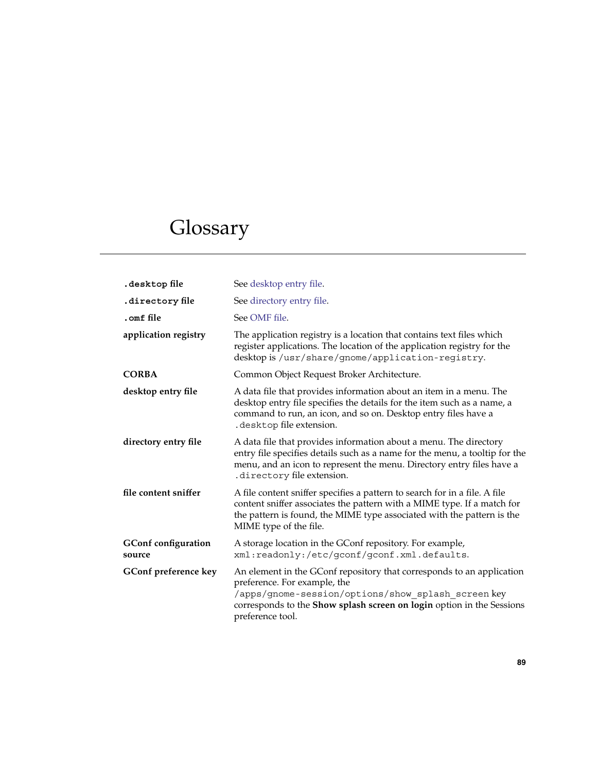# Glossary

| desktop file.                        | See desktop entry file.                                                                                                                                                                                                                                   |
|--------------------------------------|-----------------------------------------------------------------------------------------------------------------------------------------------------------------------------------------------------------------------------------------------------------|
| directory file.                      | See directory entry file.                                                                                                                                                                                                                                 |
| .omf file                            | See OMF file.                                                                                                                                                                                                                                             |
| application registry                 | The application registry is a location that contains text files which<br>register applications. The location of the application registry for the<br>desktop is /usr/share/gnome/application-registry.                                                     |
| <b>CORBA</b>                         | Common Object Request Broker Architecture.                                                                                                                                                                                                                |
| desktop entry file                   | A data file that provides information about an item in a menu. The<br>desktop entry file specifies the details for the item such as a name, a<br>command to run, an icon, and so on. Desktop entry files have a<br>. desktop file extension.              |
| directory entry file                 | A data file that provides information about a menu. The directory<br>entry file specifies details such as a name for the menu, a tooltip for the<br>menu, and an icon to represent the menu. Directory entry files have a<br>. directory file extension.  |
| file content sniffer                 | A file content sniffer specifies a pattern to search for in a file. A file<br>content sniffer associates the pattern with a MIME type. If a match for<br>the pattern is found, the MIME type associated with the pattern is the<br>MIME type of the file. |
| <b>GConf configuration</b><br>source | A storage location in the GConf repository. For example,<br>xml:readonly:/etc/gconf/gconf.xml.defaults.                                                                                                                                                   |
| GConf preference key                 | An element in the GConf repository that corresponds to an application<br>preference. For example, the<br>/apps/gnome-session/options/show splash screen key<br>corresponds to the Show splash screen on login option in the Sessions<br>preference tool.  |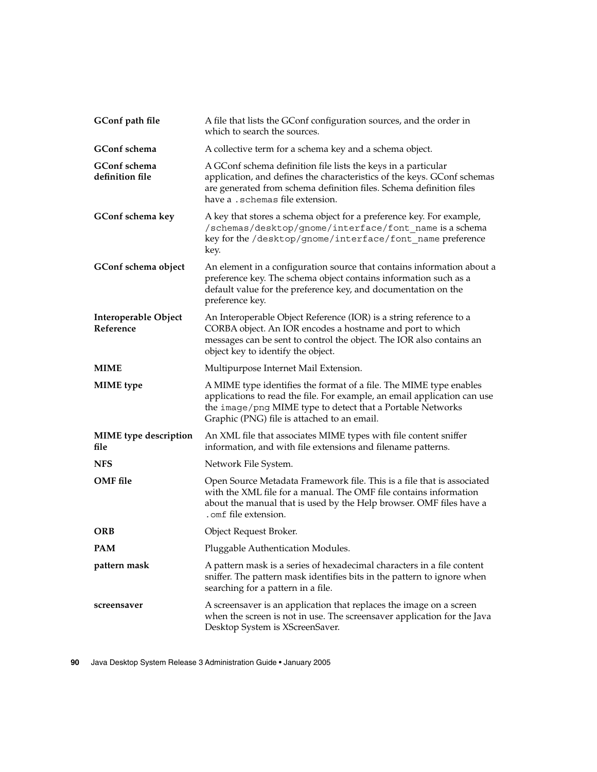<span id="page-89-0"></span>

| GConf path file                      | A file that lists the GConf configuration sources, and the order in<br>which to search the sources.                                                                                                                                                         |
|--------------------------------------|-------------------------------------------------------------------------------------------------------------------------------------------------------------------------------------------------------------------------------------------------------------|
| <b>GConf</b> schema                  | A collective term for a schema key and a schema object.                                                                                                                                                                                                     |
| GConf schema<br>definition file      | A GConf schema definition file lists the keys in a particular<br>application, and defines the characteristics of the keys. GConf schemas<br>are generated from schema definition files. Schema definition files<br>have a .schemas file extension.          |
| GConf schema key                     | A key that stores a schema object for a preference key. For example,<br>/schemas/desktop/gnome/interface/font name is a schema<br>key for the /desktop/gnome/interface/font name preference<br>key.                                                         |
| GConf schema object                  | An element in a configuration source that contains information about a<br>preference key. The schema object contains information such as a<br>default value for the preference key, and documentation on the<br>preference key.                             |
| Interoperable Object<br>Reference    | An Interoperable Object Reference (IOR) is a string reference to a<br>CORBA object. An IOR encodes a hostname and port to which<br>messages can be sent to control the object. The IOR also contains an<br>object key to identify the object.               |
| <b>MIME</b>                          | Multipurpose Internet Mail Extension.                                                                                                                                                                                                                       |
| <b>MIME</b> type                     | A MIME type identifies the format of a file. The MIME type enables<br>applications to read the file. For example, an email application can use<br>the image/png MIME type to detect that a Portable Networks<br>Graphic (PNG) file is attached to an email. |
| <b>MIME</b> type description<br>file | An XML file that associates MIME types with file content sniffer<br>information, and with file extensions and filename patterns.                                                                                                                            |
| <b>NFS</b>                           | Network File System.                                                                                                                                                                                                                                        |
| <b>OMF</b> file                      | Open Source Metadata Framework file. This is a file that is associated<br>with the XML file for a manual. The OMF file contains information<br>about the manual that is used by the Help browser. OMF files have a<br>. omf file extension.                 |
| ORB                                  | Object Request Broker.                                                                                                                                                                                                                                      |
| PAM                                  | Pluggable Authentication Modules.                                                                                                                                                                                                                           |
| pattern mask                         | A pattern mask is a series of hexadecimal characters in a file content<br>sniffer. The pattern mask identifies bits in the pattern to ignore when<br>searching for a pattern in a file.                                                                     |
| screensaver                          | A screensaver is an application that replaces the image on a screen<br>when the screen is not in use. The screensaver application for the Java<br>Desktop System is XScreenSaver.                                                                           |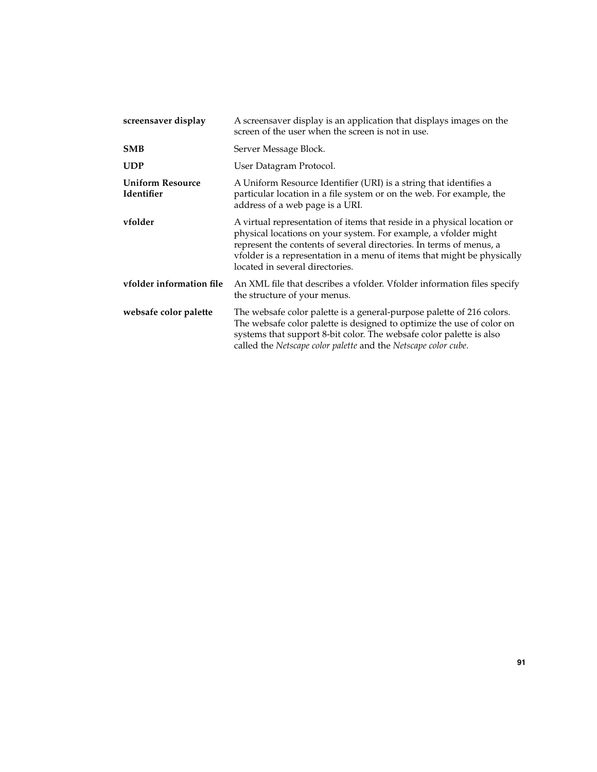| screensaver display                   | A screensaver display is an application that displays images on the<br>screen of the user when the screen is not in use.                                                                                                                                                                                                        |
|---------------------------------------|---------------------------------------------------------------------------------------------------------------------------------------------------------------------------------------------------------------------------------------------------------------------------------------------------------------------------------|
| <b>SMB</b>                            | Server Message Block.                                                                                                                                                                                                                                                                                                           |
| <b>UDP</b>                            | User Datagram Protocol.                                                                                                                                                                                                                                                                                                         |
| <b>Uniform Resource</b><br>Identifier | A Uniform Resource Identifier (URI) is a string that identifies a<br>particular location in a file system or on the web. For example, the<br>address of a web page is a URI.                                                                                                                                                    |
| vfolder                               | A virtual representation of items that reside in a physical location or<br>physical locations on your system. For example, a vfolder might<br>represent the contents of several directories. In terms of menus, a<br>vfolder is a representation in a menu of items that might be physically<br>located in several directories. |
| vfolder information file              | An XML file that describes a vfolder. Vfolder information files specify<br>the structure of your menus.                                                                                                                                                                                                                         |
| websafe color palette                 | The websafe color palette is a general-purpose palette of 216 colors.<br>The websafe color palette is designed to optimize the use of color on<br>systems that support 8-bit color. The websafe color palette is also<br>called the Netscape color palette and the Netscape color cube.                                         |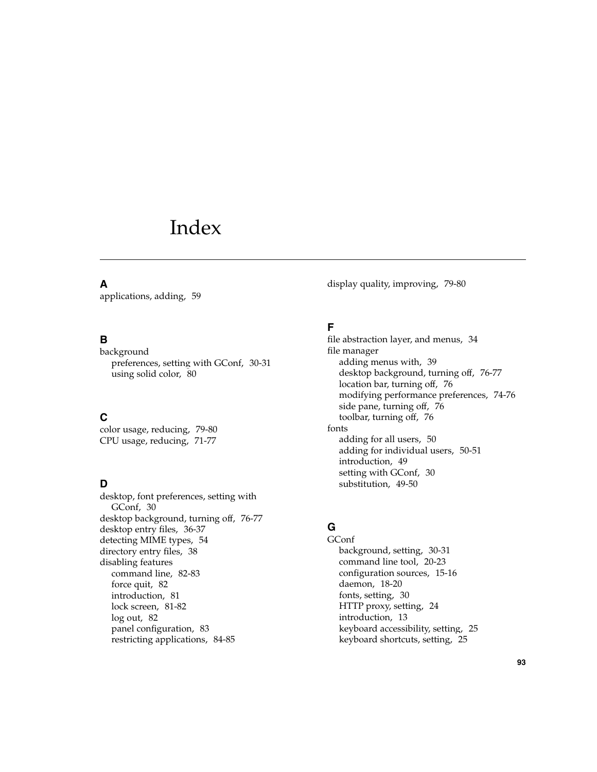## Index

### **A**

applications, adding, [59](#page-58-0)

#### **B**

background preferences, setting with GConf, [30-31](#page-29-0) using solid color, [80](#page-79-0)

### **C**

color usage, reducing, [79-80](#page-78-0) CPU usage, reducing, [71-77](#page-70-0)

### **D**

desktop, font preferences, setting with GConf, [30](#page-29-0) desktop background, turning off, [76-77](#page-75-0) desktop entry files, [36-37](#page-35-0) detecting MIME types, [54](#page-53-0) directory entry files, [38](#page-37-0) disabling features command line, [82-83](#page-81-0) force quit, [82](#page-81-0) introduction, [81](#page-80-0) lock screen, [81-82](#page-80-0) log out, [82](#page-81-0) panel configuration, [83](#page-82-0) restricting applications, [84-85](#page-83-0)

display quality, improving, [79-80](#page-78-0)

#### **F**

file abstraction layer, and menus, [34](#page-33-0) file manager adding menus with, [39](#page-38-0) desktop background, turning off, [76-77](#page-75-0) location bar, turning off, [76](#page-75-0) modifying performance preferences, [74-76](#page-73-0) side pane, turning off, [76](#page-75-0) toolbar, turning off, [76](#page-75-0) fonts adding for all users, [50](#page-49-0) adding for individual users, [50-51](#page-49-0) introduction, [49](#page-48-0) setting with GConf, [30](#page-29-0) substitution, [49-50](#page-48-0)

### **G**

GConf background, setting, [30-31](#page-29-0) command line tool, [20-23](#page-19-0) configuration sources, [15-16](#page-14-0) daemon, [18-20](#page-17-0) fonts, setting, [30](#page-29-0) HTTP proxy, setting, [24](#page-23-0) introduction, [13](#page-12-0) keyboard accessibility, setting, [25](#page-24-0) keyboard shortcuts, setting, [25](#page-24-0)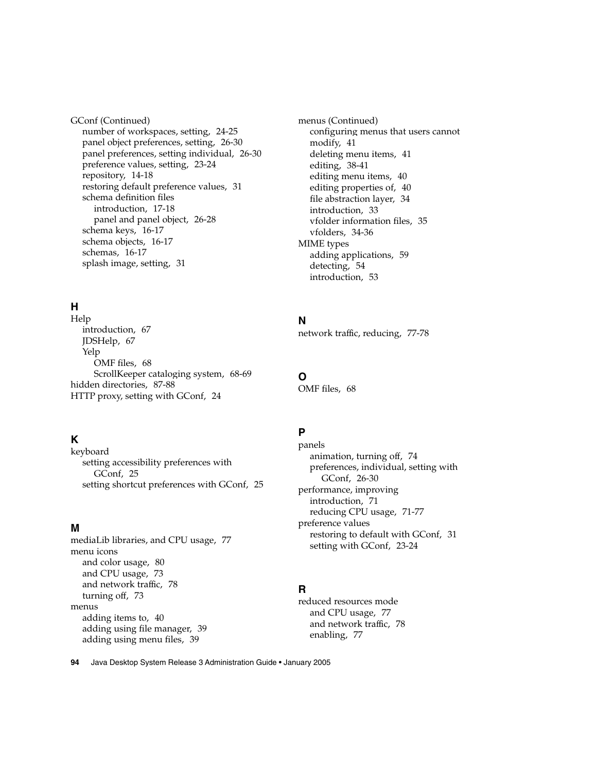GConf (Continued) number of workspaces, setting, [24-25](#page-23-0) panel object preferences, setting, [26-30](#page-25-0) panel preferences, setting individual, [26-30](#page-25-0) preference values, setting, [23-24](#page-22-0) repository, [14-18](#page-13-0) restoring default preference values, [31](#page-30-0) schema definition files introduction, [17-18](#page-16-0) panel and panel object, [26-28](#page-25-0) schema keys, [16-17](#page-15-0) schema objects, [16-17](#page-15-0) schemas, [16-17](#page-15-0) splash image, setting, [31](#page-30-0)

### **H**

Help introduction, [67](#page-66-0) JDSHelp, [67](#page-66-0) Yelp OMF files, [68](#page-67-0) ScrollKeeper cataloging system, [68-69](#page-67-0) hidden directories, [87-88](#page-86-0) HTTP proxy, setting with GConf, [24](#page-23-0)

### **K**

keyboard setting accessibility preferences with GConf, [25](#page-24-0) setting shortcut preferences with GConf, [25](#page-24-0)

#### **M**

mediaLib libraries, and CPU usage, [77](#page-76-0) menu icons and color usage, [80](#page-79-0) and CPU usage, [73](#page-72-0) and network traffic, [78](#page-77-0) turning off, [73](#page-72-0) menus adding items to, [40](#page-39-0) adding using file manager, [39](#page-38-0) adding using menu files, [39](#page-38-0)

menus (Continued) configuring menus that users cannot modify, [41](#page-40-0) deleting menu items, [41](#page-40-0) editing, [38-41](#page-37-0) editing menu items, [40](#page-39-0) editing properties of, [40](#page-39-0) file abstraction layer, [34](#page-33-0) introduction, [33](#page-32-0) vfolder information files, [35](#page-34-0) vfolders, [34-36](#page-33-0) MIME types adding applications, [59](#page-58-0) detecting, [54](#page-53-0) introduction, [53](#page-52-0)

#### **N**

network traffic, reducing, [77-78](#page-76-0)

#### **O**

OMF files, [68](#page-67-0)

#### **P**

panels animation, turning off, [74](#page-73-0) preferences, individual, setting with GConf, [26-30](#page-25-0) performance, improving introduction, [71](#page-70-0) reducing CPU usage, [71-77](#page-70-0) preference values restoring to default with GConf, [31](#page-30-0) setting with GConf, [23-24](#page-22-0)

#### **R**

reduced resources mode and CPU usage, [77](#page-76-0) and network traffic, [78](#page-77-0) enabling, [77](#page-76-0)